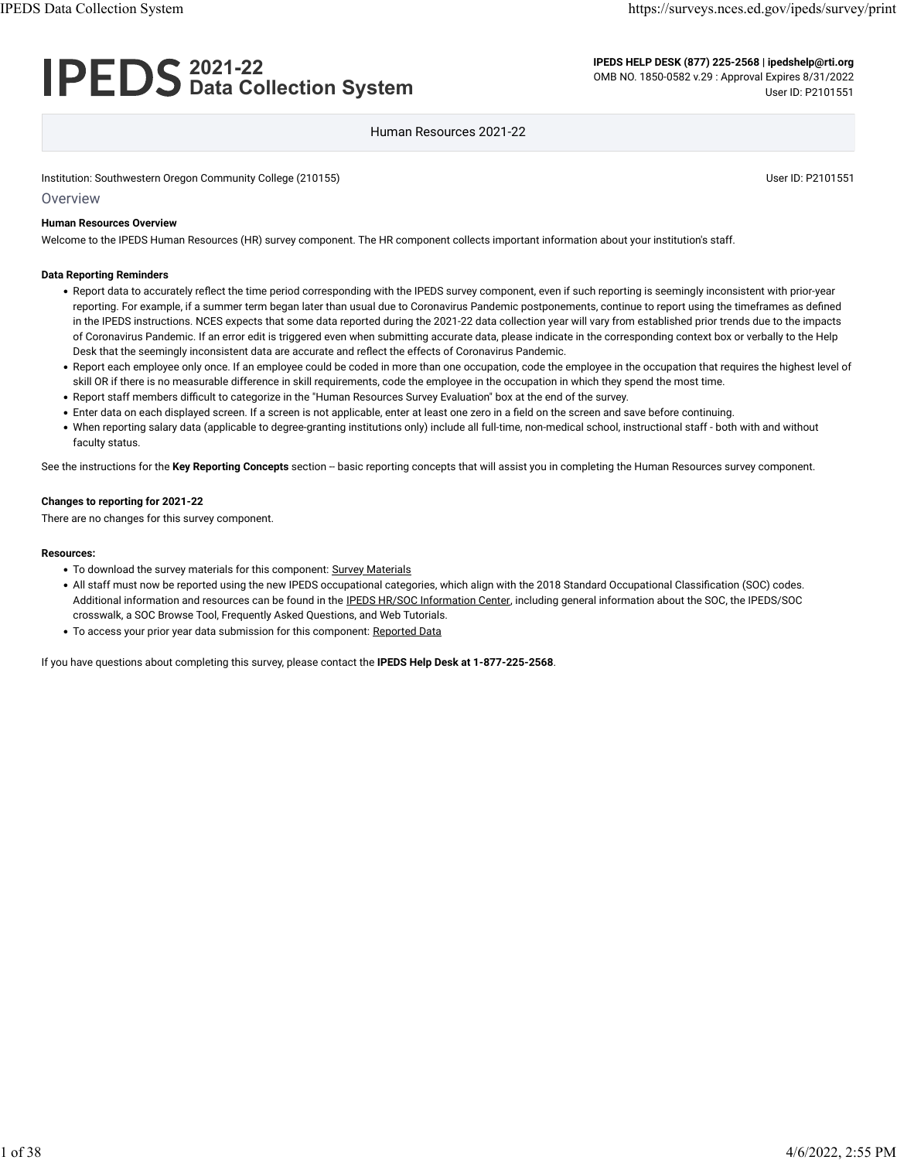## **2021-22 Data Collection System**

**IPEDS HELP DESK (877) 225-2568 | ipedshelp@rti.org** OMB NO. 1850-0582 v.29 : Approval Expires 8/31/2022 User ID: P2101551

#### Human Resources 2021-22

Institution: Southwestern Oregon Community College (210155) Community College (210155)

**Overview** 

#### **Human Resources Overview**

Welcome to the IPEDS Human Resources (HR) survey component. The HR component collects important information about your institution's staff.

#### **Data Reporting Reminders**

- Report data to accurately reflect the time period corresponding with the IPEDS survey component, even if such reporting is seemingly inconsistent with prior-year reporting. For example, if a summer term began later than usual due to Coronavirus Pandemic postponements, continue to report using the timeframes as defined in the IPEDS instructions. NCES expects that some data reported during the 2021-22 data collection year will vary from established prior trends due to the impacts of Coronavirus Pandemic. If an error edit is triggered even when submitting accurate data, please indicate in the corresponding context box or verbally to the Help Desk that the seemingly inconsistent data are accurate and reflect the effects of Coronavirus Pandemic.
- Report each employee only once. If an employee could be coded in more than one occupation, code the employee in the occupation that requires the highest level of skill OR if there is no measurable difference in skill requirements, code the employee in the occupation in which they spend the most time.
- Report staff members difficult to categorize in the "Human Resources Survey Evaluation" box at the end of the survey.
- Enter data on each displayed screen. If a screen is not applicable, enter at least one zero in a field on the screen and save before continuing.
- When reporting salary data (applicable to degree-granting institutions only) include all full-time, non-medical school, instructional staff both with and without faculty status.

See the instructions for the Key Reporting Concepts section -- basic reporting concepts that will assist you in completing the Human Resources survey component.

#### **Changes to reporting for 2021-22**

There are no changes for this survey component.

#### **Resources:**

- To download the survey materials for this component: [Survey Materials](https://surveys.nces.ed.gov/ipeds/public/survey-materials/index)
- All staff must now be reported using the new IPEDS occupational categories, which align with the 2018 Standard Occupational Classification (SOC) codes. Additional information and resources can be found in the [IPEDS HR/SOC Information Center,](https://nces.ed.gov/ipeds/report-your-data/taxonomies-standard-occupational-classification-soc-codes) including general information about the SOC, the IPEDS/SOC crosswalk, a SOC Browse Tool, Frequently Asked Questions, and Web Tutorials.
- To access your prior year data submission for this component: [Reported Data](javascript:openReportedData(210155, 1))

If you have questions about completing this survey, please contact the **IPEDS Help Desk at 1-877-225-2568**.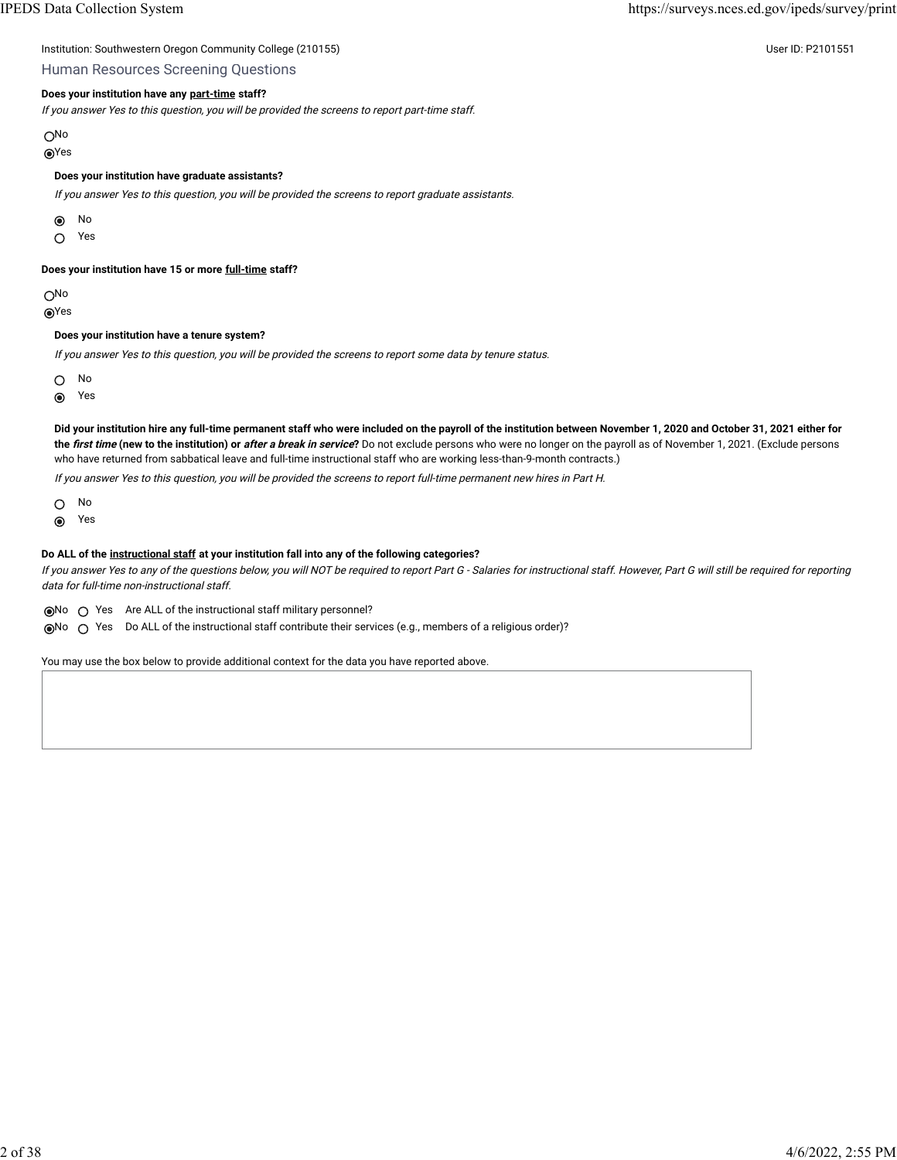| Institution: Southwestern Oregon Community College (210155) | User ID: P2101551 |
|-------------------------------------------------------------|-------------------|
|-------------------------------------------------------------|-------------------|

### Human Resources Screening Questions

#### **Does your institution have any [part-time](javascript:openglossary(467)) staff?**

If you answer Yes to this question, you will be provided the screens to report part-time staff.

ON<sub>o</sub>

Yes

#### **Does your institution have graduate assistants?**

If you answer Yes to this question, you will be provided the screens to report graduate assistants.

No  $\odot$ 

Yes  $\circ$ 

**Does your institution have 15 or more [full-time](javascript:openglossary(257)) staff?**

No

Yes

#### **Does your institution have a tenure system?**

If you answer Yes to this question, you will be provided the screens to report some data by tenure status.

 $\circ$ No

Yes  $\odot$ 

**Did your institution hire any full-time permanent staff who were included on the payroll of the institution between November 1, 2020 and October 31, 2021 either for the first time (new to the institution) or after a break in service?** Do not exclude persons who were no longer on the payroll as of November 1, 2021. (Exclude persons who have returned from sabbatical leave and full-time instructional staff who are working less-than-9-month contracts.)

If you answer Yes to this question, you will be provided the screens to report full-time permanent new hires in Part H.

 $\circ$ No

 $\odot$ Yes

#### **Do ALL of the [instructional staff](javascript:openglossary(996)) at your institution fall into any of the following categories?**

If you answer Yes to any of the questions below, you will NOT be required to report Part G - Salaries for instructional staff. However, Part G will still be required for reporting data for full-time non-instructional staff.

No Yes Are ALL of the instructional staff military personnel?

No Yes Do ALL of the instructional staff contribute their services (e.g., members of a religious order)?

You may use the box below to provide additional context for the data you have reported above.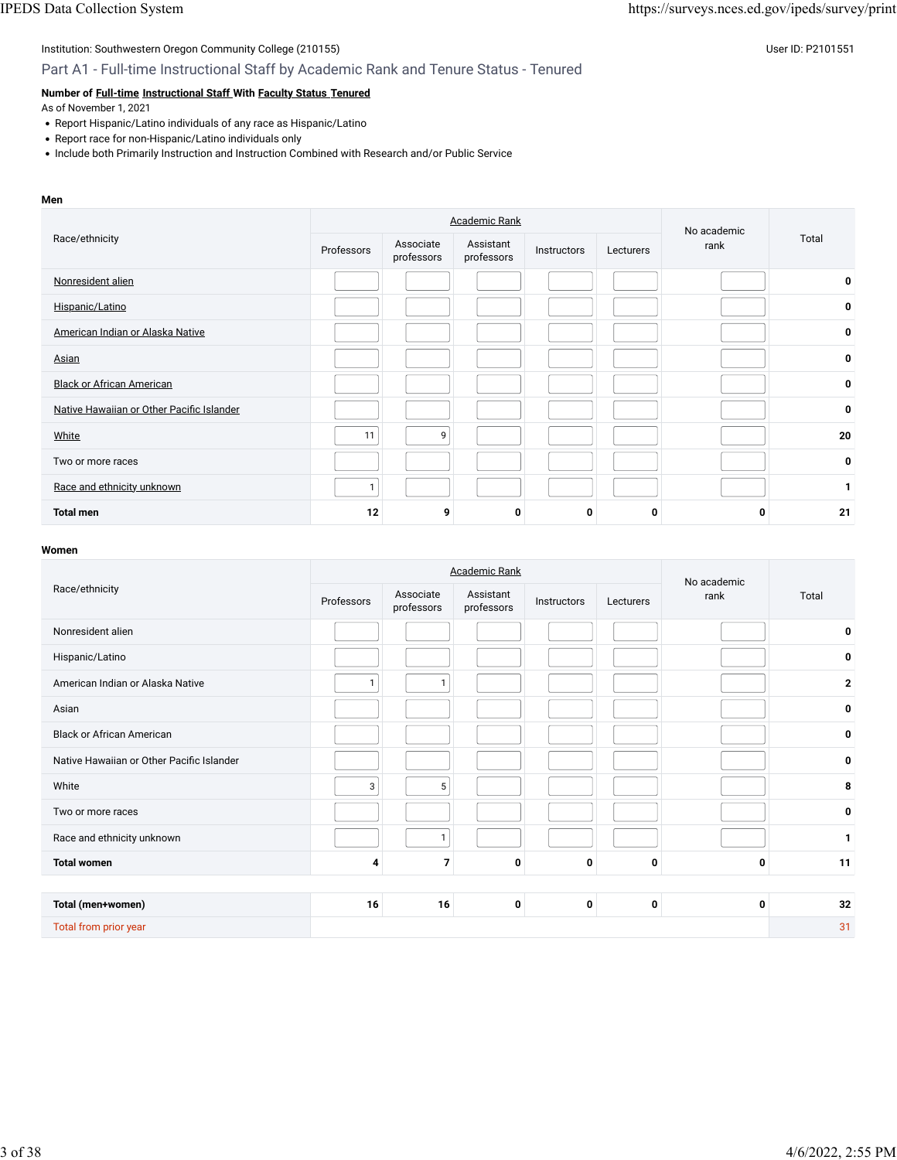### Part A1 - Full-time Instructional Staff by Academic Rank and Tenure Status - Tenured

### **Number of [Full-time](javascript:openglossary(257)) [Instructional Staff W](javascript:openglossary(996))ith [Faculty Status](javascript:openglossary(1009)) [Tenured](javascript:openglossary(639))**

As of November 1, 2021

- Report Hispanic/Latino individuals of any race as Hispanic/Latino
- Report race for non-Hispanic/Latino individuals only
- Include both Primarily Instruction and Instruction Combined with Research and/or Public Service

#### **Men**

|                                           |              |                         | <b>Academic Rank</b>    |             |           | No academic |       |
|-------------------------------------------|--------------|-------------------------|-------------------------|-------------|-----------|-------------|-------|
| Race/ethnicity                            | Professors   | Associate<br>professors | Assistant<br>professors | Instructors | Lecturers | rank        | Total |
| Nonresident alien                         |              |                         |                         |             |           |             | 0     |
| Hispanic/Latino                           |              |                         |                         |             |           |             | 0     |
| American Indian or Alaska Native          |              |                         |                         |             |           |             | 0     |
| Asian                                     |              |                         |                         |             |           |             | 0     |
| <b>Black or African American</b>          |              |                         |                         |             |           |             | 0     |
| Native Hawaiian or Other Pacific Islander |              |                         |                         |             |           |             | 0     |
| White                                     | 11           | 9                       |                         |             |           |             | 20    |
| Two or more races                         |              |                         |                         |             |           |             | 0     |
| Race and ethnicity unknown                | $\mathbf{1}$ |                         |                         |             |           |             |       |
| <b>Total men</b>                          | 12           | 9                       | $\mathbf 0$             | 0           | 0         | 0           | 21    |

|                                           |              | <b>Academic Rank</b>    |                         | No academic |           |      |              |
|-------------------------------------------|--------------|-------------------------|-------------------------|-------------|-----------|------|--------------|
| Race/ethnicity                            | Professors   | Associate<br>professors | Assistant<br>professors | Instructors | Lecturers | rank | Total        |
| Nonresident alien                         |              |                         |                         |             |           |      | 0            |
| Hispanic/Latino                           |              |                         |                         |             |           |      | 0            |
| American Indian or Alaska Native          | $\mathbf{1}$ | $\mathbf{1}$            |                         |             |           |      | $\mathbf{2}$ |
| Asian                                     |              |                         |                         |             |           |      | 0            |
| <b>Black or African American</b>          |              |                         |                         |             |           |      | 0            |
| Native Hawaiian or Other Pacific Islander |              |                         |                         |             |           |      | 0            |
| White                                     | 3            | 5                       |                         |             |           |      | 8            |
| Two or more races                         |              |                         |                         |             |           |      | 0            |
| Race and ethnicity unknown                |              | 1                       |                         |             |           |      | 1            |
| <b>Total women</b>                        | 4            | $\overline{7}$          | 0                       | 0           | 0         | 0    | 11           |
|                                           |              |                         |                         |             |           |      |              |
| Total (men+women)                         | 16           | 16                      | 0                       | 0           | 0         | 0    | 32           |
| Total from prior year                     |              |                         |                         |             |           |      | 31           |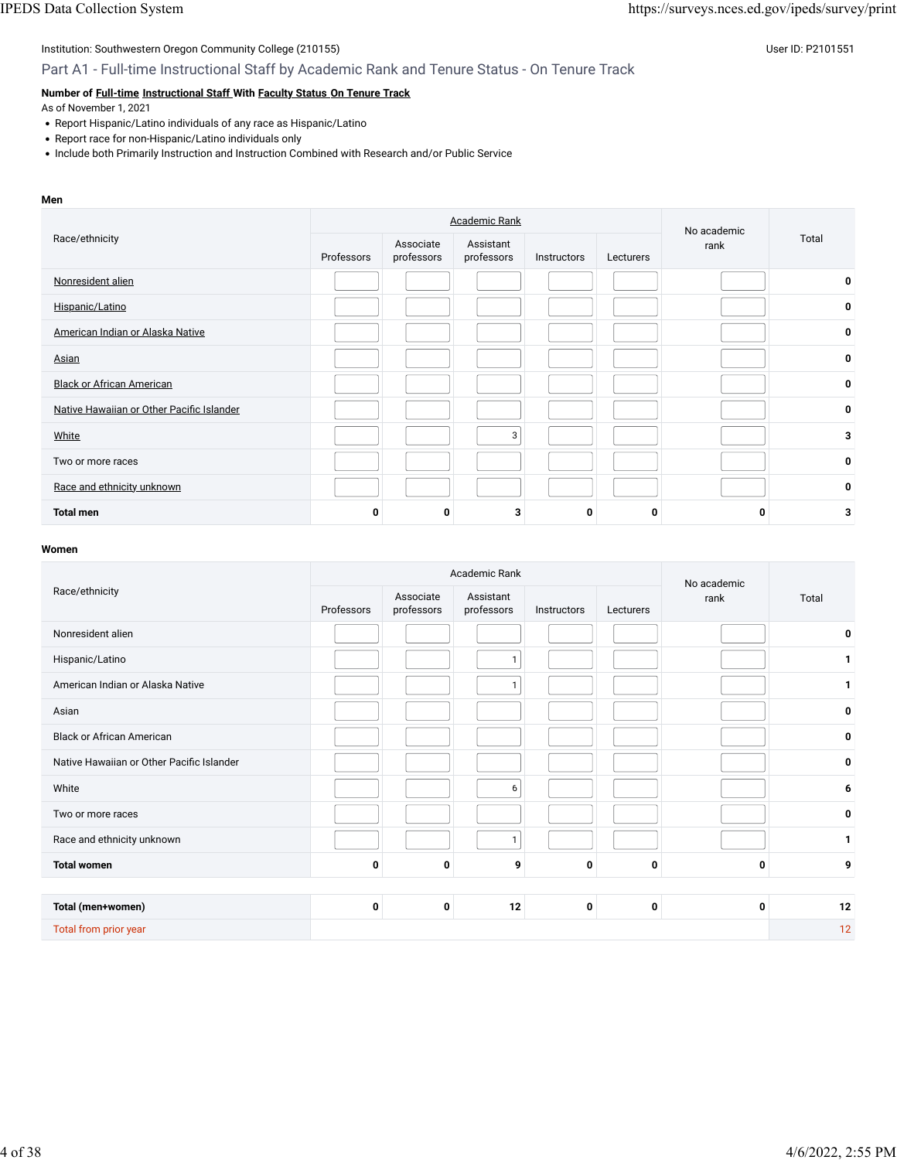### Part A1 - Full-time Instructional Staff by Academic Rank and Tenure Status - On Tenure Track

### **Number of [Full-time](javascript:openglossary(257)) [Instructional Staff W](javascript:openglossary(996))ith [Faculty Status](javascript:openglossary(1009)) [On Tenure Track](javascript:openglossary(641))**

As of November 1, 2021

- Report Hispanic/Latino individuals of any race as Hispanic/Latino
- Report race for non-Hispanic/Latino individuals only
- Include both Primarily Instruction and Instruction Combined with Research and/or Public Service

#### **Men**

|                                           |            |                         | <b>Academic Rank</b>    |             |           | No academic | Total |
|-------------------------------------------|------------|-------------------------|-------------------------|-------------|-----------|-------------|-------|
| Race/ethnicity                            | Professors | Associate<br>professors | Assistant<br>professors | Instructors | Lecturers | rank        |       |
| Nonresident alien                         |            |                         |                         |             |           |             | 0     |
| Hispanic/Latino                           |            |                         |                         |             |           |             | 0     |
| American Indian or Alaska Native          |            |                         |                         |             |           |             | 0     |
| Asian                                     |            |                         |                         |             |           |             | 0     |
| <b>Black or African American</b>          |            |                         |                         |             |           |             | 0     |
| Native Hawaiian or Other Pacific Islander |            |                         |                         |             |           |             | 0     |
| White                                     |            |                         | 3                       |             |           |             | 3     |
| Two or more races                         |            |                         |                         |             |           |             | 0     |
| Race and ethnicity unknown                |            |                         |                         |             |           |             | 0     |
| <b>Total men</b>                          | 0          | 0                       | 3                       | 0           |           | O           | 3     |

|                                           |             |                         | Academic Rank           |             |           | No academic |              |
|-------------------------------------------|-------------|-------------------------|-------------------------|-------------|-----------|-------------|--------------|
| Race/ethnicity                            | Professors  | Associate<br>professors | Assistant<br>professors | Instructors | Lecturers | rank        | Total        |
| Nonresident alien                         |             |                         |                         |             |           |             | 0            |
| Hispanic/Latino                           |             |                         |                         |             |           |             | 1            |
| American Indian or Alaska Native          |             |                         | $\mathbf{1}$            |             |           |             | 1            |
| Asian                                     |             |                         |                         |             |           |             | 0            |
| <b>Black or African American</b>          |             |                         |                         |             |           |             | 0            |
| Native Hawaiian or Other Pacific Islander |             |                         |                         |             |           |             | 0            |
| White                                     |             |                         | 6                       |             |           |             | 6            |
| Two or more races                         |             |                         |                         |             |           |             | 0            |
| Race and ethnicity unknown                |             |                         | 1                       |             |           |             | $\mathbf{1}$ |
| <b>Total women</b>                        | $\mathbf 0$ | $\mathbf 0$             | 9                       | 0           | 0         | 0           | 9            |
|                                           |             |                         |                         |             |           |             |              |
| Total (men+women)                         | 0           | 0                       | 12                      | 0           | 0         | 0           | 12           |
| Total from prior year                     |             |                         |                         |             |           |             | 12           |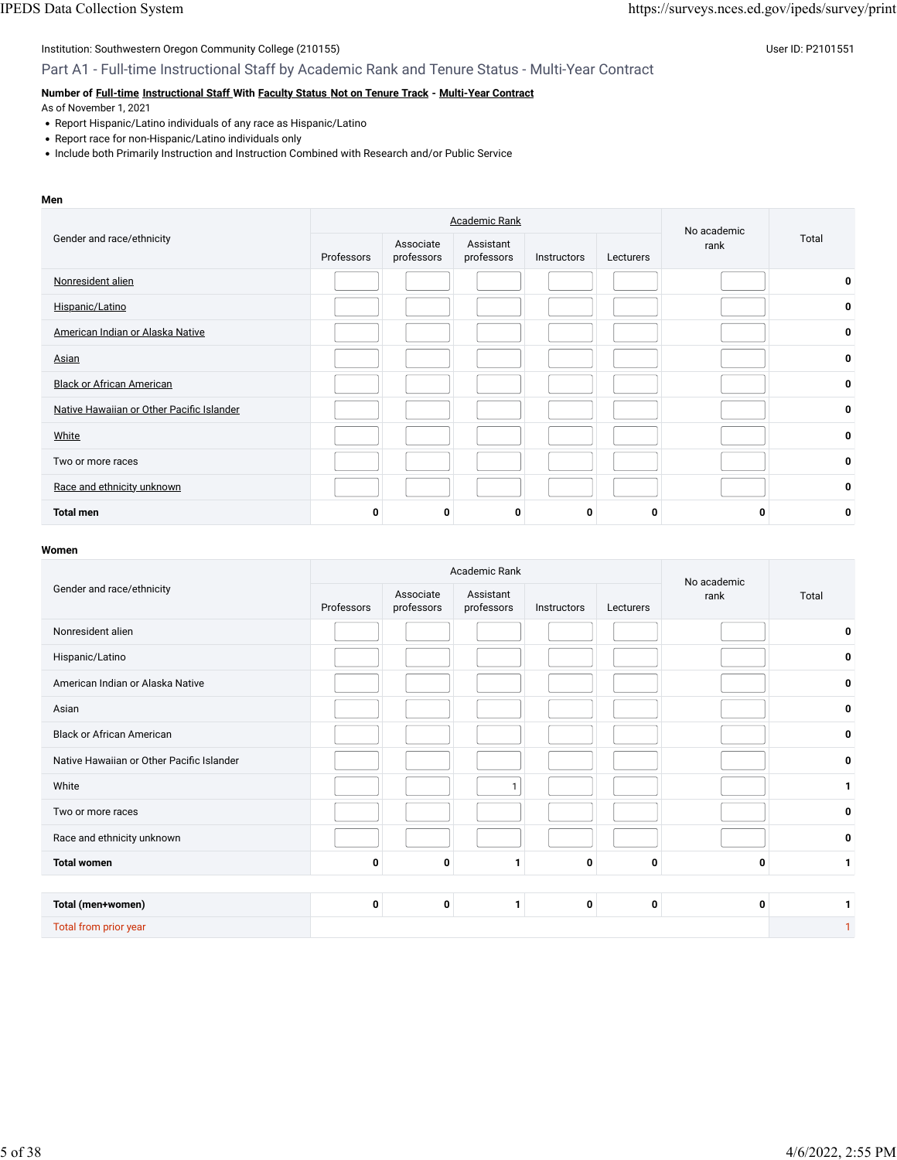### Part A1 - Full-time Instructional Staff by Academic Rank and Tenure Status - Multi-Year Contract

### **Number of [Full-time](javascript:openglossary(257)) [Instructional Staff W](javascript:openglossary(996))ith [Faculty Status](javascript:openglossary(1009)) [Not on Tenure Track](javascript:openglossary(966)) - [Multi-Year Contract](javascript:openglossary(981))**

As of November 1, 2021

- Report Hispanic/Latino individuals of any race as Hispanic/Latino
- Report race for non-Hispanic/Latino individuals only
- Include both Primarily Instruction and Instruction Combined with Research and/or Public Service

#### **Men**

|                                           |            |                         | <b>Academic Rank</b>    |             |           | No academic | Total |
|-------------------------------------------|------------|-------------------------|-------------------------|-------------|-----------|-------------|-------|
| Gender and race/ethnicity                 | Professors | Associate<br>professors | Assistant<br>professors | Instructors | Lecturers | rank        |       |
| Nonresident alien                         |            |                         |                         |             |           |             | 0     |
| Hispanic/Latino                           |            |                         |                         |             |           |             | 0     |
| American Indian or Alaska Native          |            |                         |                         |             |           |             | 0     |
| Asian                                     |            |                         |                         |             |           |             | 0     |
| <b>Black or African American</b>          |            |                         |                         |             |           |             | 0     |
| Native Hawaiian or Other Pacific Islander |            |                         |                         |             |           |             | 0     |
| <b>White</b>                              |            |                         |                         |             |           |             | 0     |
| Two or more races                         |            |                         |                         |             |           |             | 0     |
| Race and ethnicity unknown                |            |                         |                         |             |           |             | 0     |
| <b>Total men</b>                          | 0          | 0                       | 0                       | 0           |           | 0           | 0     |

|                                           |             |                         | Academic Rank           |             |           | No academic |       |
|-------------------------------------------|-------------|-------------------------|-------------------------|-------------|-----------|-------------|-------|
| Gender and race/ethnicity                 | Professors  | Associate<br>professors | Assistant<br>professors | Instructors | Lecturers | rank        | Total |
| Nonresident alien                         |             |                         |                         |             |           |             | 0     |
| Hispanic/Latino                           |             |                         |                         |             |           |             | 0     |
| American Indian or Alaska Native          |             |                         |                         |             |           |             | 0     |
| Asian                                     |             |                         |                         |             |           |             | 0     |
| <b>Black or African American</b>          |             |                         |                         |             |           |             | 0     |
| Native Hawaiian or Other Pacific Islander |             |                         |                         |             |           |             | 0     |
| White                                     |             |                         | $\mathbf{1}$            |             |           |             | 1     |
| Two or more races                         |             |                         |                         |             |           |             | 0     |
| Race and ethnicity unknown                |             |                         |                         |             |           |             | 0     |
| <b>Total women</b>                        | $\mathbf 0$ | 0                       |                         | 0           | 0         | 0           | 1     |
|                                           |             |                         |                         |             |           |             |       |
| Total (men+women)                         | 0           | 0                       | 1                       | 0           | 0         | 0           | 1     |
| Total from prior year                     |             |                         |                         |             |           |             | 1     |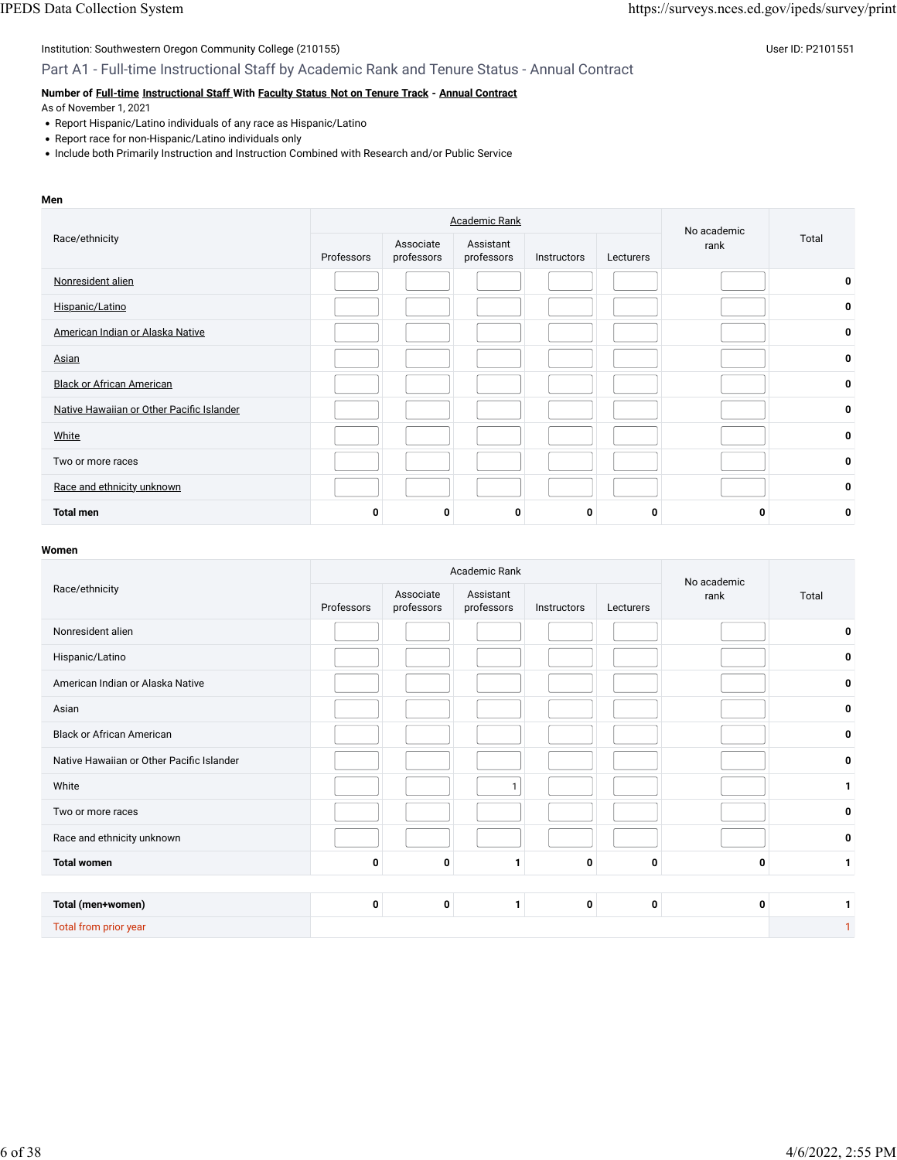### Part A1 - Full-time Instructional Staff by Academic Rank and Tenure Status - Annual Contract

### **Number of [Full-time](javascript:openglossary(257)) [Instructional Staff W](javascript:openglossary(996))ith [Faculty Status](javascript:openglossary(1009)) [Not on Tenure Track](javascript:openglossary(966)) - [Annual Contract](javascript:openglossary(979))**

As of November 1, 2021

- Report Hispanic/Latino individuals of any race as Hispanic/Latino
- Report race for non-Hispanic/Latino individuals only
- Include both Primarily Instruction and Instruction Combined with Research and/or Public Service

#### **Men**

|                                           |            | <b>Academic Rank</b>    |                         | No academic |           |      |       |
|-------------------------------------------|------------|-------------------------|-------------------------|-------------|-----------|------|-------|
| Race/ethnicity                            | Professors | Associate<br>professors | Assistant<br>professors | Instructors | Lecturers | rank | Total |
| Nonresident alien                         |            |                         |                         |             |           |      | 0     |
| Hispanic/Latino                           |            |                         |                         |             |           |      | 0     |
| American Indian or Alaska Native          |            |                         |                         |             |           |      | 0     |
| Asian                                     |            |                         |                         |             |           |      | 0     |
| <b>Black or African American</b>          |            |                         |                         |             |           |      | 0     |
| Native Hawaiian or Other Pacific Islander |            |                         |                         |             |           |      | 0     |
| White                                     |            |                         |                         |             |           |      | 0     |
| Two or more races                         |            |                         |                         |             |           |      | 0     |
| Race and ethnicity unknown                |            |                         |                         |             |           |      | 0     |
| <b>Total men</b>                          | O          | 0                       | $\mathbf 0$             | 0           |           | 0    | 0     |

|                                           |             | Academic Rank           |                         | No academic |           |      |                |
|-------------------------------------------|-------------|-------------------------|-------------------------|-------------|-----------|------|----------------|
| Race/ethnicity                            | Professors  | Associate<br>professors | Assistant<br>professors | Instructors | Lecturers | rank | Total          |
| Nonresident alien                         |             |                         |                         |             |           |      | 0              |
| Hispanic/Latino                           |             |                         |                         |             |           |      | 0              |
| American Indian or Alaska Native          |             |                         |                         |             |           |      | 0              |
| Asian                                     |             |                         |                         |             |           |      | 0              |
| <b>Black or African American</b>          |             |                         |                         |             |           |      | 0              |
| Native Hawaiian or Other Pacific Islander |             |                         |                         |             |           |      | 0              |
| White                                     |             |                         | $\mathbf{1}$            |             |           |      | $\mathbf{1}$   |
| Two or more races                         |             |                         |                         |             |           |      | 0              |
| Race and ethnicity unknown                |             |                         |                         |             |           |      | 0              |
| <b>Total women</b>                        | 0           | 0                       | 1                       | 0           | 0         | 0    | 1              |
|                                           |             |                         |                         |             |           |      |                |
| Total (men+women)                         | $\mathbf 0$ | 0                       | $\mathbf{1}$            | 0           | 0         | 0    | 1              |
| Total from prior year                     |             |                         |                         |             |           |      | $\overline{1}$ |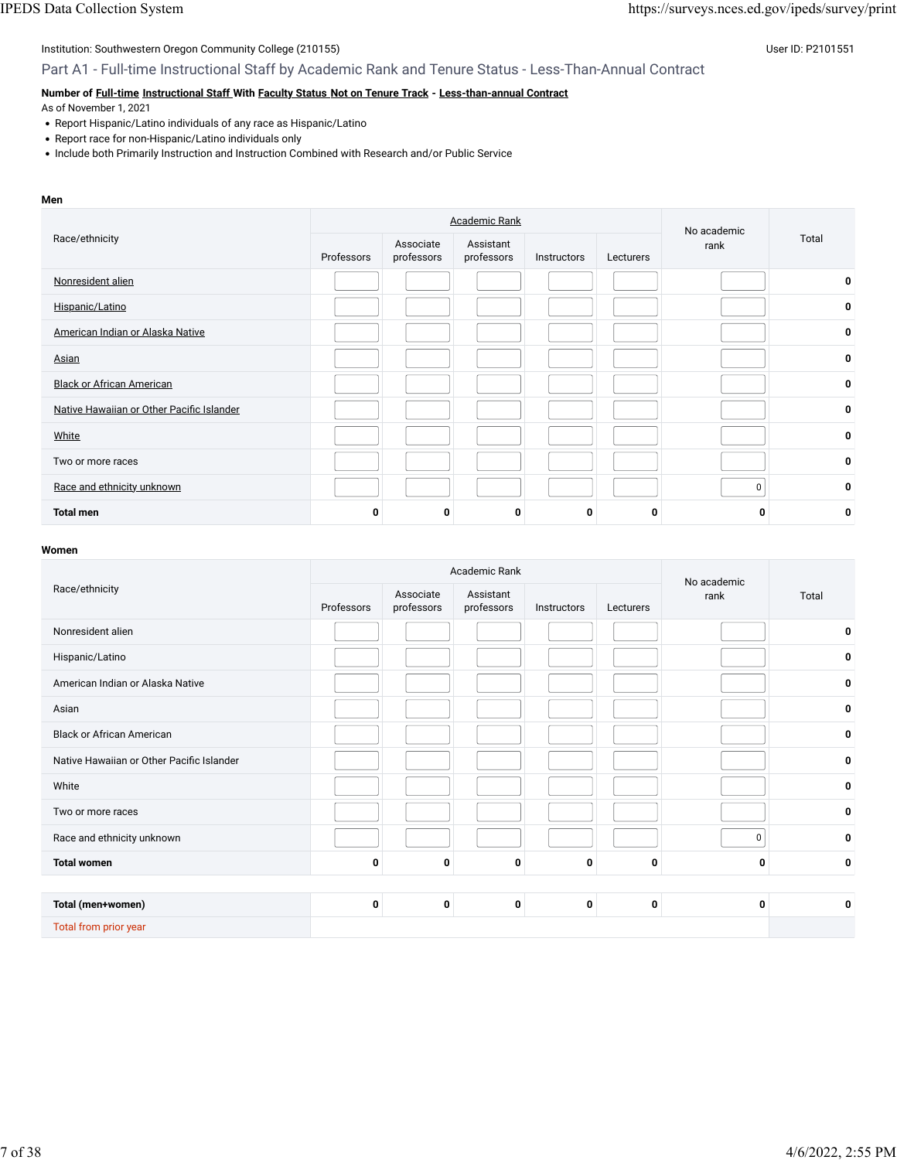Part A1 - Full-time Instructional Staff by Academic Rank and Tenure Status - Less-Than-Annual Contract

### **Number of [Full-time](javascript:openglossary(257)) [Instructional Staff W](javascript:openglossary(996))ith [Faculty Status](javascript:openglossary(1009)) [Not on Tenure Track](javascript:openglossary(966)) - [Less-than-annual Contract](javascript:openglossary(980))**

As of November 1, 2021

- Report Hispanic/Latino individuals of any race as Hispanic/Latino
- Report race for non-Hispanic/Latino individuals only
- Include both Primarily Instruction and Instruction Combined with Research and/or Public Service

#### **Men**

|                                           |            | <b>Academic Rank</b>    |                         | No academic |           |      |       |
|-------------------------------------------|------------|-------------------------|-------------------------|-------------|-----------|------|-------|
| Race/ethnicity                            | Professors | Associate<br>professors | Assistant<br>professors | Instructors | Lecturers | rank | Total |
| Nonresident alien                         |            |                         |                         |             |           |      | 0     |
| Hispanic/Latino                           |            |                         |                         |             |           |      | 0     |
| American Indian or Alaska Native          |            |                         |                         |             |           |      | 0     |
| Asian                                     |            |                         |                         |             |           |      | 0     |
| <b>Black or African American</b>          |            |                         |                         |             |           |      | 0     |
| Native Hawaiian or Other Pacific Islander |            |                         |                         |             |           |      | 0     |
| White                                     |            |                         |                         |             |           |      | 0     |
| Two or more races                         |            |                         |                         |             |           |      | 0     |
| Race and ethnicity unknown                |            |                         |                         |             |           | 0    | 0     |
| <b>Total men</b>                          | 0          | 0                       | 0                       | 0           |           | O    | 0     |

|                                           |            |                         | Academic Rank           |             |           | No academic |       |
|-------------------------------------------|------------|-------------------------|-------------------------|-------------|-----------|-------------|-------|
| Race/ethnicity                            | Professors | Associate<br>professors | Assistant<br>professors | Instructors | Lecturers | rank        | Total |
| Nonresident alien                         |            |                         |                         |             |           |             | 0     |
| Hispanic/Latino                           |            |                         |                         |             |           |             | 0     |
| American Indian or Alaska Native          |            |                         |                         |             |           |             | 0     |
| Asian                                     |            |                         |                         |             |           |             | 0     |
| <b>Black or African American</b>          |            |                         |                         |             |           |             | 0     |
| Native Hawaiian or Other Pacific Islander |            |                         |                         |             |           |             | 0     |
| White                                     |            |                         |                         |             |           |             | 0     |
| Two or more races                         |            |                         |                         |             |           |             | 0     |
| Race and ethnicity unknown                |            |                         |                         |             |           | 0           | 0     |
| <b>Total women</b>                        | 0          | 0                       | $\mathbf 0$             | 0           | 0         | 0           | 0     |
|                                           |            |                         |                         |             |           |             |       |
| Total (men+women)                         | 0          | 0                       | 0                       | 0           | 0         | 0           | 0     |
| Total from prior year                     |            |                         |                         |             |           |             |       |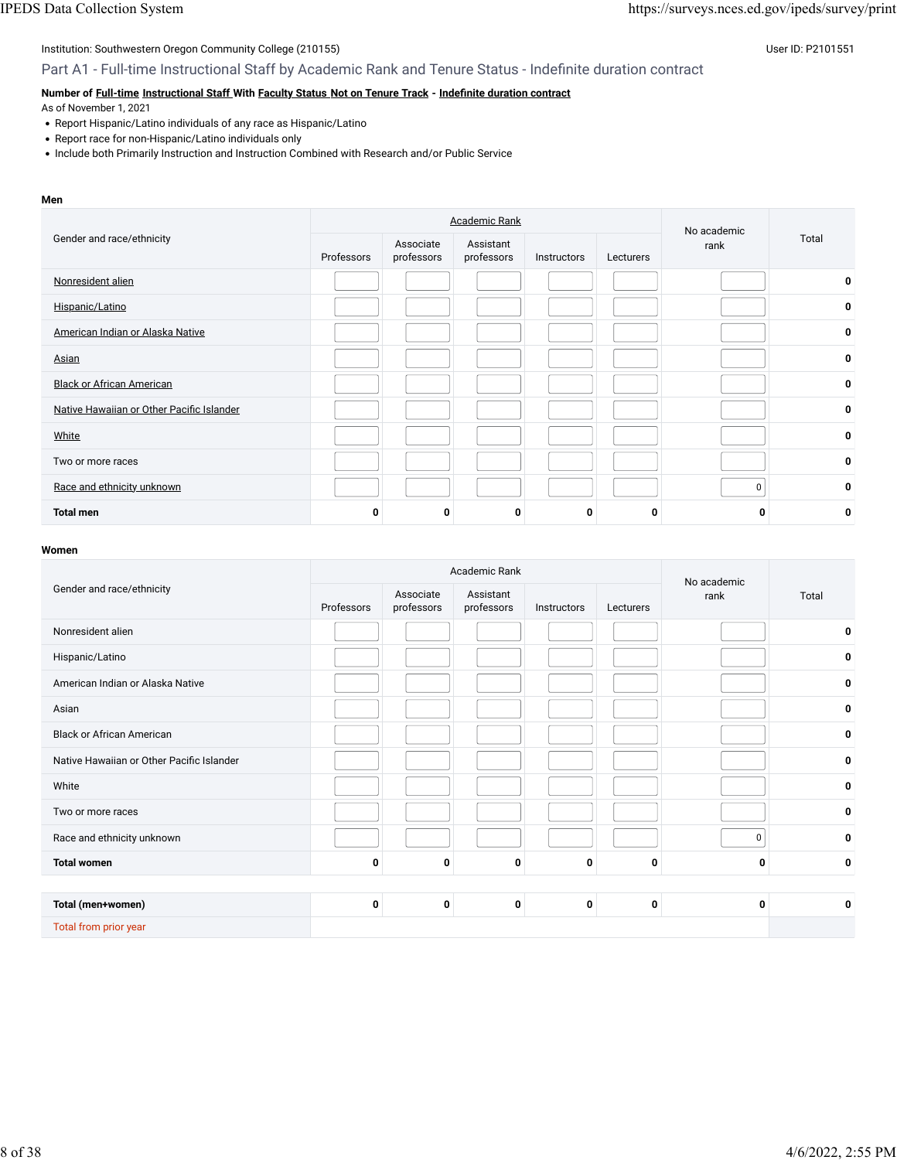Part A1 - Full-time Instructional Staff by Academic Rank and Tenure Status - Indefinite duration contract

### **Number of [Full-time](javascript:openglossary(257)) [Instructional Staff W](javascript:openglossary(996))ith [Faculty Status](javascript:openglossary(1009)) [Not on Tenure Track](javascript:openglossary(966)) - Indefi[nite duration contract](javascript:openglossary(1075))**

As of November 1, 2021

- Report Hispanic/Latino individuals of any race as Hispanic/Latino
- Report race for non-Hispanic/Latino individuals only
- Include both Primarily Instruction and Instruction Combined with Research and/or Public Service

#### **Men**

|                                           |            |                         | <b>Academic Rank</b>    |             |           | No academic |       |
|-------------------------------------------|------------|-------------------------|-------------------------|-------------|-----------|-------------|-------|
| Gender and race/ethnicity                 | Professors | Associate<br>professors | Assistant<br>professors | Instructors | Lecturers | rank        | Total |
| Nonresident alien                         |            |                         |                         |             |           |             | 0     |
| Hispanic/Latino                           |            |                         |                         |             |           |             | 0     |
| American Indian or Alaska Native          |            |                         |                         |             |           |             | 0     |
| Asian                                     |            |                         |                         |             |           |             | 0     |
| <b>Black or African American</b>          |            |                         |                         |             |           |             | 0     |
| Native Hawaiian or Other Pacific Islander |            |                         |                         |             |           |             | 0     |
| <b>White</b>                              |            |                         |                         |             |           |             | 0     |
| Two or more races                         |            |                         |                         |             |           |             | 0     |
| Race and ethnicity unknown                |            |                         |                         |             |           | 0           | 0     |
| <b>Total men</b>                          | 0          | O                       | 0                       | 0           | n         |             | 0     |

|                                           | Academic Rank |                                                    |   |                          |   | No academic |             |
|-------------------------------------------|---------------|----------------------------------------------------|---|--------------------------|---|-------------|-------------|
| Gender and race/ethnicity                 | Professors    | Assistant<br>Associate<br>professors<br>professors |   | Instructors<br>Lecturers |   | rank        | Total       |
| Nonresident alien                         |               |                                                    |   |                          |   |             | 0           |
| Hispanic/Latino                           |               |                                                    |   |                          |   |             | 0           |
| American Indian or Alaska Native          |               |                                                    |   |                          |   |             | 0           |
| Asian                                     |               |                                                    |   |                          |   |             | 0           |
| <b>Black or African American</b>          |               |                                                    |   |                          |   |             | 0           |
| Native Hawaiian or Other Pacific Islander |               |                                                    |   |                          |   |             | 0           |
| White                                     |               |                                                    |   |                          |   |             | $\mathbf 0$ |
| Two or more races                         |               |                                                    |   |                          |   |             | 0           |
| Race and ethnicity unknown                |               |                                                    |   |                          |   | 0           | 0           |
| <b>Total women</b>                        | $\mathbf 0$   | $\mathbf 0$                                        | 0 | 0                        | 0 | 0           | 0           |
|                                           |               |                                                    |   |                          |   |             |             |
| Total (men+women)                         | 0             | 0                                                  | 0 | 0                        | 0 | 0           | 0           |
| Total from prior year                     |               |                                                    |   |                          |   |             |             |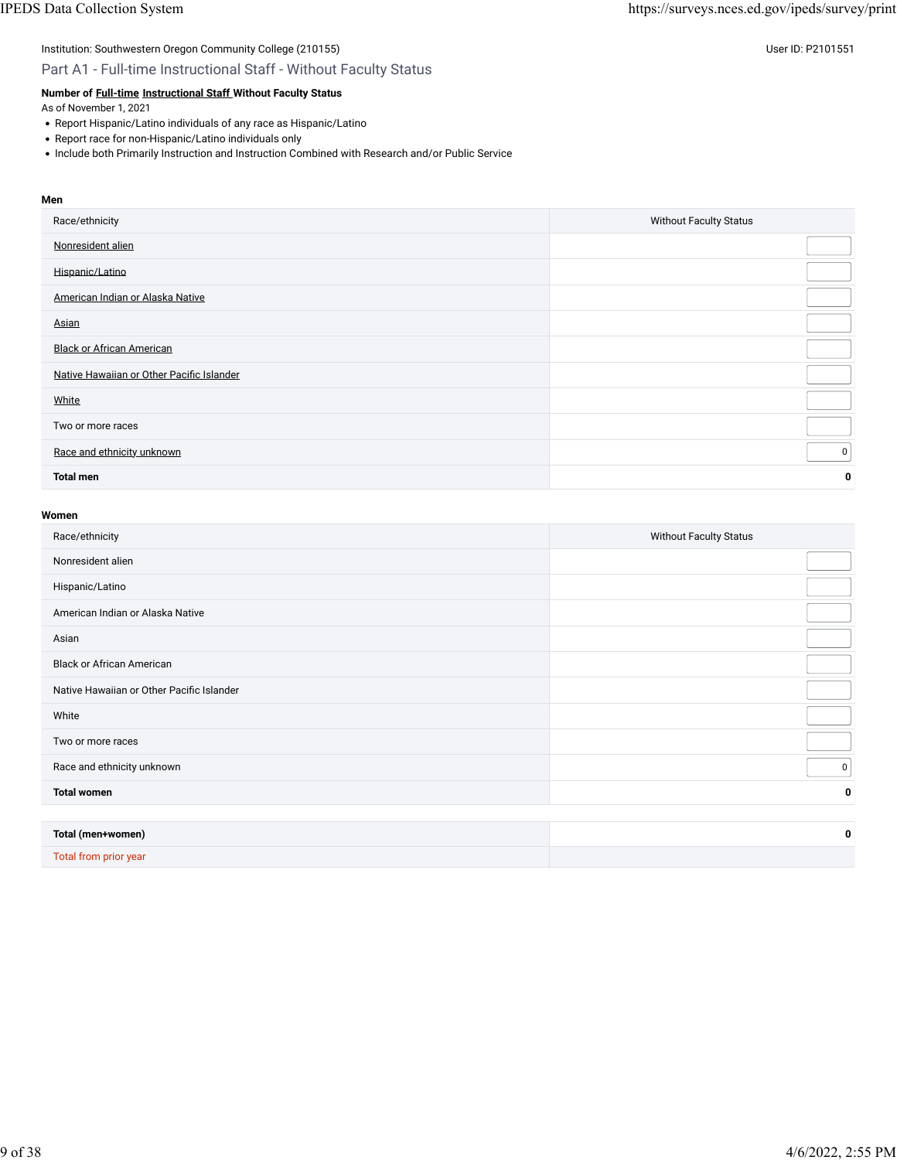Part A1 - Full-time Instructional Staff - Without Faculty Status

### **Number of [Full-time](javascript:openglossary(257)) [Instructional Staff W](javascript:openglossary(996))ithout Faculty Status**

As of November 1, 2021

- Report Hispanic/Latino individuals of any race as Hispanic/Latino
- Report race for non-Hispanic/Latino individuals only
- Include both Primarily Instruction and Instruction Combined with Research and/or Public Service

### **Men**

| Race/ethnicity                            | <b>Without Faculty Status</b> |
|-------------------------------------------|-------------------------------|
| Nonresident alien                         |                               |
| Hispanic/Latino                           |                               |
| American Indian or Alaska Native          |                               |
| Asian                                     |                               |
| <b>Black or African American</b>          |                               |
| Native Hawaiian or Other Pacific Islander |                               |
| White                                     |                               |
| Two or more races                         |                               |
| Race and ethnicity unknown                | 0                             |
| <b>Total men</b>                          | 0                             |

| Race/ethnicity                            | <b>Without Faculty Status</b> |
|-------------------------------------------|-------------------------------|
| Nonresident alien                         |                               |
| Hispanic/Latino                           |                               |
| American Indian or Alaska Native          |                               |
| Asian                                     |                               |
| <b>Black or African American</b>          |                               |
| Native Hawaiian or Other Pacific Islander |                               |
| White                                     |                               |
| Two or more races                         |                               |
| Race and ethnicity unknown                | 0                             |
| <b>Total women</b>                        | 0                             |
|                                           |                               |
| Total (men+women)                         | 0                             |
| <b>Total from prior year</b>              |                               |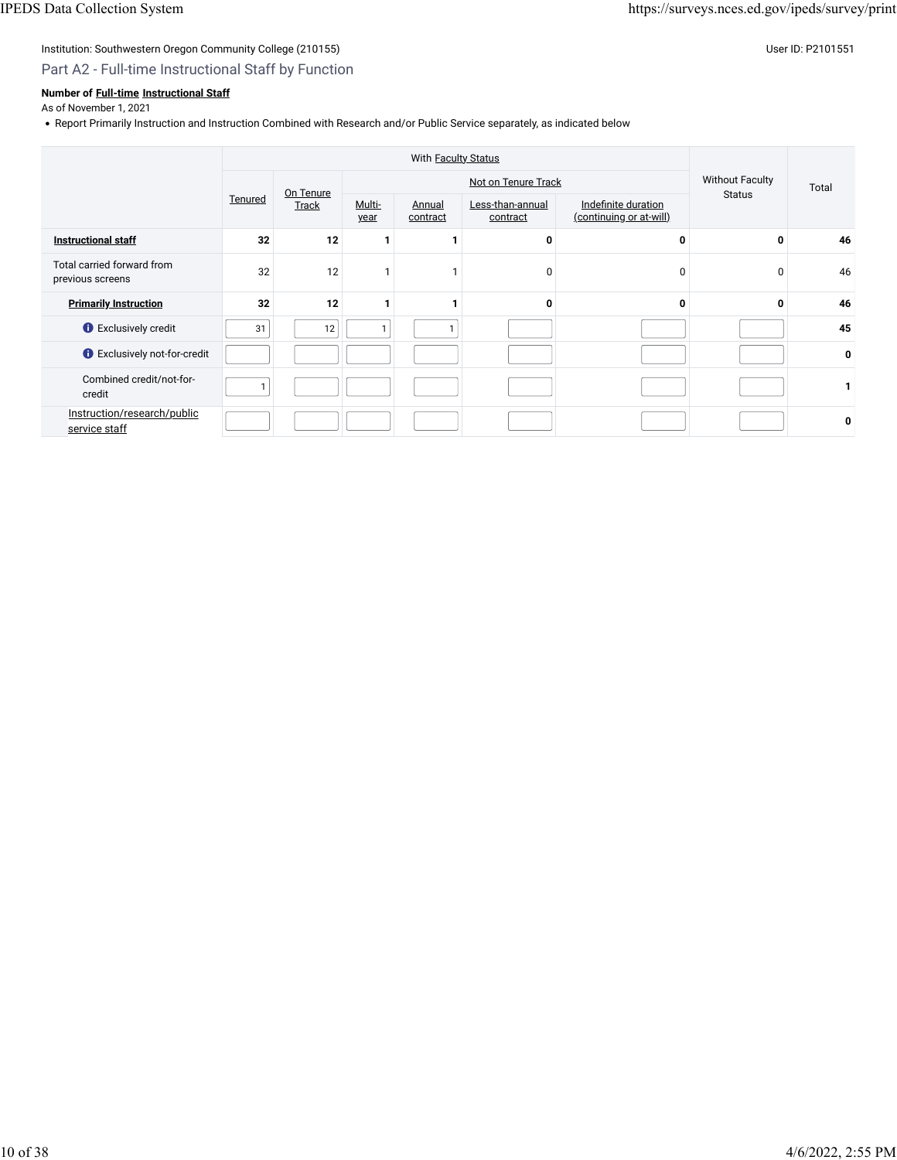### Part A2 - Full-time Instructional Staff by Function

### **Number of [Full-time](javascript:openglossary(257)) [Instructional Staff](javascript:openglossary(996))**

As of November 1, 2021

• Report Primarily Instruction and Instruction Combined with Research and/or Public Service separately, as indicated below

|                                                | With Faculty Status |                    |                |                    |                              |                                                |                                         |       |
|------------------------------------------------|---------------------|--------------------|----------------|--------------------|------------------------------|------------------------------------------------|-----------------------------------------|-------|
|                                                |                     |                    |                |                    | Not on Tenure Track          |                                                | <b>Without Faculty</b><br><b>Status</b> | Total |
|                                                | Tenured             | On Tenure<br>Track | Multi-<br>year | Annual<br>contract | Less-than-annual<br>contract | Indefinite duration<br>(continuing or at-will) |                                         |       |
| <b>Instructional staff</b>                     | 32                  | 12                 |                |                    | 0                            | 0                                              | 0                                       | 46    |
| Total carried forward from<br>previous screens | 32                  | 12                 |                | 1                  | $\mathbf{0}$                 | $\mathbf 0$                                    | $\mathbf 0$                             | 46    |
| <b>Primarily Instruction</b>                   | 32                  | 12                 |                | 1                  | 0                            | $\bf{0}$                                       | 0                                       | 46    |
| <b>O</b> Exclusively credit                    | 31                  | 12                 | 1              |                    |                              |                                                |                                         | 45    |
| <b>O</b> Exclusively not-for-credit            |                     |                    |                |                    |                              |                                                |                                         | 0     |
| Combined credit/not-for-<br>credit             |                     |                    |                |                    |                              |                                                |                                         |       |
| Instruction/research/public<br>service staff   |                     |                    |                |                    |                              |                                                |                                         | 0     |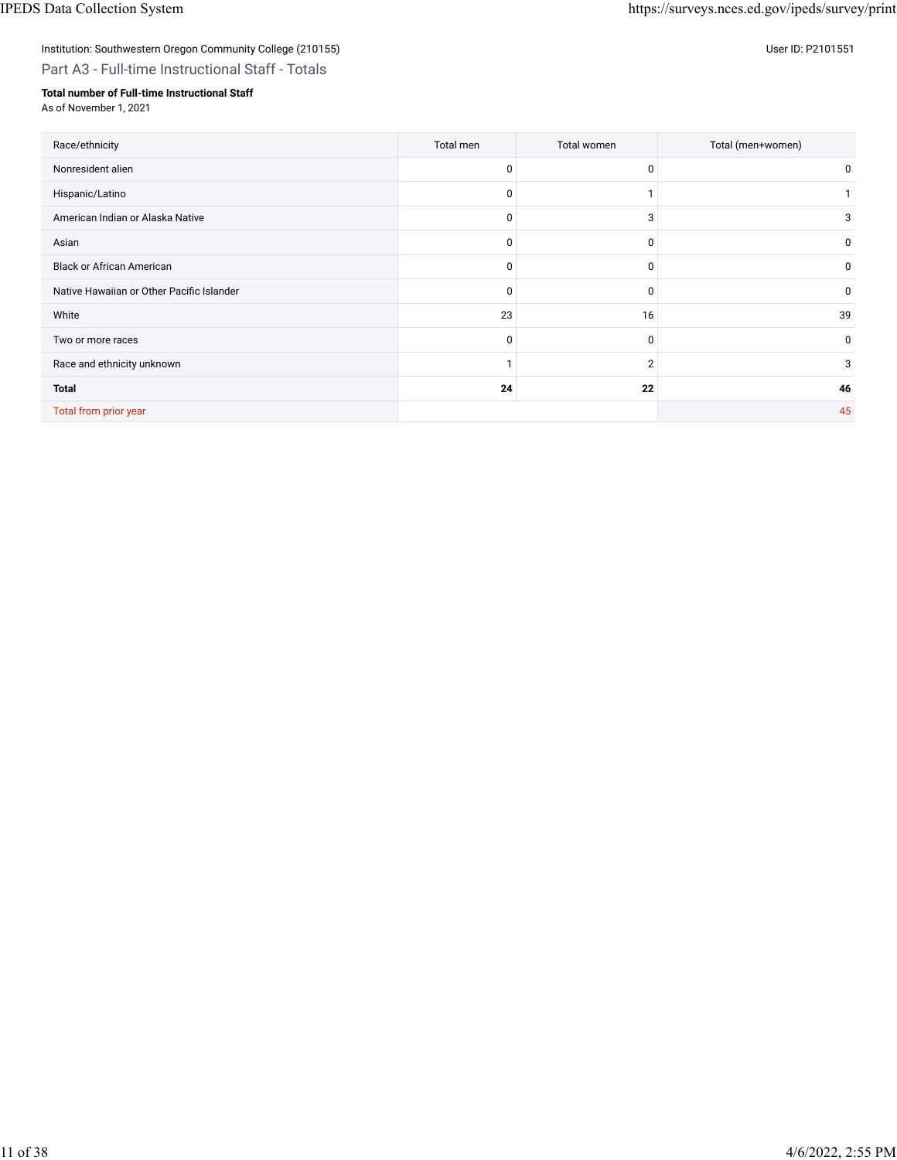## Institution: Southwestern Oregon Community College (210155) Control of the United States of the User ID: P2101551

## Part A3 - Full-time Instructional Staff - Totals

### **Total number of Full-time Instructional Staff**

As of November 1, 2021

| Race/ethnicity                            | Total men | Total women    | Total (men+women) |
|-------------------------------------------|-----------|----------------|-------------------|
| Nonresident alien                         | 0         | 0              | $\mathbf{0}$      |
| Hispanic/Latino                           | 0         |                |                   |
| American Indian or Alaska Native          | 0         | 3              | 3                 |
| Asian                                     | 0         | 0              | 0                 |
| <b>Black or African American</b>          | 0         | 0              | 0                 |
| Native Hawaiian or Other Pacific Islander | 0         | 0              | 0                 |
| White                                     | 23        | 16             | 39                |
| Two or more races                         | 0         | 0              | 0                 |
| Race and ethnicity unknown                |           | $\overline{2}$ | 3                 |
| <b>Total</b>                              | 24        | 22             | 46                |
| Total from prior year                     |           |                | 45                |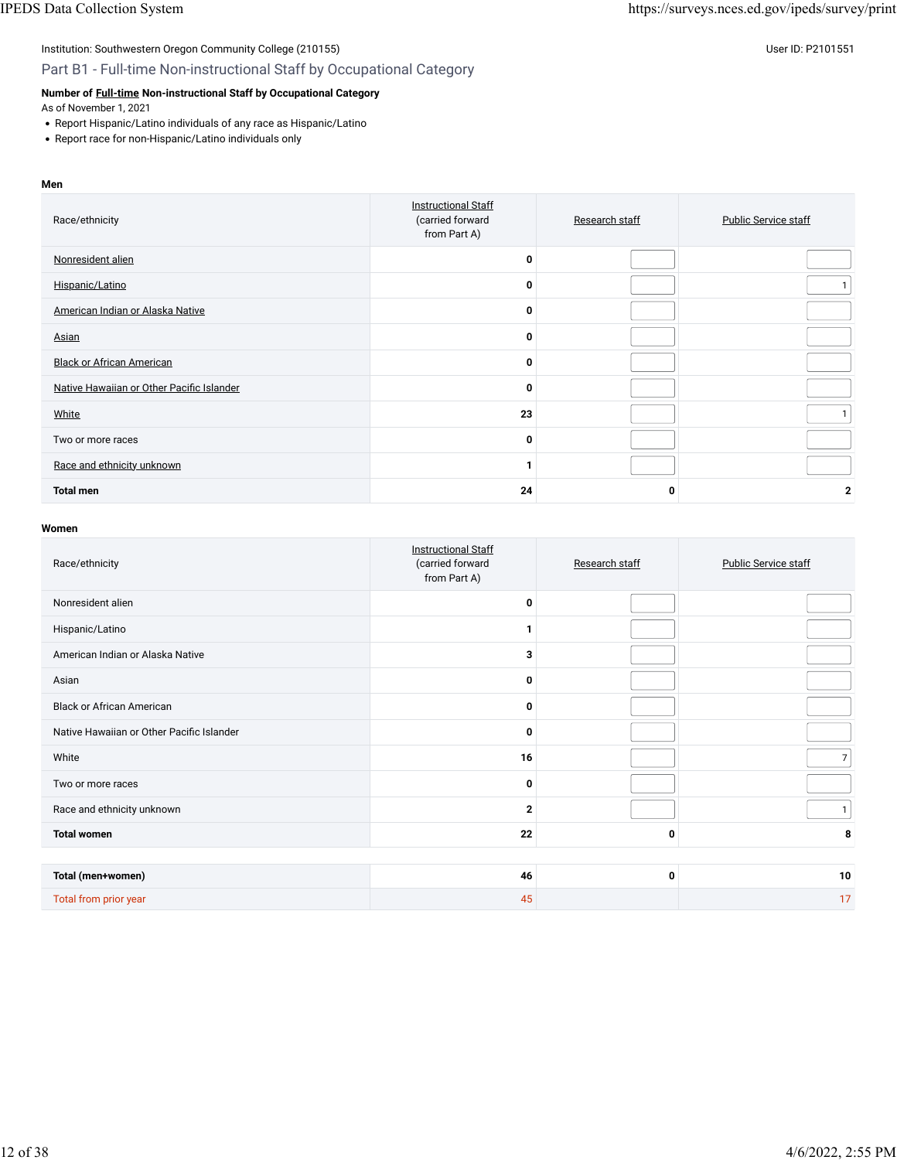### Institution: Southwestern Oregon Community College (210155) Contract the USE of Discovery of the USE of Discovery User ID: P2101551 Part B1 - Full-time Non-instructional Staff by Occupational Category

### **Number of [Full-time](javascript:openglossary(257)) Non-instructional Staff by Occupational Category**

As of November 1, 2021

- Report Hispanic/Latino individuals of any race as Hispanic/Latino
- Report race for non-Hispanic/Latino individuals only

#### **Men**

| Race/ethnicity                            | <b>Instructional Staff</b><br>(carried forward<br>from Part A) | Research staff | <b>Public Service staff</b> |
|-------------------------------------------|----------------------------------------------------------------|----------------|-----------------------------|
| Nonresident alien                         | $\Omega$                                                       |                |                             |
| Hispanic/Latino                           | O                                                              |                |                             |
| American Indian or Alaska Native          | $\Omega$                                                       |                |                             |
| Asian                                     | $\Omega$                                                       |                |                             |
| <b>Black or African American</b>          | O                                                              |                |                             |
| Native Hawaiian or Other Pacific Islander | $\Omega$                                                       |                |                             |
| White                                     | 23                                                             |                |                             |
| Two or more races                         | 0                                                              |                |                             |
| Race and ethnicity unknown                |                                                                |                |                             |
| <b>Total men</b>                          | 24                                                             | 0              | 2                           |

| Race/ethnicity                            | <b>Instructional Staff</b><br>(carried forward<br>from Part A) | Research staff | <b>Public Service staff</b> |
|-------------------------------------------|----------------------------------------------------------------|----------------|-----------------------------|
| Nonresident alien                         | 0                                                              |                |                             |
| Hispanic/Latino                           |                                                                |                |                             |
| American Indian or Alaska Native          | 3                                                              |                |                             |
| Asian                                     | 0                                                              |                |                             |
| <b>Black or African American</b>          | $\bf{0}$                                                       |                |                             |
| Native Hawaiian or Other Pacific Islander | 0                                                              |                |                             |
| White                                     | 16                                                             |                | $7\overline{ }$             |
| Two or more races                         | $\bf{0}$                                                       |                |                             |
| Race and ethnicity unknown                | $\overline{2}$                                                 |                | 1                           |
| <b>Total women</b>                        | 22                                                             | 0              | 8                           |
|                                           |                                                                |                |                             |
| Total (men+women)                         | 46                                                             | 0              | 10                          |
| Total from prior year                     | 45                                                             |                | 17                          |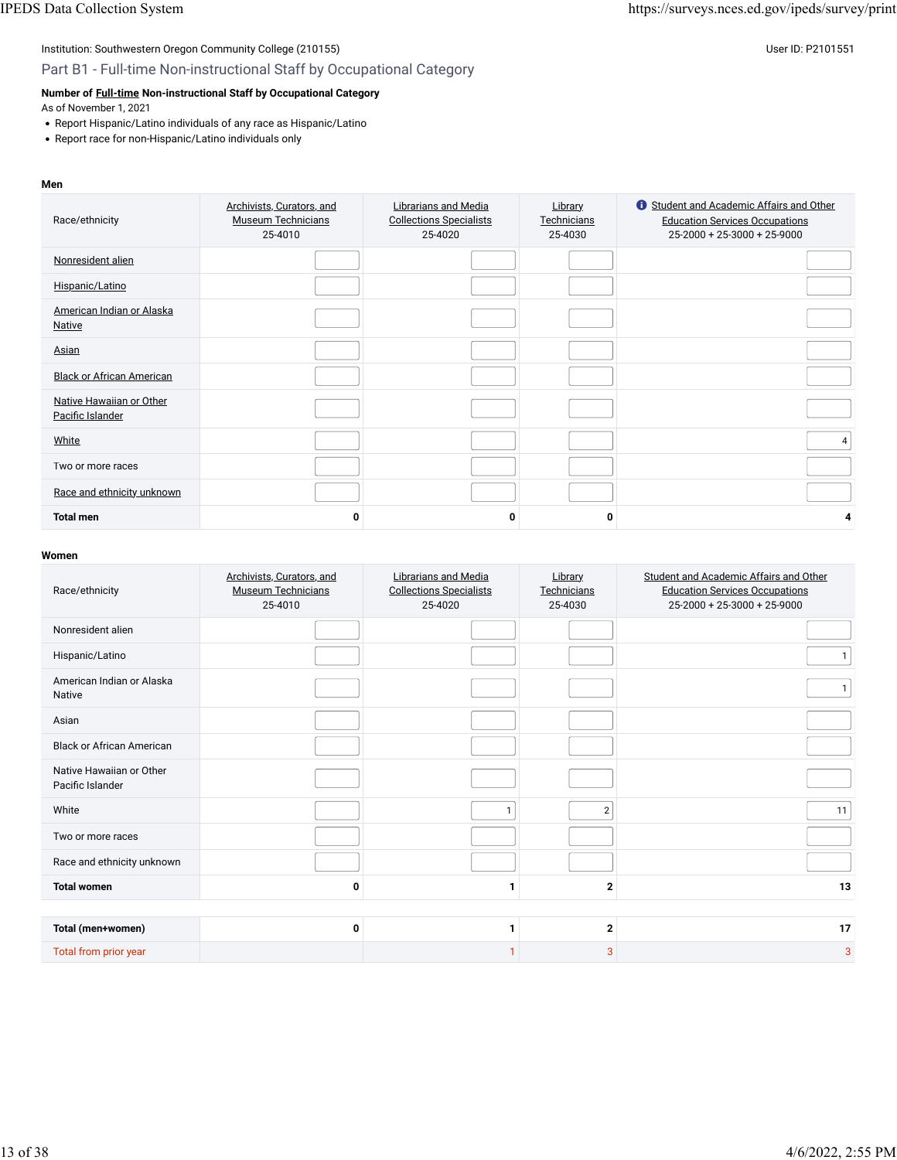### Part B1 - Full-time Non-instructional Staff by Occupational Category

### **Number of [Full-time](javascript:openglossary(257)) Non-instructional Staff by Occupational Category**

As of November 1, 2021

- Report Hispanic/Latino individuals of any race as Hispanic/Latino
- Report race for non-Hispanic/Latino individuals only

#### **Men**

| Race/ethnicity                               | Archivists, Curators, and<br><b>Museum Technicians</b><br>25-4010 | Librarians and Media<br><b>Collections Specialists</b><br>25-4020 | <b>Library</b><br>Technicians<br>25-4030 | <b>C</b> Student and Academic Affairs and Other<br><b>Education Services Occupations</b><br>25-2000 + 25-3000 + 25-9000 |
|----------------------------------------------|-------------------------------------------------------------------|-------------------------------------------------------------------|------------------------------------------|-------------------------------------------------------------------------------------------------------------------------|
| Nonresident alien                            |                                                                   |                                                                   |                                          |                                                                                                                         |
| Hispanic/Latino                              |                                                                   |                                                                   |                                          |                                                                                                                         |
| American Indian or Alaska<br><b>Native</b>   |                                                                   |                                                                   |                                          |                                                                                                                         |
| Asian                                        |                                                                   |                                                                   |                                          |                                                                                                                         |
| <b>Black or African American</b>             |                                                                   |                                                                   |                                          |                                                                                                                         |
| Native Hawaiian or Other<br>Pacific Islander |                                                                   |                                                                   |                                          |                                                                                                                         |
| White                                        |                                                                   |                                                                   |                                          | 4                                                                                                                       |
| Two or more races                            |                                                                   |                                                                   |                                          |                                                                                                                         |
| Race and ethnicity unknown                   |                                                                   |                                                                   |                                          |                                                                                                                         |
| <b>Total men</b>                             | O                                                                 | 0                                                                 | 0                                        | 4                                                                                                                       |

| Race/ethnicity                               | Archivists, Curators, and<br><b>Museum Technicians</b><br>25-4010 | <b>Librarians and Media</b><br><b>Collections Specialists</b><br>25-4020 | <b>Library</b><br>Technicians<br>25-4030 | Student and Academic Affairs and Other<br><b>Education Services Occupations</b><br>$25-2000 + 25-3000 + 25-9000$ |
|----------------------------------------------|-------------------------------------------------------------------|--------------------------------------------------------------------------|------------------------------------------|------------------------------------------------------------------------------------------------------------------|
| Nonresident alien                            |                                                                   |                                                                          |                                          |                                                                                                                  |
| Hispanic/Latino                              |                                                                   |                                                                          |                                          |                                                                                                                  |
| American Indian or Alaska<br><b>Native</b>   |                                                                   |                                                                          |                                          |                                                                                                                  |
| Asian                                        |                                                                   |                                                                          |                                          |                                                                                                                  |
| <b>Black or African American</b>             |                                                                   |                                                                          |                                          |                                                                                                                  |
| Native Hawaiian or Other<br>Pacific Islander |                                                                   |                                                                          |                                          |                                                                                                                  |
| White                                        |                                                                   |                                                                          | $\overline{2}$                           | 11                                                                                                               |
| Two or more races                            |                                                                   |                                                                          |                                          |                                                                                                                  |
| Race and ethnicity unknown                   |                                                                   |                                                                          |                                          |                                                                                                                  |
| <b>Total women</b>                           | 0                                                                 |                                                                          | $\mathbf{2}$                             | 13                                                                                                               |
|                                              |                                                                   |                                                                          |                                          |                                                                                                                  |
| Total (men+women)                            | 0                                                                 |                                                                          | $\mathbf{2}$                             | 17                                                                                                               |
| Total from prior year                        |                                                                   |                                                                          | 3                                        | 3                                                                                                                |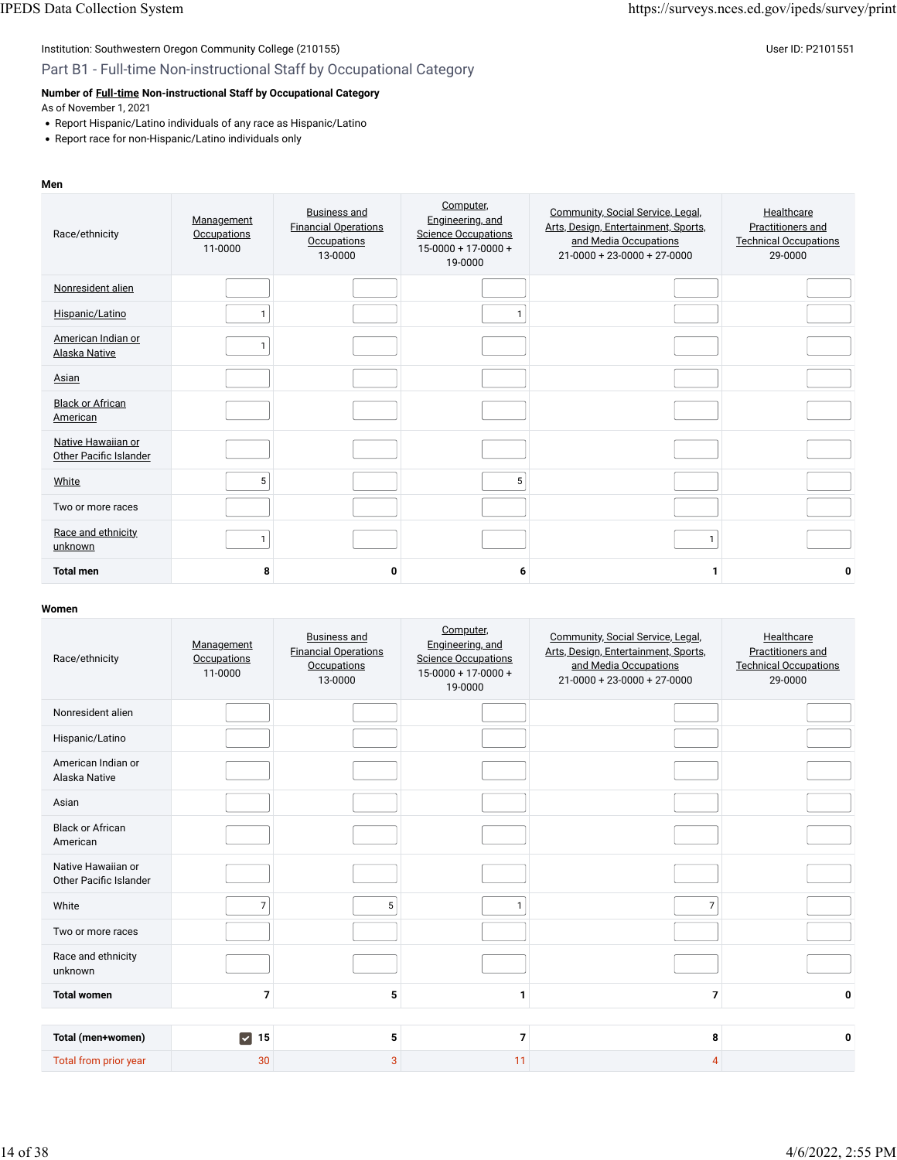### Part B1 - Full-time Non-instructional Staff by Occupational Category

## **Number of [Full-time](javascript:openglossary(257)) Non-instructional Staff by Occupational Category**

As of November 1, 2021

- Report Hispanic/Latino individuals of any race as Hispanic/Latino
- Report race for non-Hispanic/Latino individuals only

#### **Men**

| Race/ethnicity                               | Management<br>Occupations<br>11-0000 | <b>Business and</b><br><b>Financial Operations</b><br>Occupations<br>13-0000 | Computer,<br>Engineering, and<br><b>Science Occupations</b><br>$15-0000+17-0000+$<br>19-0000 | Community, Social Service, Legal,<br>Arts, Design, Entertainment, Sports,<br>and Media Occupations<br>$21 - 0000 + 23 - 0000 + 27 - 0000$ | Healthcare<br>Practitioners and<br><b>Technical Occupations</b><br>29-0000 |
|----------------------------------------------|--------------------------------------|------------------------------------------------------------------------------|----------------------------------------------------------------------------------------------|-------------------------------------------------------------------------------------------------------------------------------------------|----------------------------------------------------------------------------|
| Nonresident alien                            |                                      |                                                                              |                                                                                              |                                                                                                                                           |                                                                            |
| Hispanic/Latino                              |                                      |                                                                              |                                                                                              |                                                                                                                                           |                                                                            |
| American Indian or<br>Alaska Native          |                                      |                                                                              |                                                                                              |                                                                                                                                           |                                                                            |
| Asian                                        |                                      |                                                                              |                                                                                              |                                                                                                                                           |                                                                            |
| <b>Black or African</b><br>American          |                                      |                                                                              |                                                                                              |                                                                                                                                           |                                                                            |
| Native Hawaiian or<br>Other Pacific Islander |                                      |                                                                              |                                                                                              |                                                                                                                                           |                                                                            |
| White                                        | 5                                    |                                                                              | 5                                                                                            |                                                                                                                                           |                                                                            |
| Two or more races                            |                                      |                                                                              |                                                                                              |                                                                                                                                           |                                                                            |
| Race and ethnicity<br>unknown                |                                      |                                                                              |                                                                                              |                                                                                                                                           |                                                                            |
| <b>Total men</b>                             | 8                                    | 0                                                                            | 6                                                                                            |                                                                                                                                           | 0                                                                          |

| Race/ethnicity                               | Management<br><b>Occupations</b><br>11-0000 | <b>Business and</b><br><b>Financial Operations</b><br>Occupations<br>13-0000 | Computer,<br>Engineering, and<br><b>Science Occupations</b><br>$15-0000 + 17-0000 +$<br>19-0000 | Community, Social Service, Legal,<br>Arts, Design, Entertainment, Sports,<br>and Media Occupations<br>$21 - 0000 + 23 - 0000 + 27 - 0000$ | Healthcare<br>Practitioners and<br><b>Technical Occupations</b><br>29-0000 |
|----------------------------------------------|---------------------------------------------|------------------------------------------------------------------------------|-------------------------------------------------------------------------------------------------|-------------------------------------------------------------------------------------------------------------------------------------------|----------------------------------------------------------------------------|
| Nonresident alien                            |                                             |                                                                              |                                                                                                 |                                                                                                                                           |                                                                            |
| Hispanic/Latino                              |                                             |                                                                              |                                                                                                 |                                                                                                                                           |                                                                            |
| American Indian or<br>Alaska Native          |                                             |                                                                              |                                                                                                 |                                                                                                                                           |                                                                            |
| Asian                                        |                                             |                                                                              |                                                                                                 |                                                                                                                                           |                                                                            |
| <b>Black or African</b><br>American          |                                             |                                                                              |                                                                                                 |                                                                                                                                           |                                                                            |
| Native Hawaiian or<br>Other Pacific Islander |                                             |                                                                              |                                                                                                 |                                                                                                                                           |                                                                            |
| White                                        | $\overline{7}$                              | 5                                                                            |                                                                                                 | $\overline{7}$                                                                                                                            |                                                                            |
| Two or more races                            |                                             |                                                                              |                                                                                                 |                                                                                                                                           |                                                                            |
| Race and ethnicity<br>unknown                |                                             |                                                                              |                                                                                                 |                                                                                                                                           |                                                                            |
| <b>Total women</b>                           | $\overline{7}$                              | 5                                                                            | 1                                                                                               | $\overline{7}$                                                                                                                            | 0                                                                          |
|                                              |                                             |                                                                              |                                                                                                 |                                                                                                                                           |                                                                            |
| Total (men+women)                            | $\triangleright$ 15                         | 5                                                                            | 7                                                                                               | 8                                                                                                                                         | 0                                                                          |
| Total from prior year                        | 30                                          | 3                                                                            | 11                                                                                              | 4                                                                                                                                         |                                                                            |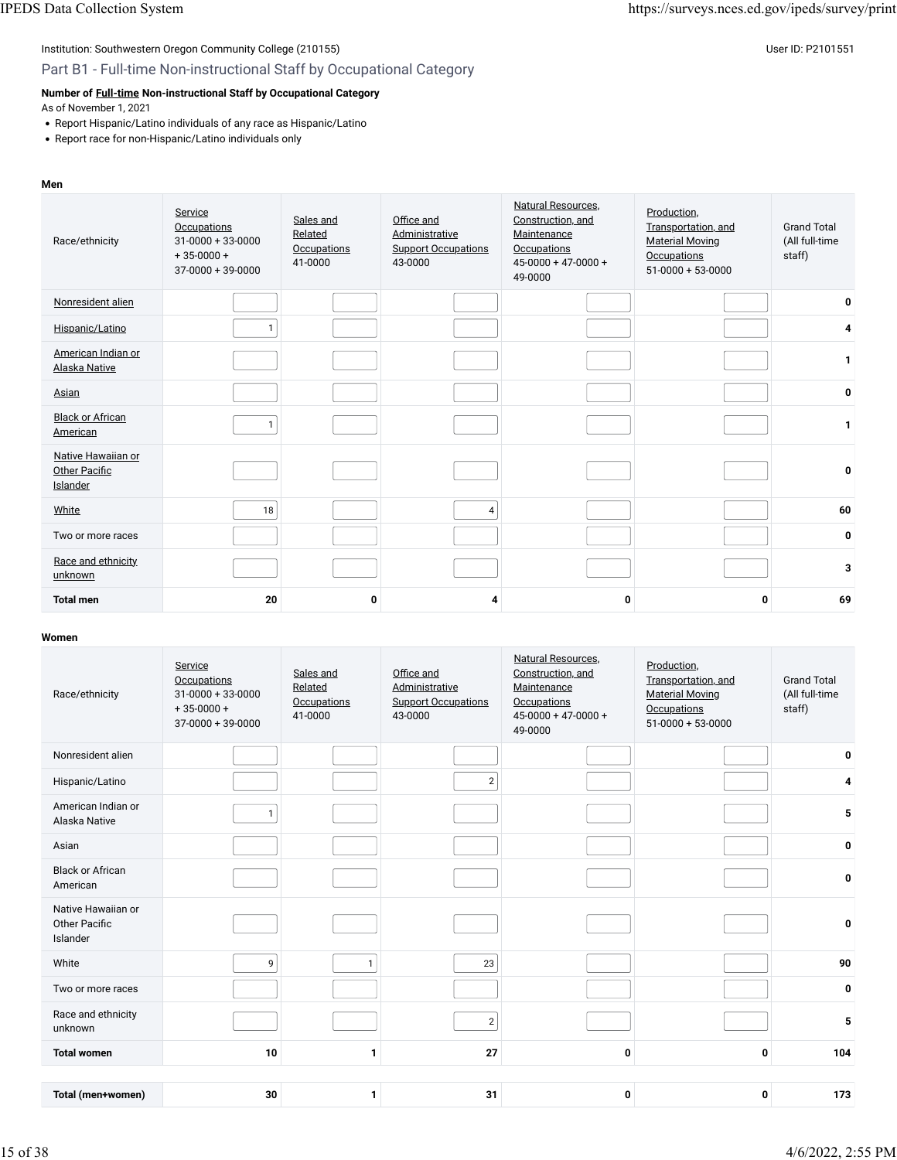### Part B1 - Full-time Non-instructional Staff by Occupational Category

### **Number of [Full-time](javascript:openglossary(257)) Non-instructional Staff by Occupational Category**

As of November 1, 2021

- Report Hispanic/Latino individuals of any race as Hispanic/Latino
- Report race for non-Hispanic/Latino individuals only

#### **Men**

| Race/ethnicity                                         | Service<br>Occupations<br>$31 - 0000 + 33 - 0000$<br>$+35-0000+$<br>$37-0000+39-0000$ | Sales and<br>Related<br>Occupations<br>41-0000 | Office and<br>Administrative<br><b>Support Occupations</b><br>43-0000 | Natural Resources.<br>Construction, and<br>Maintenance<br><b>Occupations</b><br>$45 - 0000 + 47 - 0000 +$<br>49-0000 | Production,<br>Transportation, and<br><b>Material Moving</b><br>Occupations<br>$51-0000 + 53-0000$ | <b>Grand Total</b><br>(All full-time<br>staff) |
|--------------------------------------------------------|---------------------------------------------------------------------------------------|------------------------------------------------|-----------------------------------------------------------------------|----------------------------------------------------------------------------------------------------------------------|----------------------------------------------------------------------------------------------------|------------------------------------------------|
| Nonresident alien                                      |                                                                                       |                                                |                                                                       |                                                                                                                      |                                                                                                    | 0                                              |
| Hispanic/Latino                                        | 1                                                                                     |                                                |                                                                       |                                                                                                                      |                                                                                                    | 4                                              |
| American Indian or<br><b>Alaska Native</b>             |                                                                                       |                                                |                                                                       |                                                                                                                      |                                                                                                    | $\mathbf{1}$                                   |
| Asian                                                  |                                                                                       |                                                |                                                                       |                                                                                                                      |                                                                                                    | 0                                              |
| <b>Black or African</b><br>American                    |                                                                                       |                                                |                                                                       |                                                                                                                      |                                                                                                    | 1                                              |
| Native Hawaiian or<br><b>Other Pacific</b><br>Islander |                                                                                       |                                                |                                                                       |                                                                                                                      |                                                                                                    | 0                                              |
| White                                                  | 18                                                                                    |                                                | $\overline{4}$                                                        |                                                                                                                      |                                                                                                    | 60                                             |
| Two or more races                                      |                                                                                       |                                                |                                                                       |                                                                                                                      |                                                                                                    | $\mathbf{0}$                                   |
| Race and ethnicity<br>unknown                          |                                                                                       |                                                |                                                                       |                                                                                                                      |                                                                                                    | 3                                              |
| <b>Total men</b>                                       | 20                                                                                    | 0                                              | 4                                                                     | 0                                                                                                                    | 0                                                                                                  | 69                                             |

| Race/ethnicity                                         | Service<br><b>Occupations</b><br>$31 - 0000 + 33 - 0000$<br>$+35-0000+$<br>$37-0000+39-0000$ | Sales and<br>Related<br><b>Occupations</b><br>41-0000 | Office and<br>Administrative<br><b>Support Occupations</b><br>43-0000 | <b>Natural Resources.</b><br>Construction, and<br>Maintenance<br><b>Occupations</b><br>$45-0000 + 47-0000 +$<br>49-0000 | Production,<br>Transportation, and<br><b>Material Moving</b><br>Occupations<br>$51-0000+53-0000$ | <b>Grand Total</b><br>(All full-time<br>staff) |
|--------------------------------------------------------|----------------------------------------------------------------------------------------------|-------------------------------------------------------|-----------------------------------------------------------------------|-------------------------------------------------------------------------------------------------------------------------|--------------------------------------------------------------------------------------------------|------------------------------------------------|
| Nonresident alien                                      |                                                                                              |                                                       |                                                                       |                                                                                                                         |                                                                                                  | 0                                              |
| Hispanic/Latino                                        |                                                                                              |                                                       | $\overline{2}$                                                        |                                                                                                                         |                                                                                                  | 4                                              |
| American Indian or<br>Alaska Native                    | $\mathbf{1}$                                                                                 |                                                       |                                                                       |                                                                                                                         |                                                                                                  | 5                                              |
| Asian                                                  |                                                                                              |                                                       |                                                                       |                                                                                                                         |                                                                                                  | $\mathbf 0$                                    |
| <b>Black or African</b><br>American                    |                                                                                              |                                                       |                                                                       |                                                                                                                         |                                                                                                  | 0                                              |
| Native Hawaiian or<br><b>Other Pacific</b><br>Islander |                                                                                              |                                                       |                                                                       |                                                                                                                         |                                                                                                  | 0                                              |
| White                                                  | 9                                                                                            | $\mathbf{1}$                                          | 23                                                                    |                                                                                                                         |                                                                                                  | 90                                             |
| Two or more races                                      |                                                                                              |                                                       |                                                                       |                                                                                                                         |                                                                                                  | $\mathbf 0$                                    |
| Race and ethnicity<br>unknown                          |                                                                                              |                                                       | $\overline{2}$                                                        |                                                                                                                         |                                                                                                  | 5                                              |
| <b>Total women</b>                                     | 10                                                                                           | $\mathbf{1}$                                          | 27                                                                    | 0                                                                                                                       | 0                                                                                                | 104                                            |
|                                                        |                                                                                              |                                                       |                                                                       |                                                                                                                         |                                                                                                  |                                                |
| Total (men+women)                                      | 30                                                                                           | 1                                                     | 31                                                                    | 0                                                                                                                       | 0                                                                                                | 173                                            |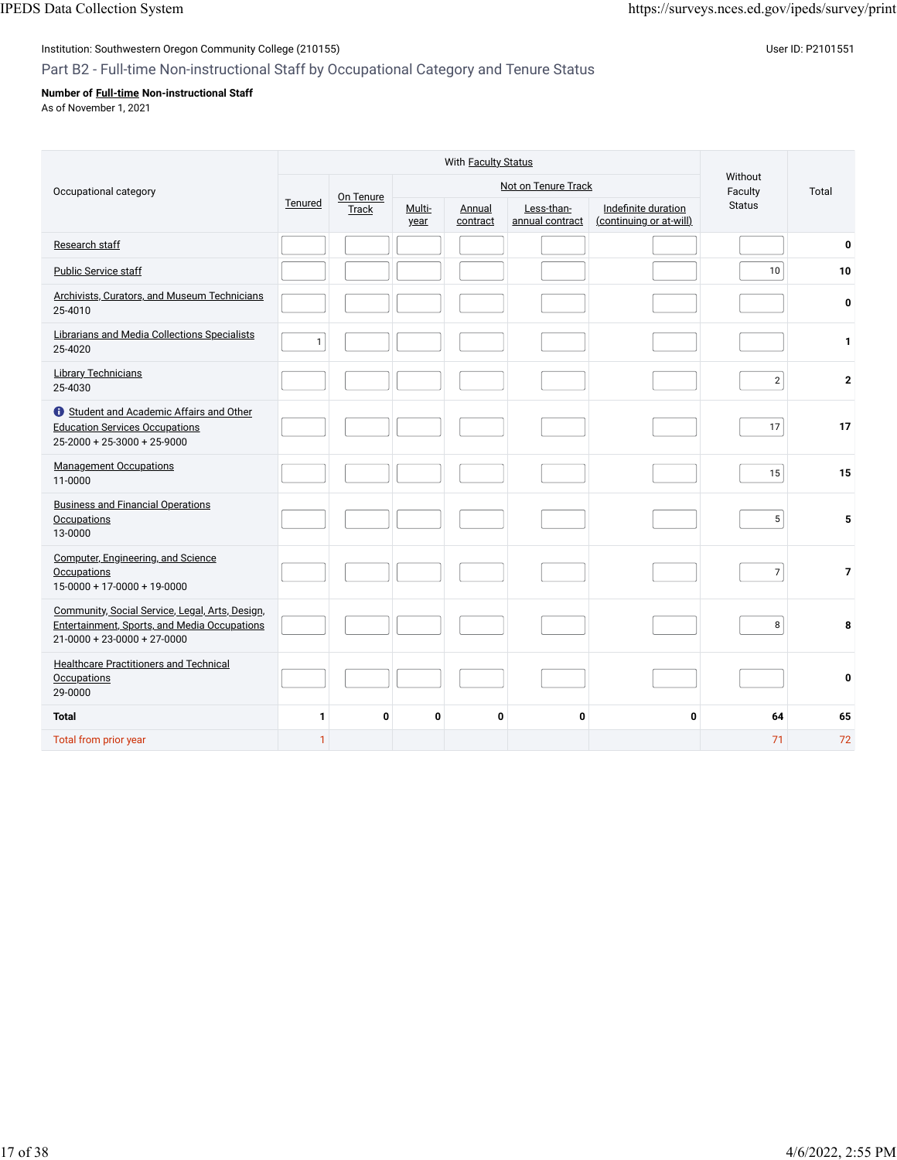### Institution: Southwestern Oregon Community College (210155) Contract the Contract of Contract of Contract of Co

### Part B2 - Full-time Non-instructional Staff by Occupational Category and Tenure Status

### **Number of [Full-time](javascript:openglossary(257)) Non-instructional Staff**

As of November 1, 2021

|                                                                                                                                        |              |           | Without        |                                                     |             |                                                |                |                |
|----------------------------------------------------------------------------------------------------------------------------------------|--------------|-----------|----------------|-----------------------------------------------------|-------------|------------------------------------------------|----------------|----------------|
| Occupational category                                                                                                                  |              | On Tenure |                | Not on Tenure Track                                 | Faculty     | Total                                          |                |                |
|                                                                                                                                        | Tenured      | Track     | Multi-<br>year | Less-than-<br>Annual<br>annual contract<br>contract |             | Indefinite duration<br>(continuing or at-will) | <b>Status</b>  |                |
| Research staff                                                                                                                         |              |           |                |                                                     |             |                                                |                | $\bf{0}$       |
| <b>Public Service staff</b>                                                                                                            |              |           |                |                                                     |             |                                                | 10             | 10             |
| Archivists, Curators, and Museum Technicians<br>25-4010                                                                                |              |           |                |                                                     |             |                                                |                | $\mathbf 0$    |
| Librarians and Media Collections Specialists<br>25-4020                                                                                | $\mathbf{1}$ |           |                |                                                     |             |                                                |                | 1              |
| <b>Library Technicians</b><br>25-4030                                                                                                  |              |           |                |                                                     |             |                                                | $\overline{2}$ | $\mathbf{2}$   |
| Student and Academic Affairs and Other<br><b>Education Services Occupations</b><br>$25-2000 + 25-3000 + 25-9000$                       |              |           |                |                                                     |             |                                                | 17             | 17             |
| <b>Management Occupations</b><br>11-0000                                                                                               |              |           |                |                                                     |             |                                                | 15             | 15             |
| <b>Business and Financial Operations</b><br><b>Occupations</b><br>13-0000                                                              |              |           |                |                                                     |             |                                                | 5              | 5              |
| Computer, Engineering, and Science<br>Occupations<br>$15-0000 + 17-0000 + 19-0000$                                                     |              |           |                |                                                     |             |                                                | $\overline{7}$ | $\overline{7}$ |
| Community, Social Service, Legal, Arts, Design,<br>Entertainment, Sports, and Media Occupations<br>$21 - 0000 + 23 - 0000 + 27 - 0000$ |              |           |                |                                                     |             |                                                | 8              | 8              |
| <b>Healthcare Practitioners and Technical</b><br>Occupations<br>29-0000                                                                |              |           |                |                                                     |             |                                                |                | 0              |
| <b>Total</b>                                                                                                                           | $\mathbf{1}$ | 0         | 0              | 0                                                   | $\mathbf 0$ | 0                                              | 64             | 65             |
| Total from prior year                                                                                                                  | $\mathbf{1}$ |           |                |                                                     |             |                                                | 71             | 72             |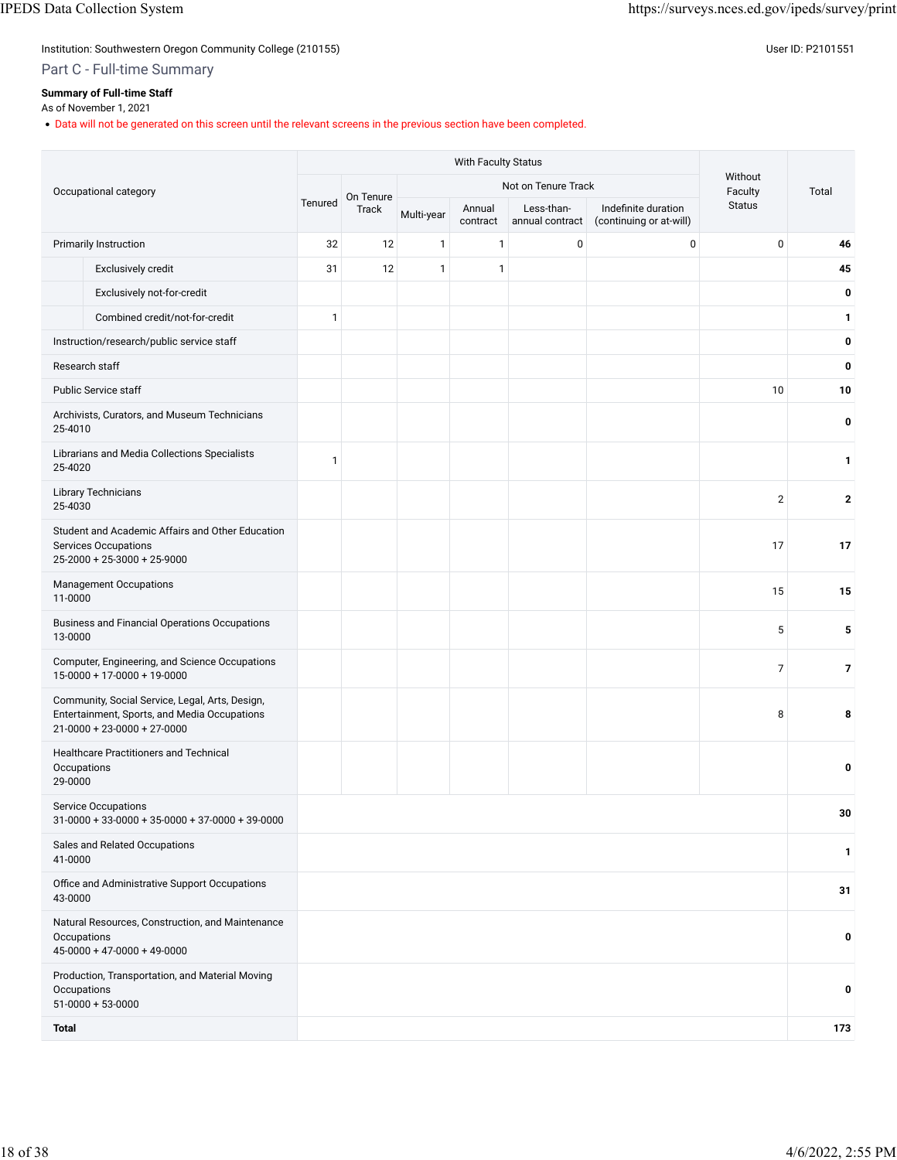Institution: Southwestern Oregon Community College (210155) Contract the Contract of Contract of Contract of Co

Part C - Full-time Summary

### **Summary of Full-time Staff**

### As of November 1, 2021

• Data will not be generated on this screen until the relevant screens in the previous section have been completed.

| Occupational category                                                                                                                  |         | On Tenure |              |                    | Not on Tenure Track           |                                                | Without<br>Faculty | Total        |
|----------------------------------------------------------------------------------------------------------------------------------------|---------|-----------|--------------|--------------------|-------------------------------|------------------------------------------------|--------------------|--------------|
|                                                                                                                                        | Tenured | Track     | Multi-year   | Annual<br>contract | Less-than-<br>annual contract | Indefinite duration<br>(continuing or at-will) | <b>Status</b>      |              |
| Primarily Instruction                                                                                                                  | 32      | 12        | $\mathbf{1}$ | $\mathbf{1}$       | $\pmb{0}$                     | $\mathbf 0$                                    | 0                  | 46           |
| Exclusively credit                                                                                                                     | 31      | 12        | $\mathbf{1}$ | $\mathbf{1}$       |                               |                                                |                    | 45           |
| Exclusively not-for-credit                                                                                                             |         |           |              |                    |                               |                                                |                    | 0            |
| Combined credit/not-for-credit                                                                                                         | 1       |           |              |                    |                               |                                                |                    | 1            |
| Instruction/research/public service staff                                                                                              |         |           |              |                    |                               |                                                |                    | 0            |
| Research staff                                                                                                                         |         |           |              |                    |                               |                                                |                    | 0            |
| <b>Public Service staff</b>                                                                                                            |         |           |              |                    |                               |                                                | 10                 | 10           |
| Archivists, Curators, and Museum Technicians<br>25-4010                                                                                |         |           |              |                    |                               |                                                |                    | 0            |
| Librarians and Media Collections Specialists<br>25-4020                                                                                | 1       |           |              |                    |                               |                                                |                    | $\mathbf{1}$ |
| <b>Library Technicians</b><br>25-4030                                                                                                  |         |           |              |                    |                               |                                                | $\mathbf{2}$       | $\mathbf 2$  |
| Student and Academic Affairs and Other Education<br><b>Services Occupations</b><br>$25-2000 + 25-3000 + 25-9000$                       |         |           |              |                    |                               |                                                | 17                 | 17           |
| <b>Management Occupations</b><br>11-0000                                                                                               |         |           |              |                    |                               |                                                | 15                 | 15           |
| <b>Business and Financial Operations Occupations</b><br>13-0000                                                                        |         |           |              |                    |                               |                                                | 5                  | 5            |
| Computer, Engineering, and Science Occupations<br>$15-0000 + 17-0000 + 19-0000$                                                        |         |           |              |                    |                               |                                                | $\overline{7}$     | 7            |
| Community, Social Service, Legal, Arts, Design,<br>Entertainment, Sports, and Media Occupations<br>$21 - 0000 + 23 - 0000 + 27 - 0000$ |         |           |              |                    |                               |                                                | 8                  | 8            |
| <b>Healthcare Practitioners and Technical</b><br>Occupations<br>29-0000                                                                |         |           |              |                    |                               |                                                |                    | 0            |
| <b>Service Occupations</b><br>$31-0000 + 33-0000 + 35-0000 + 37-0000 + 39-0000$                                                        |         |           |              |                    |                               |                                                |                    | 30           |
| Sales and Related Occupations<br>41-0000                                                                                               |         |           |              |                    |                               |                                                |                    | 1            |
| Office and Administrative Support Occupations<br>43-0000                                                                               |         |           |              |                    |                               |                                                |                    | 31           |
| Natural Resources, Construction, and Maintenance<br>Occupations<br>$45-0000 + 47-0000 + 49-0000$                                       |         |           |              |                    |                               |                                                |                    | 0            |
| Production, Transportation, and Material Moving<br>Occupations<br>$51-0000 + 53-0000$                                                  |         |           |              |                    |                               |                                                |                    | 0            |
| <b>Total</b>                                                                                                                           |         |           |              |                    |                               |                                                |                    | 173          |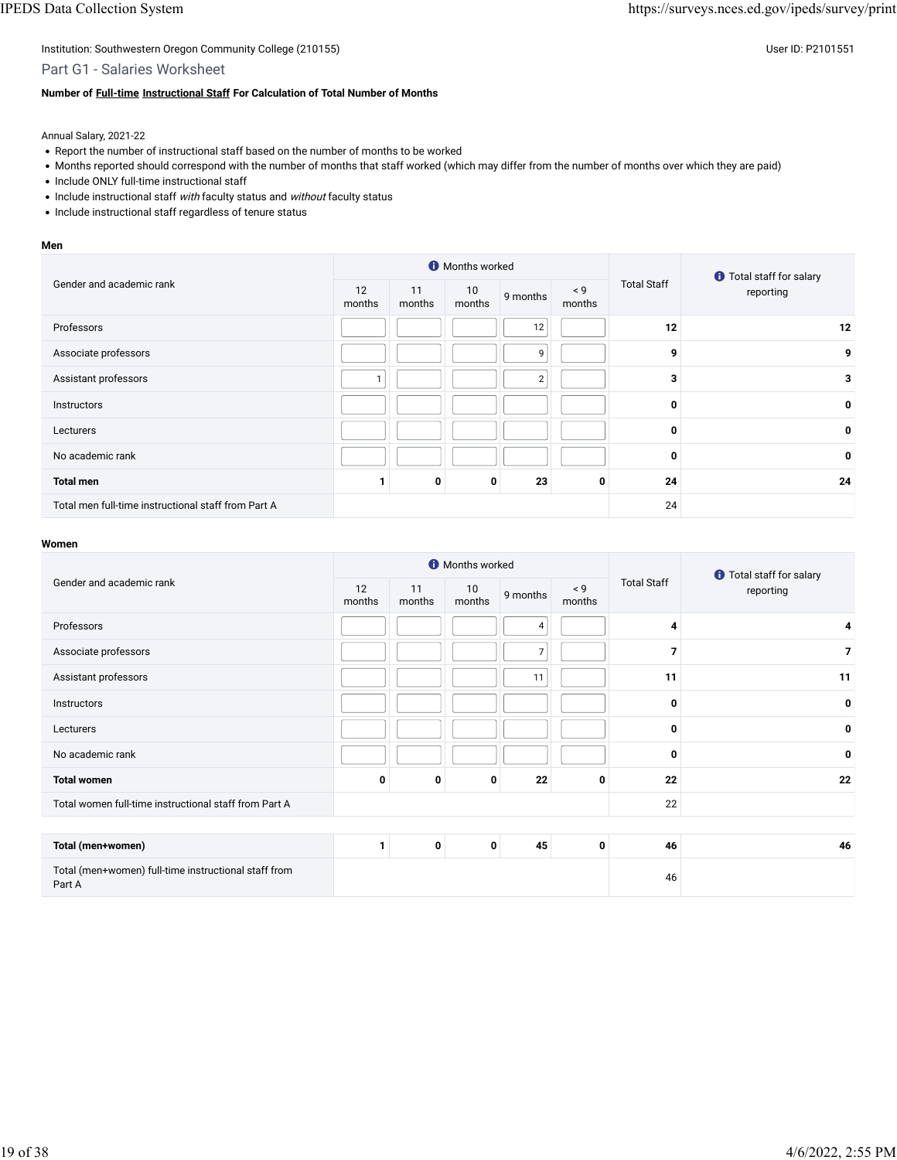Part G1 - Salaries Worksheet

#### **Number of [Full-time](javascript:openglossary(257)) [Instructional Staff](javascript:openglossary(996)) For Calculation of Total Number of Months**

Annual Salary, 2021-22

- Report the number of instructional staff based on the number of months to be worked
- Months reported should correspond with the number of months that staff worked (which may differ from the number of months over which they are paid)
- Include ONLY full-time instructional staff
- Include instructional staff with faculty status and without faculty status
- Include instructional staff regardless of tenure status

#### **Men**

|                                                     |              |              | <b>O</b> Months worked |                |                    |                    | <b>O</b> Total staff for salary |  |
|-----------------------------------------------------|--------------|--------------|------------------------|----------------|--------------------|--------------------|---------------------------------|--|
| Gender and academic rank                            | 12<br>months | 11<br>months | 10<br>months           | 9 months       | $\leq 9$<br>months | <b>Total Staff</b> | reporting                       |  |
| Professors                                          |              |              |                        | 12             |                    | 12                 | 12                              |  |
| Associate professors                                |              |              |                        | 9              |                    | 9                  | 9                               |  |
| Assistant professors                                |              |              |                        | $\overline{2}$ |                    | 3                  | 3                               |  |
| Instructors                                         |              |              |                        |                |                    | 0                  | 0                               |  |
| Lecturers                                           |              |              |                        |                |                    | 0                  | 0                               |  |
| No academic rank                                    |              |              |                        |                |                    | 0                  | 0                               |  |
| <b>Total men</b>                                    |              | 0            | 0                      | 23             | 0                  | 24                 | 24                              |  |
| Total men full-time instructional staff from Part A |              |              |                        |                |                    | 24                 |                                 |  |

|                                                                |                              |   | <b>O</b> Months worked |                    |             |                    | <b>O</b> Total staff for salary |  |
|----------------------------------------------------------------|------------------------------|---|------------------------|--------------------|-------------|--------------------|---------------------------------|--|
| Gender and academic rank                                       | 12<br>11<br>months<br>months |   | 10<br>months           | 9 months<br>months |             | <b>Total Staff</b> | reporting                       |  |
| Professors                                                     |                              |   |                        | 4                  |             | 4                  | 4                               |  |
| Associate professors                                           |                              |   |                        | $\overline{7}$     |             | 7                  | $\overline{7}$                  |  |
| Assistant professors                                           |                              |   |                        | 11                 |             | 11                 | 11                              |  |
| Instructors                                                    |                              |   |                        |                    |             | 0                  | 0                               |  |
| Lecturers                                                      |                              |   |                        |                    |             | 0                  | 0                               |  |
| No academic rank                                               |                              |   |                        |                    |             | 0                  | 0                               |  |
| <b>Total women</b>                                             | 0                            | 0 | 0                      | 22                 | 0           | 22                 | 22                              |  |
| Total women full-time instructional staff from Part A          |                              |   |                        |                    |             | 22                 |                                 |  |
|                                                                |                              |   |                        |                    |             |                    |                                 |  |
| Total (men+women)                                              | 1                            | 0 | 0                      | 45                 | $\mathbf 0$ | 46                 | 46                              |  |
| Total (men+women) full-time instructional staff from<br>Part A |                              |   |                        |                    |             | 46                 |                                 |  |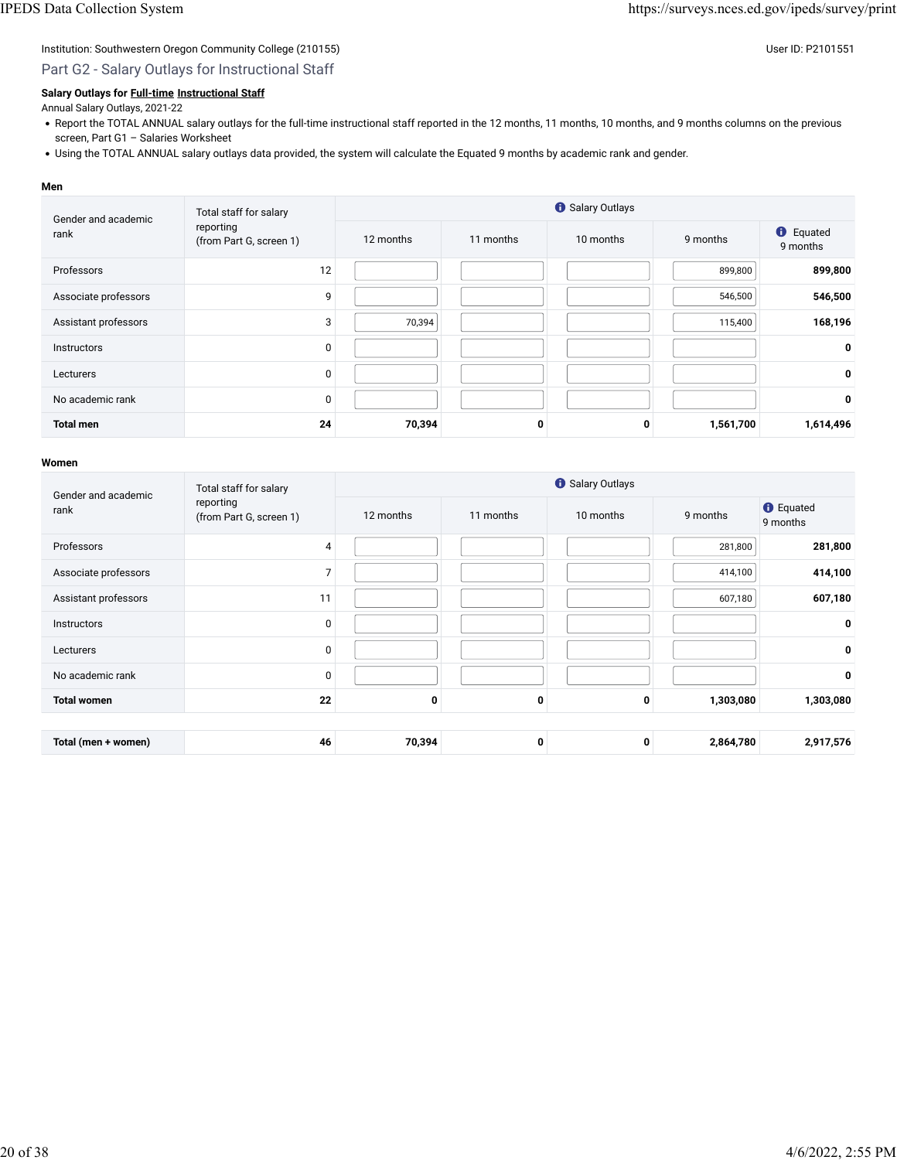### Part G2 - Salary Outlays for Instructional Staff

#### **Salary Outlays for [Full-time](javascript:openglossary(257)) [Instructional Staff](javascript:openglossary(996))**

#### Annual Salary Outlays, 2021-22

- Report the TOTAL ANNUAL salary outlays for the full-time instructional staff reported in the 12 months, 11 months, 10 months, and 9 months columns on the previous screen, Part G1 – Salaries Worksheet
- Using the TOTAL ANNUAL salary outlays data provided, the system will calculate the Equated 9 months by academic rank and gender.

#### **Men**

| Gender and academic  | Total staff for salary               |           |           | Salary Outlays |           |                              |
|----------------------|--------------------------------------|-----------|-----------|----------------|-----------|------------------------------|
| rank                 | reporting<br>(from Part G, screen 1) | 12 months | 11 months | 10 months      | 9 months  | <b>O</b> Equated<br>9 months |
| Professors           | 12                                   |           |           |                | 899,800   | 899,800                      |
| Associate professors | 9                                    |           |           |                | 546,500   | 546,500                      |
| Assistant professors | 3                                    | 70,394    |           |                | 115,400   | 168,196                      |
| <b>Instructors</b>   | 0                                    |           |           |                |           | 0                            |
| Lecturers            | 0                                    |           |           |                |           | 0                            |
| No academic rank     | 0                                    |           |           |                |           | 0                            |
| <b>Total men</b>     | 24                                   | 70,394    | 0         | 0              | 1,561,700 | 1,614,496                    |

| Gender and academic  | Total staff for salary               |           | <b>O</b> Salary Outlays |           |           |                              |  |  |  |
|----------------------|--------------------------------------|-----------|-------------------------|-----------|-----------|------------------------------|--|--|--|
| rank                 | reporting<br>(from Part G, screen 1) | 12 months | 11 months               | 10 months | 9 months  | <b>O</b> Equated<br>9 months |  |  |  |
| Professors           | 4                                    |           |                         |           | 281,800   | 281,800                      |  |  |  |
| Associate professors | 7                                    |           |                         |           | 414,100   | 414,100                      |  |  |  |
| Assistant professors | 11                                   |           |                         |           | 607,180   | 607,180                      |  |  |  |
| <b>Instructors</b>   | $\mathbf 0$                          |           |                         |           |           | 0                            |  |  |  |
| Lecturers            | 0                                    |           |                         |           |           | 0                            |  |  |  |
| No academic rank     | 0                                    |           |                         |           |           | 0                            |  |  |  |
| <b>Total women</b>   | 22                                   | 0         | $\Omega$                | 0         | 1,303,080 | 1,303,080                    |  |  |  |
|                      |                                      |           |                         |           |           |                              |  |  |  |
| Total (men + women)  | 46                                   | 70,394    | 0                       | 0         | 2,864,780 | 2,917,576                    |  |  |  |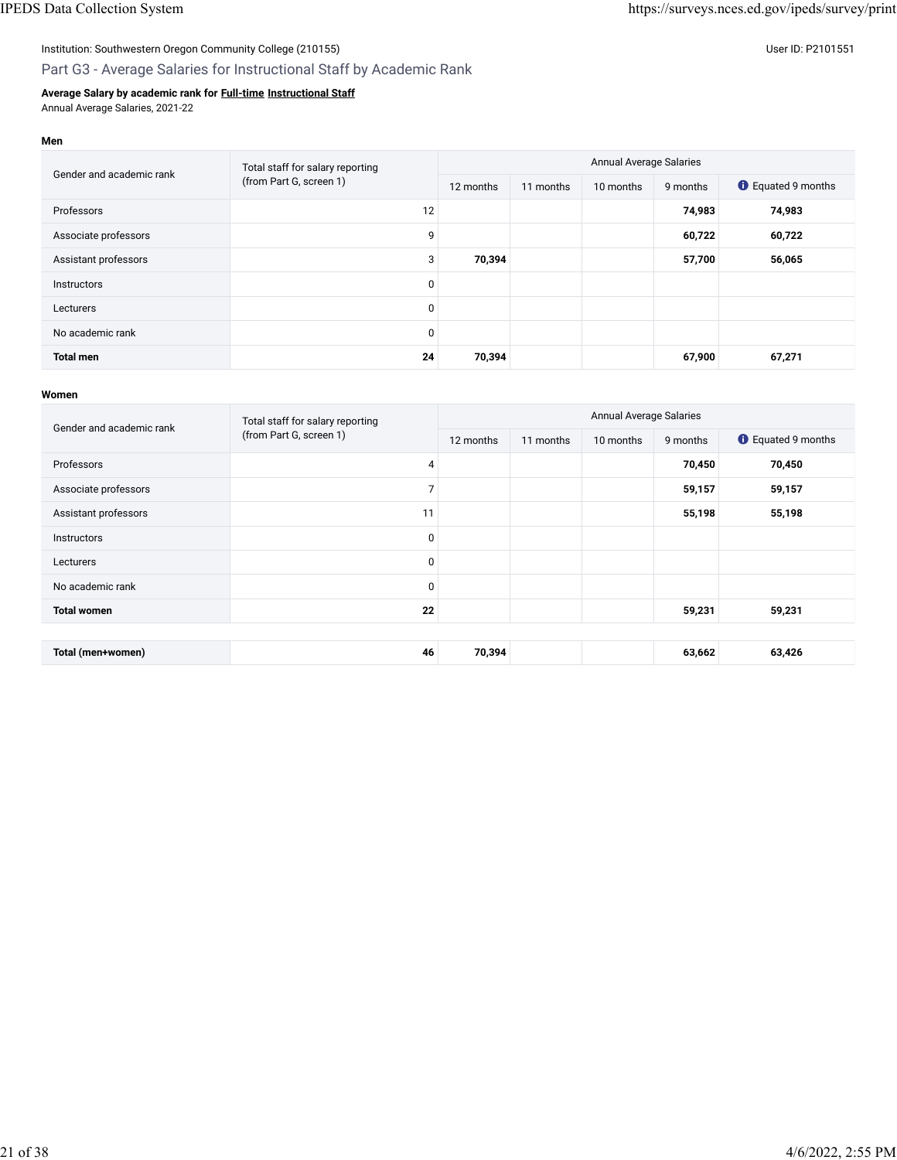## Institution: Southwestern Oregon Community College (210155) Contract the Contract of Contract of Contract of Co

## Part G3 - Average Salaries for Instructional Staff by Academic Rank

### **Average Salary by academic rank for [Full-time](javascript:openglossary(257)) [Instructional Staff](javascript:openglossary(996))** Annual Average Salaries, 2021-22

#### **Men**

| Gender and academic rank | Total staff for salary reporting<br>(from Part G, screen 1) | <b>Annual Average Salaries</b> |           |           |          |                           |  |
|--------------------------|-------------------------------------------------------------|--------------------------------|-----------|-----------|----------|---------------------------|--|
|                          |                                                             | 12 months                      | 11 months | 10 months | 9 months | <b>O</b> Equated 9 months |  |
| Professors               | 12                                                          |                                |           |           | 74,983   | 74,983                    |  |
| Associate professors     | 9                                                           |                                |           |           | 60,722   | 60,722                    |  |
| Assistant professors     | 3                                                           | 70,394                         |           |           | 57,700   | 56,065                    |  |
| Instructors              | $\mathbf{0}$                                                |                                |           |           |          |                           |  |
| Lecturers                | $\mathbf 0$                                                 |                                |           |           |          |                           |  |
| No academic rank         | 0                                                           |                                |           |           |          |                           |  |
| <b>Total men</b>         | 24                                                          | 70,394                         |           |           | 67,900   | 67,271                    |  |

| Gender and academic rank | Total staff for salary reporting | <b>Annual Average Salaries</b> |           |           |          |                           |  |  |
|--------------------------|----------------------------------|--------------------------------|-----------|-----------|----------|---------------------------|--|--|
|                          | (from Part G, screen 1)          | 12 months                      | 11 months | 10 months | 9 months | <b>C</b> Equated 9 months |  |  |
| Professors               | 4                                |                                |           |           | 70,450   | 70,450                    |  |  |
| Associate professors     | 7                                |                                |           |           | 59,157   | 59,157                    |  |  |
| Assistant professors     | 11                               |                                |           |           | 55,198   | 55,198                    |  |  |
| <b>Instructors</b>       | $\mathbf 0$                      |                                |           |           |          |                           |  |  |
| Lecturers                | $\mathbf 0$                      |                                |           |           |          |                           |  |  |
| No academic rank         | 0                                |                                |           |           |          |                           |  |  |
| <b>Total women</b>       | 22                               |                                |           |           | 59,231   | 59,231                    |  |  |
|                          |                                  |                                |           |           |          |                           |  |  |
| Total (men+women)        | 46                               | 70,394                         |           |           | 63,662   | 63,426                    |  |  |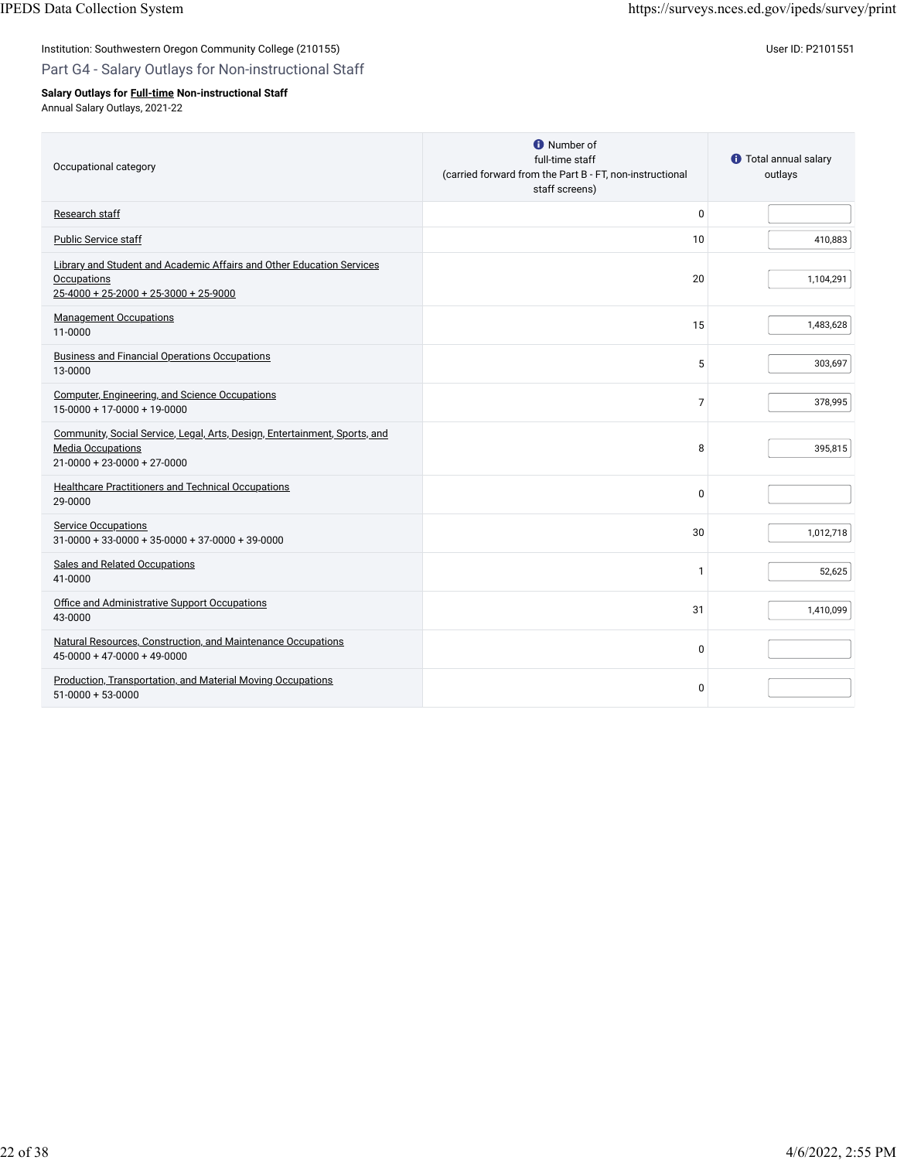### Part G4 - Salary Outlays for Non-instructional Staff

### **Salary Outlays for [Full-time](javascript:openglossary(257)) Non-instructional Staff**

Annual Salary Outlays, 2021-22

| Occupational category                                                                                                                         | <b>O</b> Number of<br>full-time staff<br>(carried forward from the Part B - FT, non-instructional<br>staff screens) | <b><i>O</i></b> Total annual salary<br>outlays |
|-----------------------------------------------------------------------------------------------------------------------------------------------|---------------------------------------------------------------------------------------------------------------------|------------------------------------------------|
| Research staff                                                                                                                                | $\mathbf 0$                                                                                                         |                                                |
| Public Service staff                                                                                                                          | 10                                                                                                                  | 410,883                                        |
| Library and Student and Academic Affairs and Other Education Services<br><b>Occupations</b><br>$25-4000 + 25-2000 + 25-3000 + 25-9000$        | 20                                                                                                                  | 1,104,291                                      |
| <b>Management Occupations</b><br>11-0000                                                                                                      | 15                                                                                                                  | 1,483,628                                      |
| <b>Business and Financial Operations Occupations</b><br>13-0000                                                                               | 5                                                                                                                   | 303,697                                        |
| <b>Computer, Engineering, and Science Occupations</b><br>$15-0000 + 17-0000 + 19-0000$                                                        | $\overline{7}$                                                                                                      | 378,995                                        |
| Community, Social Service, Legal, Arts, Design, Entertainment, Sports, and<br><b>Media Occupations</b><br>$21 - 0000 + 23 - 0000 + 27 - 0000$ | 8                                                                                                                   | 395,815                                        |
| <b>Healthcare Practitioners and Technical Occupations</b><br>29-0000                                                                          | $\Omega$                                                                                                            |                                                |
| <b>Service Occupations</b><br>$31-0000 + 33-0000 + 35-0000 + 37-0000 + 39-0000$                                                               | 30                                                                                                                  | 1,012,718                                      |
| <b>Sales and Related Occupations</b><br>41-0000                                                                                               | $\mathbf{1}$                                                                                                        | 52,625                                         |
| Office and Administrative Support Occupations<br>43-0000                                                                                      | 31                                                                                                                  | 1,410,099                                      |
| Natural Resources, Construction, and Maintenance Occupations<br>$45-0000 + 47-0000 + 49-0000$                                                 | $\mathbf 0$                                                                                                         |                                                |
| Production, Transportation, and Material Moving Occupations<br>$51-0000 + 53-0000$                                                            | $\Omega$                                                                                                            |                                                |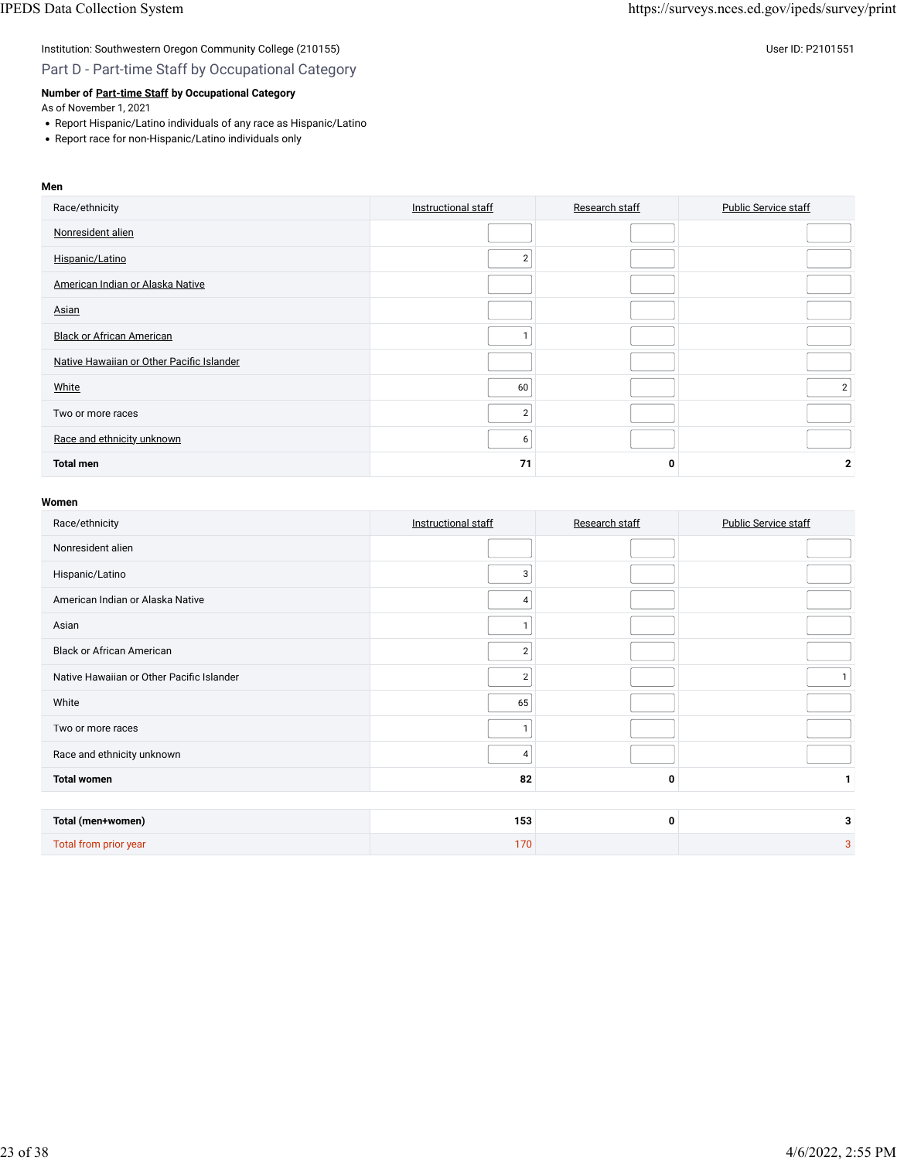### Institution: Southwestern Oregon Community College (210155) Contract the United States of the US P2101551 User ID: P2101551

Part D - Part-time Staff by Occupational Category

### **Number of [Part-time Staff](javascript:openglossary(467)) by Occupational Category**

As of November 1, 2021

- Report Hispanic/Latino individuals of any race as Hispanic/Latino
- Report race for non-Hispanic/Latino individuals only

## **Men** Race/ethnicity **[Instructional staff](javascript:openglossary(996))** [Research staff](javascript:openglossary(991)) [Public Service staff](javascript:openglossary(992)) Public Service staff [Nonresident alien](javascript:openglossary(419)) [Hispanic/Latino](javascript:openglossary(909)) 2 [American Indian or Alaska Native](javascript:openglossary(907)) [Asian](javascript:openglossary(908)) **[Black or African American](javascript:openglossary(906))** 1 **1** [Native Hawaiian or Other Paci](javascript:openglossary(910))fic Islander white the contract of  $\sim$  2  $\sim$  2  $\sim$  2  $\sim$  2  $\sim$  2  $\sim$  2  $\sim$  2  $\sim$  2  $\sim$  2  $\sim$  2  $\sim$  2  $\sim$  2  $\sim$  2  $\sim$  2  $\sim$  2  $\sim$  2  $\sim$  2  $\sim$  2  $\sim$  2  $\sim$  2  $\sim$  2  $\sim$  2  $\sim$  2  $\sim$  2  $\sim$  2  $\sim$  2  $\sim$  2  $\sim$  2  $\sim$ Two or more races 22 and 22 and 22 and 22 and 22 and 22 and 22 and 22 and 22 and 22 and 22 and 22 and 22 and 22 and 22 and 22 and 22 and 22 and 22 and 22 and 22 and 22 and 22 and 22 and 22 and 22 and 22 and 22 and 22 and 2 [Race and ethnicity unknown](javascript:openglossary(543)) 6 **Total men 71 0 2**

| Race/ethnicity                            | Instructional staff | Research staff | <b>Public Service staff</b> |
|-------------------------------------------|---------------------|----------------|-----------------------------|
| Nonresident alien                         |                     |                |                             |
| Hispanic/Latino                           | 3                   |                |                             |
| American Indian or Alaska Native          | 4                   |                |                             |
| Asian                                     |                     |                |                             |
| <b>Black or African American</b>          | $\overline{2}$      |                |                             |
| Native Hawaiian or Other Pacific Islander | $\overline{2}$      |                | $\mathbf{1}$                |
| White                                     | 65                  |                |                             |
| Two or more races                         |                     |                |                             |
| Race and ethnicity unknown                | 4                   |                |                             |
| <b>Total women</b>                        | 82                  | 0              |                             |
|                                           |                     |                |                             |
| Total (men+women)                         | 153                 | 0              | 3                           |
| Total from prior year                     | 170                 |                | 3                           |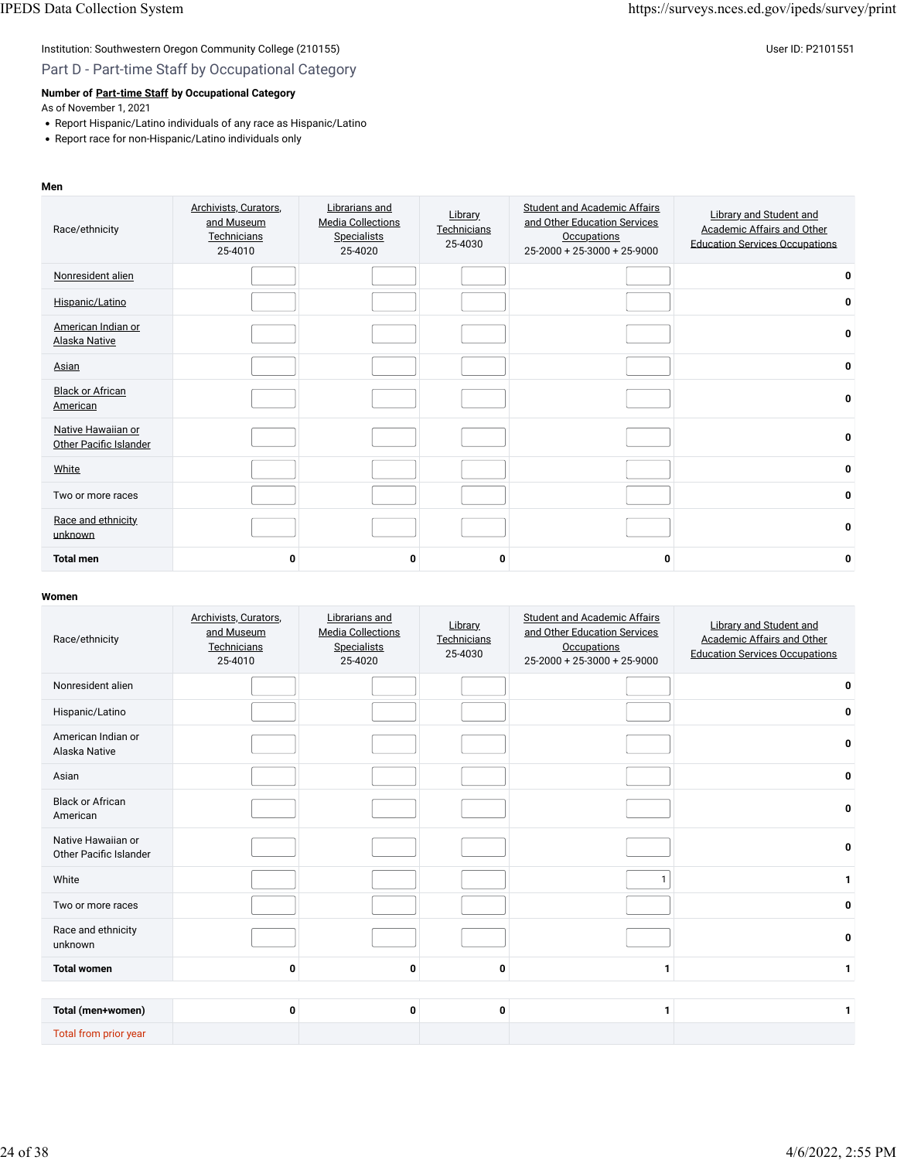Part D - Part-time Staff by Occupational Category

### **Number of [Part-time Staff](javascript:openglossary(467)) by Occupational Category**

As of November 1, 2021

- Report Hispanic/Latino individuals of any race as Hispanic/Latino
- Report race for non-Hispanic/Latino individuals only

#### **Men**

| Race/ethnicity                               | Archivists, Curators,<br>and Museum<br>Technicians<br>25-4010 | Librarians and<br><b>Media Collections</b><br>Specialists<br>25-4020 | Library<br>Technicians<br>25-4030 | <b>Student and Academic Affairs</b><br>and Other Education Services<br><b>Occupations</b><br>$25-2000 + 25-3000 + 25-9000$ | <b>Library and Student and</b><br>Academic Affairs and Other<br><b>Education Services Occupations</b> |
|----------------------------------------------|---------------------------------------------------------------|----------------------------------------------------------------------|-----------------------------------|----------------------------------------------------------------------------------------------------------------------------|-------------------------------------------------------------------------------------------------------|
| Nonresident alien                            |                                                               |                                                                      |                                   |                                                                                                                            | 0                                                                                                     |
| Hispanic/Latino                              |                                                               |                                                                      |                                   |                                                                                                                            | 0                                                                                                     |
| American Indian or<br>Alaska Native          |                                                               |                                                                      |                                   |                                                                                                                            | 0                                                                                                     |
| Asian                                        |                                                               |                                                                      |                                   |                                                                                                                            | 0                                                                                                     |
| <b>Black or African</b><br>American          |                                                               |                                                                      |                                   |                                                                                                                            | 0                                                                                                     |
| Native Hawaiian or<br>Other Pacific Islander |                                                               |                                                                      |                                   |                                                                                                                            | 0                                                                                                     |
| White                                        |                                                               |                                                                      |                                   |                                                                                                                            | 0                                                                                                     |
| Two or more races                            |                                                               |                                                                      |                                   |                                                                                                                            | 0                                                                                                     |
| Race and ethnicity<br>unknown                |                                                               |                                                                      |                                   |                                                                                                                            | 0                                                                                                     |
| <b>Total men</b>                             | 0                                                             | 0                                                                    | 0                                 | 0                                                                                                                          | 0                                                                                                     |

| Race/ethnicity                               | Archivists, Curators,<br>and Museum<br>Technicians<br>25-4010 | Librarians and<br><b>Media Collections</b><br><b>Specialists</b><br>25-4020 | Library<br>Technicians<br>25-4030 | <b>Student and Academic Affairs</b><br>and Other Education Services<br><b>Occupations</b><br>$25-2000 + 25-3000 + 25-9000$ | <b>Library and Student and</b><br>Academic Affairs and Other<br><b>Education Services Occupations</b> |
|----------------------------------------------|---------------------------------------------------------------|-----------------------------------------------------------------------------|-----------------------------------|----------------------------------------------------------------------------------------------------------------------------|-------------------------------------------------------------------------------------------------------|
| Nonresident alien                            |                                                               |                                                                             |                                   |                                                                                                                            | 0                                                                                                     |
| Hispanic/Latino                              |                                                               |                                                                             |                                   |                                                                                                                            | 0                                                                                                     |
| American Indian or<br>Alaska Native          |                                                               |                                                                             |                                   |                                                                                                                            | 0                                                                                                     |
| Asian                                        |                                                               |                                                                             |                                   |                                                                                                                            | 0                                                                                                     |
| <b>Black or African</b><br>American          |                                                               |                                                                             |                                   |                                                                                                                            | 0                                                                                                     |
| Native Hawaiian or<br>Other Pacific Islander |                                                               |                                                                             |                                   |                                                                                                                            | 0                                                                                                     |
| White                                        |                                                               |                                                                             |                                   | $\mathbf{1}$                                                                                                               | $\mathbf{1}$                                                                                          |
| Two or more races                            |                                                               |                                                                             |                                   |                                                                                                                            | 0                                                                                                     |
| Race and ethnicity<br>unknown                |                                                               |                                                                             |                                   |                                                                                                                            | 0                                                                                                     |
| <b>Total women</b>                           | 0                                                             | 0                                                                           | 0                                 | $\mathbf{1}$                                                                                                               | $\mathbf{1}$                                                                                          |
|                                              |                                                               |                                                                             |                                   |                                                                                                                            |                                                                                                       |
| Total (men+women)                            | 0                                                             | 0                                                                           | 0                                 | 1                                                                                                                          | 1                                                                                                     |
| Total from prior year                        |                                                               |                                                                             |                                   |                                                                                                                            |                                                                                                       |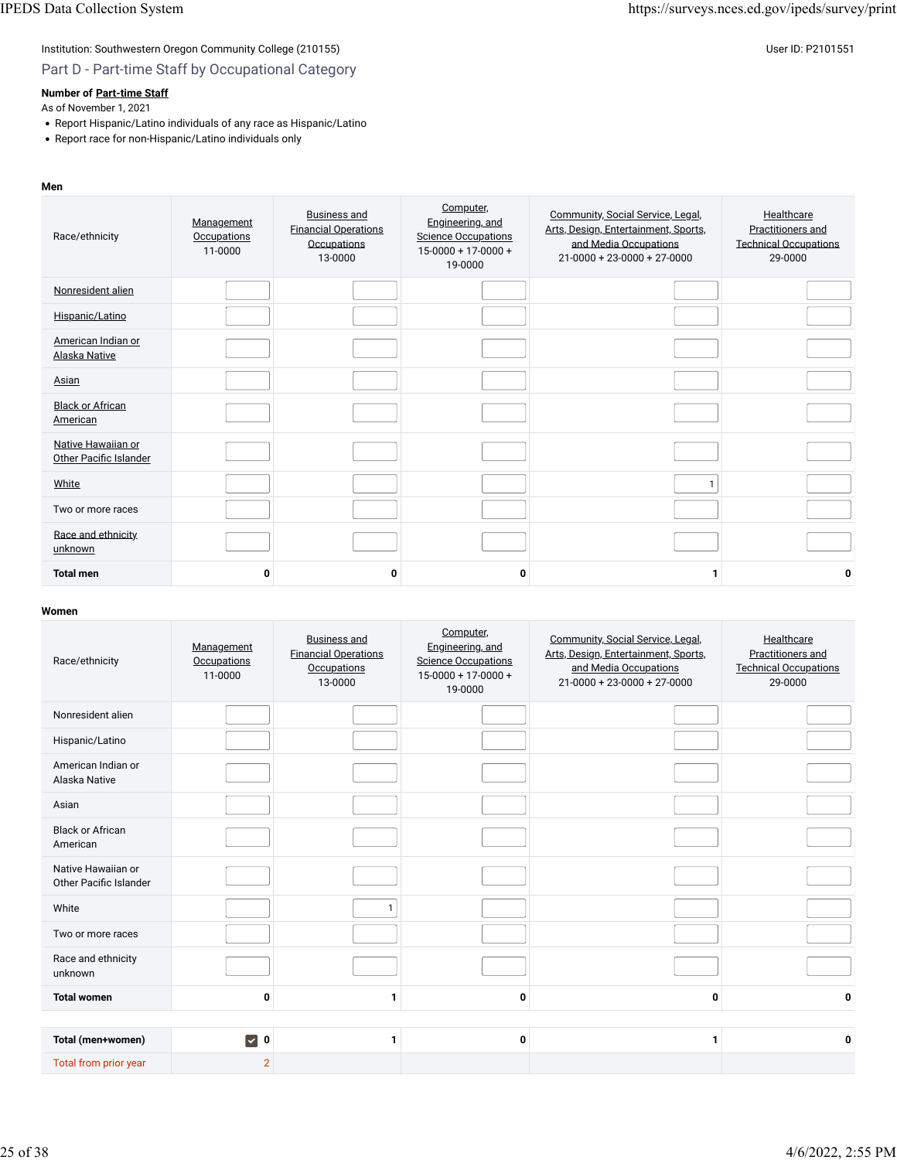### Part D - Part-time Staff by Occupational Category

### **Number of [Part-time Staff](javascript:openglossary(467))**

As of November 1, 2021

- Report Hispanic/Latino individuals of any race as Hispanic/Latino
- Report race for non-Hispanic/Latino individuals only

#### **Men**

| Race/ethnicity                                      | Management<br>Occupations<br>11-0000 | <b>Business and</b><br><b>Financial Operations</b><br>Occupations<br>13-0000 | Computer,<br>Engineering, and<br><b>Science Occupations</b><br>$15-0000 + 17-0000 +$<br>19-0000 | Community, Social Service, Legal,<br>Arts, Design, Entertainment, Sports,<br>and Media Occupations<br>$21 - 0000 + 23 - 0000 + 27 - 0000$ | Healthcare<br>Practitioners and<br><b>Technical Occupations</b><br>29-0000 |
|-----------------------------------------------------|--------------------------------------|------------------------------------------------------------------------------|-------------------------------------------------------------------------------------------------|-------------------------------------------------------------------------------------------------------------------------------------------|----------------------------------------------------------------------------|
| Nonresident alien                                   |                                      |                                                                              |                                                                                                 |                                                                                                                                           |                                                                            |
| Hispanic/Latino                                     |                                      |                                                                              |                                                                                                 |                                                                                                                                           |                                                                            |
| American Indian or<br><b>Alaska Native</b>          |                                      |                                                                              |                                                                                                 |                                                                                                                                           |                                                                            |
| Asian                                               |                                      |                                                                              |                                                                                                 |                                                                                                                                           |                                                                            |
| <b>Black or African</b><br>American                 |                                      |                                                                              |                                                                                                 |                                                                                                                                           |                                                                            |
| Native Hawaiian or<br><b>Other Pacific Islander</b> |                                      |                                                                              |                                                                                                 |                                                                                                                                           |                                                                            |
| White                                               |                                      |                                                                              |                                                                                                 |                                                                                                                                           |                                                                            |
| Two or more races                                   |                                      |                                                                              |                                                                                                 |                                                                                                                                           |                                                                            |
| Race and ethnicity.<br>unknown                      |                                      |                                                                              |                                                                                                 |                                                                                                                                           |                                                                            |
| <b>Total men</b>                                    | 0                                    | 0                                                                            | 0                                                                                               | 1                                                                                                                                         | 0                                                                          |

| Race/ethnicity                               | Management<br><b>Occupations</b><br>11-0000 | <b>Business and</b><br><b>Financial Operations</b><br>Occupations<br>13-0000 | Computer,<br>Engineering, and<br><b>Science Occupations</b><br>$15-0000 + 17-0000 +$<br>19-0000 | Community, Social Service, Legal,<br>Arts, Design, Entertainment, Sports,<br>and Media Occupations<br>$21-0000 + 23-0000 + 27-0000$ | Healthcare<br>Practitioners and<br><b>Technical Occupations</b><br>29-0000 |
|----------------------------------------------|---------------------------------------------|------------------------------------------------------------------------------|-------------------------------------------------------------------------------------------------|-------------------------------------------------------------------------------------------------------------------------------------|----------------------------------------------------------------------------|
| Nonresident alien                            |                                             |                                                                              |                                                                                                 |                                                                                                                                     |                                                                            |
| Hispanic/Latino                              |                                             |                                                                              |                                                                                                 |                                                                                                                                     |                                                                            |
| American Indian or<br>Alaska Native          |                                             |                                                                              |                                                                                                 |                                                                                                                                     |                                                                            |
| Asian                                        |                                             |                                                                              |                                                                                                 |                                                                                                                                     |                                                                            |
| <b>Black or African</b><br>American          |                                             |                                                                              |                                                                                                 |                                                                                                                                     |                                                                            |
| Native Hawaiian or<br>Other Pacific Islander |                                             |                                                                              |                                                                                                 |                                                                                                                                     |                                                                            |
| White                                        |                                             | $\mathbf{1}$                                                                 |                                                                                                 |                                                                                                                                     |                                                                            |
| Two or more races                            |                                             |                                                                              |                                                                                                 |                                                                                                                                     |                                                                            |
| Race and ethnicity<br>unknown                |                                             |                                                                              |                                                                                                 |                                                                                                                                     |                                                                            |
| <b>Total women</b>                           | 0                                           | 1                                                                            | 0                                                                                               | 0                                                                                                                                   | 0                                                                          |
|                                              |                                             |                                                                              |                                                                                                 |                                                                                                                                     |                                                                            |
| Total (men+women)                            | $\triangledown$ 0                           | 1                                                                            | 0                                                                                               | 1                                                                                                                                   | 0                                                                          |
| Total from prior year                        | $\overline{2}$                              |                                                                              |                                                                                                 |                                                                                                                                     |                                                                            |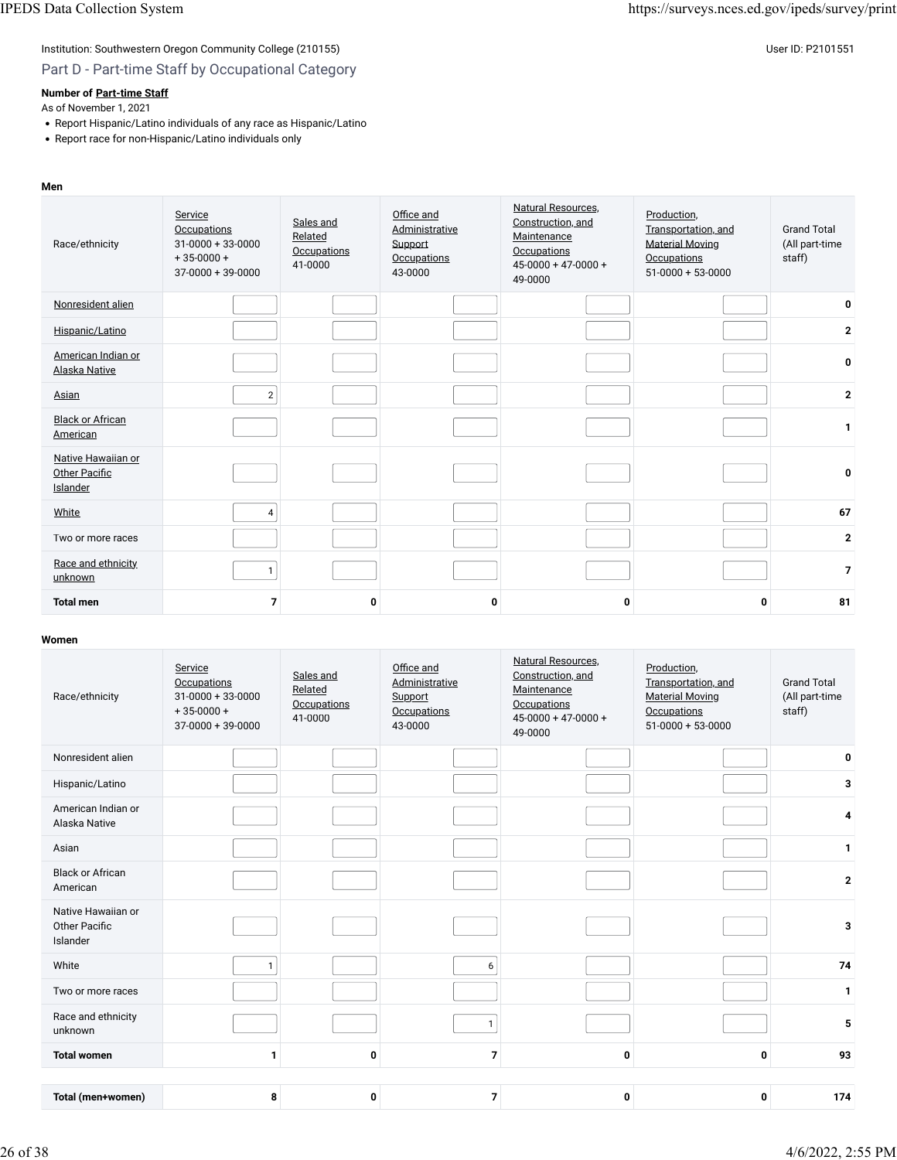## Institution: Southwestern Oregon Community College (210155) Contract the United States of the US P2101551 User ID: P2101551

### Part D - Part-time Staff by Occupational Category

### **Number of [Part-time Staff](javascript:openglossary(467))**

As of November 1, 2021

- Report Hispanic/Latino individuals of any race as Hispanic/Latino
- Report race for non-Hispanic/Latino individuals only

#### **Men** Race/ethnicity **[Service](javascript:openglossary(1003)) [Occupations](javascript:openglossary(1003))** 31-0000 + 33-0000  $+35-0000+$ 37-0000 + 39-0000 [Sales and](javascript:openglossary(987)) [Related](javascript:openglossary(987)) **[Occupations](javascript:openglossary(987))** 41-0000 Offi[ce and](javascript:openglossary(988)) [Administrative](javascript:openglossary(988)) [Support](javascript:openglossary(988)) **[Occupations](javascript:openglossary(988))** 43-0000 [Natural Resources,](javascript:openglossary(1001)) [Construction, and](javascript:openglossary(1001)) **[Maintenance](javascript:openglossary(1001)) [Occupations](javascript:openglossary(1001))** 45-0000 + 47-0000 + 49-0000 [Production,](javascript:openglossary(1000)) [Transportation, and](javascript:openglossary(1000)) [Material Moving](javascript:openglossary(1000)) **[Occupations](javascript:openglossary(1000))** 51-0000 + 53-0000 Grand Total (All part-time staff) [Nonresident alien](javascript:openglossary(419)) **0** [Hispanic/Latino](javascript:openglossary(909)) **2** [American Indian or](javascript:openglossary(907)) [Alaska Native](javascript:openglossary(907)) **<sup>0</sup>** [Asian](javascript:openglossary(908)) 2 **2 [Black or African](javascript:openglossary(906))** <u>[American](javascript:openglossary(906))</u> de la contractivité de la contractivité de la contractivité de la contractivité de la contractivité<br>American [Native Hawaiian or](javascript:openglossary(910)) **[Other Paci](javascript:openglossary(910))fic [Islander](javascript:openglossary(910)) 0** [White](javascript:openglossary(911)) 4 **67** Two or more races **2** [Race and ethnicity](javascript:openglossary(543)) [unknown](javascript:openglossary(543)) <sup>1</sup> **<sup>7</sup> Total men 7 0 0 0 0 81**

| Race/ethnicity                                         | Service<br>Occupations<br>$31 - 0000 + 33 - 0000$<br>$+35-0000+$<br>$37-0000+39-0000$ | Sales and<br>Related<br><b>Occupations</b><br>41-0000 | Office and<br>Administrative<br>Support<br>Occupations<br>43-0000 | Natural Resources.<br>Construction, and<br>Maintenance<br><b>Occupations</b><br>$45-0000 + 47-0000 +$<br>49-0000 | Production,<br>Transportation, and<br><b>Material Moving</b><br>Occupations<br>$51-0000 + 53-0000$ | <b>Grand Total</b><br>(All part-time<br>staff) |
|--------------------------------------------------------|---------------------------------------------------------------------------------------|-------------------------------------------------------|-------------------------------------------------------------------|------------------------------------------------------------------------------------------------------------------|----------------------------------------------------------------------------------------------------|------------------------------------------------|
| Nonresident alien                                      |                                                                                       |                                                       |                                                                   |                                                                                                                  |                                                                                                    | 0                                              |
| Hispanic/Latino                                        |                                                                                       |                                                       |                                                                   |                                                                                                                  |                                                                                                    | 3                                              |
| American Indian or<br>Alaska Native                    |                                                                                       |                                                       |                                                                   |                                                                                                                  |                                                                                                    | 4                                              |
| Asian                                                  |                                                                                       |                                                       |                                                                   |                                                                                                                  |                                                                                                    | $\mathbf{1}$                                   |
| <b>Black or African</b><br>American                    |                                                                                       |                                                       |                                                                   |                                                                                                                  |                                                                                                    | $\mathbf{2}$                                   |
| Native Hawaiian or<br><b>Other Pacific</b><br>Islander |                                                                                       |                                                       |                                                                   |                                                                                                                  |                                                                                                    | 3                                              |
| White                                                  | $\mathbf{1}$                                                                          |                                                       | 6                                                                 |                                                                                                                  |                                                                                                    | 74                                             |
| Two or more races                                      |                                                                                       |                                                       |                                                                   |                                                                                                                  |                                                                                                    | $\mathbf{1}$                                   |
| Race and ethnicity<br>unknown                          |                                                                                       |                                                       |                                                                   |                                                                                                                  |                                                                                                    | 5                                              |
| <b>Total women</b>                                     | $\mathbf{1}$                                                                          | 0                                                     | $\overline{7}$                                                    | 0                                                                                                                | 0                                                                                                  | 93                                             |
| Total (men+women)                                      | 8                                                                                     | 0                                                     | $\overline{7}$                                                    | 0                                                                                                                | 0                                                                                                  | 174                                            |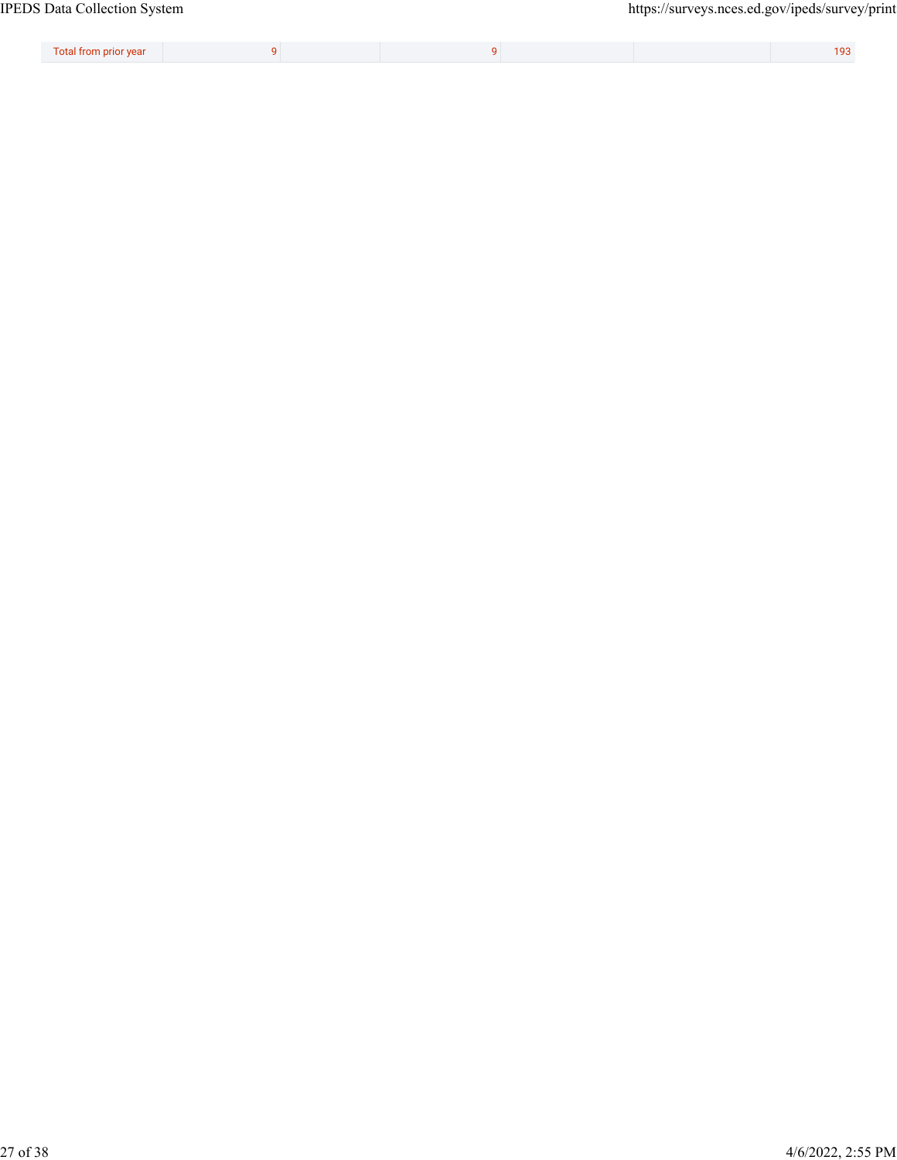| __<br>Total from prior year |  |  | 100 |
|-----------------------------|--|--|-----|
|                             |  |  |     |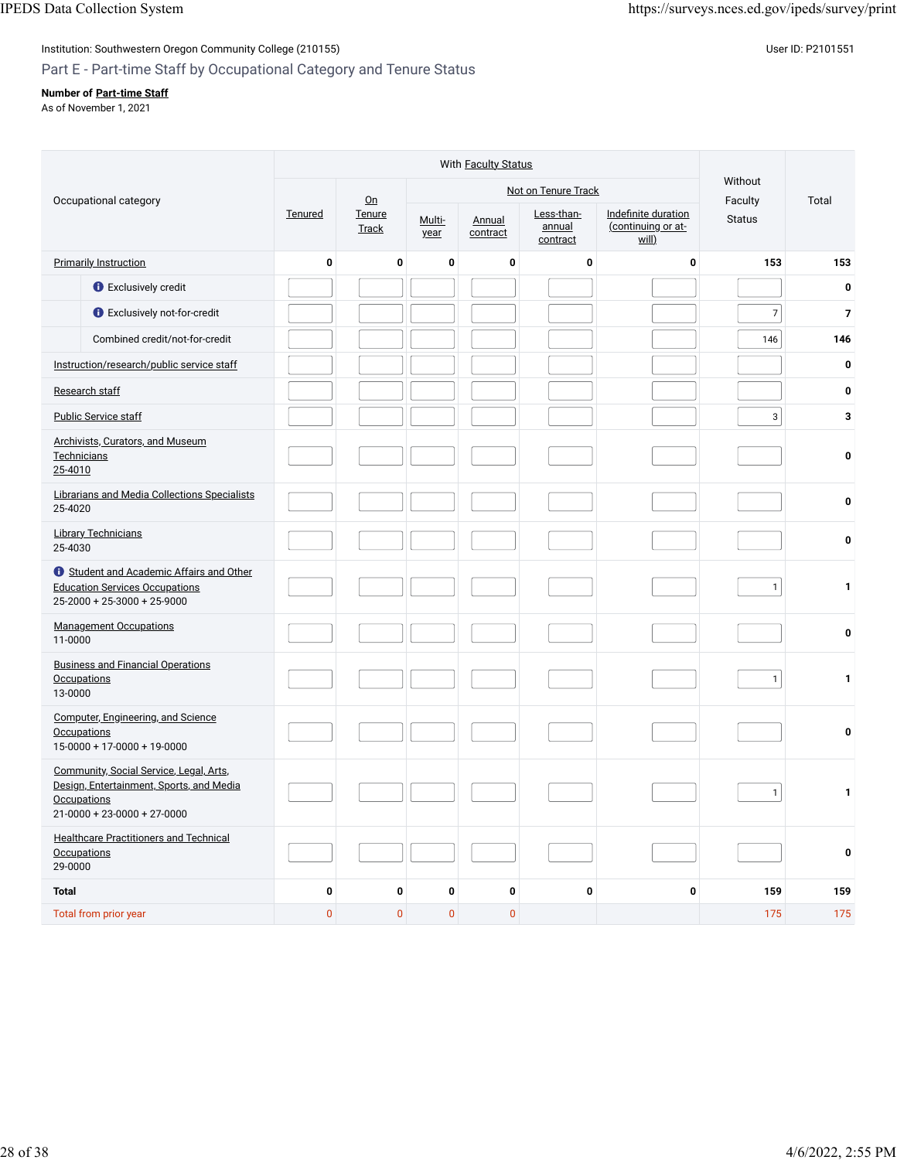### Institution: Southwestern Oregon Community College (210155) Contract the Contract of Contract of Contract of Co Part E - Part-time Staff by Occupational Category and Tenure Status

### **Number of [Part-time Staff](javascript:openglossary(467))**

As of November 1, 2021

|                                                                                                                                            |                | With Faculty Status |                |           |                    |                                  |                                                    |                    |                |
|--------------------------------------------------------------------------------------------------------------------------------------------|----------------|---------------------|----------------|-----------|--------------------|----------------------------------|----------------------------------------------------|--------------------|----------------|
| Occupational category                                                                                                                      |                | $On$                |                |           |                    | Not on Tenure Track              |                                                    | Without<br>Faculty | Total          |
|                                                                                                                                            | <b>Tenured</b> | Tenure<br>Track     | Multi-<br>year |           | Annual<br>contract | Less-than-<br>annual<br>contract | Indefinite duration<br>(continuing or at-<br>Will) | <b>Status</b>      |                |
| <b>Primarily Instruction</b>                                                                                                               | 0              | $\mathbf 0$         |                | 0         | 0                  | 0                                | 0                                                  | 153                | 153            |
| <b>O</b> Exclusively credit                                                                                                                |                |                     |                |           |                    |                                  |                                                    |                    | 0              |
| <b>O</b> Exclusively not-for-credit                                                                                                        |                |                     |                |           |                    |                                  |                                                    | $\overline{7}$     | $\overline{7}$ |
| Combined credit/not-for-credit                                                                                                             |                |                     |                |           |                    |                                  |                                                    | 146                | 146            |
| Instruction/research/public service staff                                                                                                  |                |                     |                |           |                    |                                  |                                                    |                    | 0              |
| Research staff                                                                                                                             |                |                     |                |           |                    |                                  |                                                    |                    | 0              |
| <b>Public Service staff</b>                                                                                                                |                |                     |                |           |                    |                                  |                                                    | 3                  | 3              |
| Archivists, Curators, and Museum<br>Technicians<br>25-4010                                                                                 |                |                     |                |           |                    |                                  |                                                    |                    | 0              |
| Librarians and Media Collections Specialists<br>25-4020                                                                                    |                |                     |                |           |                    |                                  |                                                    |                    | 0              |
| <b>Library Technicians</b><br>25-4030                                                                                                      |                |                     |                |           |                    |                                  |                                                    |                    | 0              |
| Student and Academic Affairs and Other<br><b>Education Services Occupations</b><br>$25-2000 + 25-3000 + 25-9000$                           |                |                     |                |           |                    |                                  |                                                    | $\mathbf{1}$       | 1              |
| <b>Management Occupations</b><br>11-0000                                                                                                   |                |                     |                |           |                    |                                  |                                                    |                    | 0              |
| <b>Business and Financial Operations</b><br>Occupations<br>13-0000                                                                         |                |                     |                |           |                    |                                  |                                                    | $\mathbf{1}$       | 1              |
| <b>Computer, Engineering, and Science</b><br><b>Occupations</b><br>$15-0000 + 17-0000 + 19-0000$                                           |                |                     |                |           |                    |                                  |                                                    |                    | 0              |
| Community, Social Service, Legal, Arts,<br>Design, Entertainment, Sports, and Media<br><b>Occupations</b><br>$21-0000 + 23-0000 + 27-0000$ |                |                     |                |           |                    |                                  |                                                    | $\mathbf{1}$       | 1              |
| <b>Healthcare Practitioners and Technical</b><br>Occupations<br>29-0000                                                                    |                |                     |                |           |                    |                                  |                                                    |                    | 0              |
| <b>Total</b>                                                                                                                               | $\pmb{0}$      | $\mathbf 0$         |                | 0         | 0                  | $\pmb{0}$                        | 0                                                  | 159                | 159            |
| Total from prior year                                                                                                                      | $\pmb{0}$      |                     | $\pmb{0}$      | $\pmb{0}$ | $\pmb{0}$          |                                  |                                                    | 175                | 175            |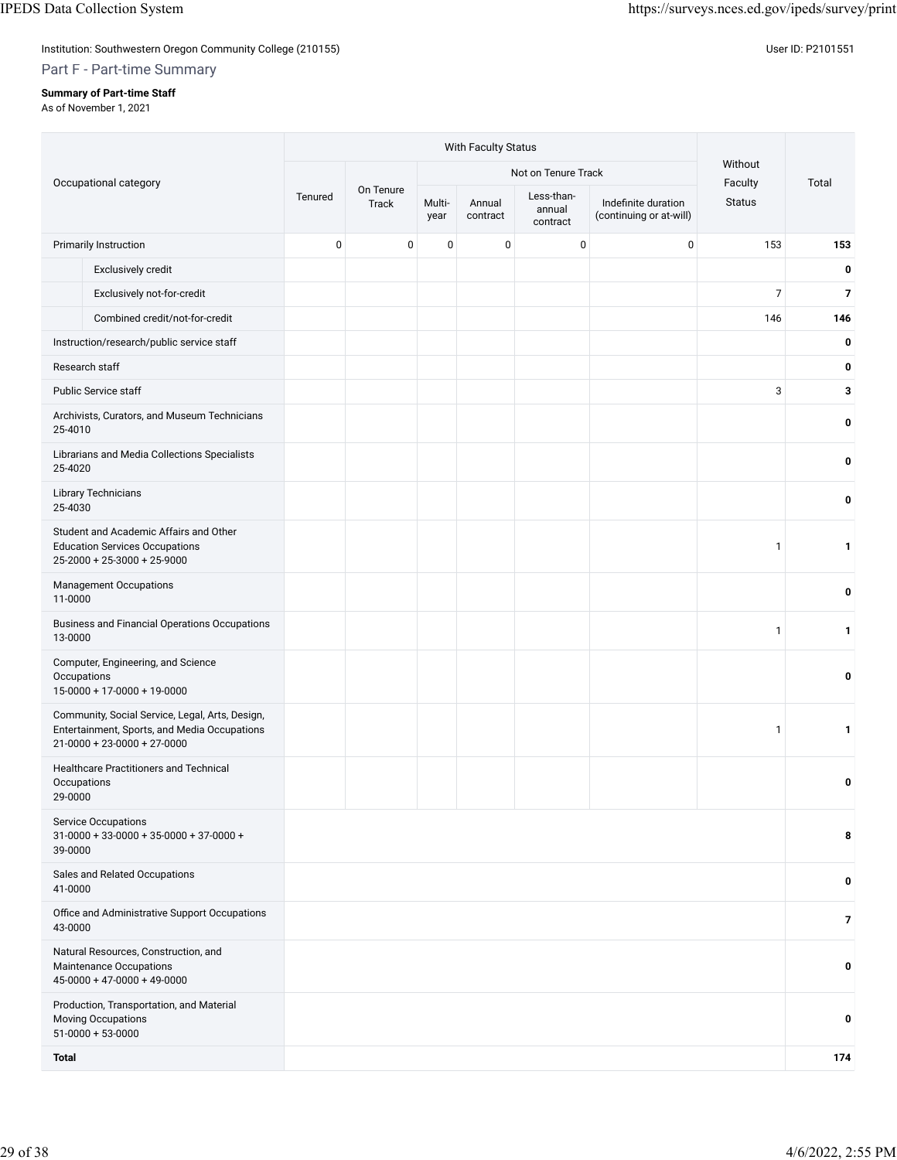Institution: Southwestern Oregon Community College (210155) Contract the Contract of Contract of Community College (210155)

### Part F - Part-time Summary

### **Summary of Part-time Staff**

As of November 1, 2021

|                        |                                                                                                                                        |           |                           |                | With Faculty Status |                                  |                                                |                    |                |  |
|------------------------|----------------------------------------------------------------------------------------------------------------------------------------|-----------|---------------------------|----------------|---------------------|----------------------------------|------------------------------------------------|--------------------|----------------|--|
|                        | Occupational category                                                                                                                  |           |                           |                |                     | Not on Tenure Track              |                                                | Without<br>Faculty | Total          |  |
|                        |                                                                                                                                        | Tenured   | On Tenure<br><b>Track</b> | Multi-<br>year | Annual<br>contract  | Less-than-<br>annual<br>contract | Indefinite duration<br>(continuing or at-will) | <b>Status</b>      |                |  |
|                        | <b>Primarily Instruction</b>                                                                                                           | $\pmb{0}$ | $\mathsf 0$               | $\pmb{0}$      | $\pmb{0}$           | $\mathbf 0$                      | $\pmb{0}$                                      | 153                | 153            |  |
|                        | Exclusively credit                                                                                                                     |           |                           |                |                     |                                  |                                                |                    | 0              |  |
|                        | Exclusively not-for-credit                                                                                                             |           |                           |                |                     |                                  |                                                | $\overline{7}$     | $\overline{7}$ |  |
|                        | Combined credit/not-for-credit                                                                                                         |           |                           |                |                     |                                  |                                                | 146                | 146            |  |
|                        | Instruction/research/public service staff                                                                                              |           |                           |                |                     |                                  |                                                |                    | 0              |  |
|                        | Research staff                                                                                                                         |           |                           |                |                     |                                  |                                                |                    | 0              |  |
|                        | Public Service staff                                                                                                                   |           |                           |                |                     |                                  |                                                | 3                  | 3              |  |
| 25-4010                | Archivists, Curators, and Museum Technicians                                                                                           |           |                           |                |                     |                                  |                                                |                    | 0              |  |
| 25-4020                | Librarians and Media Collections Specialists                                                                                           |           |                           |                |                     |                                  |                                                |                    | 0              |  |
| 25-4030                | <b>Library Technicians</b>                                                                                                             |           |                           |                |                     |                                  |                                                |                    | 0              |  |
|                        | Student and Academic Affairs and Other<br><b>Education Services Occupations</b><br>$25-2000 + 25-3000 + 25-9000$                       |           |                           |                |                     |                                  |                                                | $\mathbf{1}$       | 1              |  |
| 11-0000                | Management Occupations                                                                                                                 |           |                           |                |                     |                                  |                                                |                    | 0              |  |
| 13-0000                | <b>Business and Financial Operations Occupations</b>                                                                                   |           |                           |                |                     |                                  |                                                | $\mathbf{1}$       | 1              |  |
| Occupations            | Computer, Engineering, and Science<br>$15-0000 + 17-0000 + 19-0000$                                                                    |           |                           |                |                     |                                  |                                                |                    | 0              |  |
|                        | Community, Social Service, Legal, Arts, Design,<br>Entertainment, Sports, and Media Occupations<br>$21 - 0000 + 23 - 0000 + 27 - 0000$ |           |                           |                |                     |                                  |                                                | 1                  | 1              |  |
| Occupations<br>29-0000 | <b>Healthcare Practitioners and Technical</b>                                                                                          |           |                           |                |                     |                                  |                                                |                    | 0              |  |
| 39-0000                | <b>Service Occupations</b><br>$31-0000 + 33-0000 + 35-0000 + 37-0000 +$                                                                |           |                           |                |                     |                                  |                                                |                    | 8              |  |
| 41-0000                | Sales and Related Occupations                                                                                                          |           |                           |                |                     |                                  |                                                |                    | 0              |  |
| 43-0000                | Office and Administrative Support Occupations                                                                                          |           |                           |                |                     |                                  |                                                |                    | $\overline{7}$ |  |
|                        | Natural Resources, Construction, and<br>Maintenance Occupations<br>$45-0000 + 47-0000 + 49-0000$                                       |           |                           |                |                     |                                  |                                                |                    | 0              |  |
|                        | Production, Transportation, and Material<br><b>Moving Occupations</b><br>$51-0000 + 53-0000$                                           |           |                           |                |                     |                                  |                                                |                    | 0              |  |
| <b>Total</b>           |                                                                                                                                        |           |                           |                |                     |                                  |                                                |                    | 174            |  |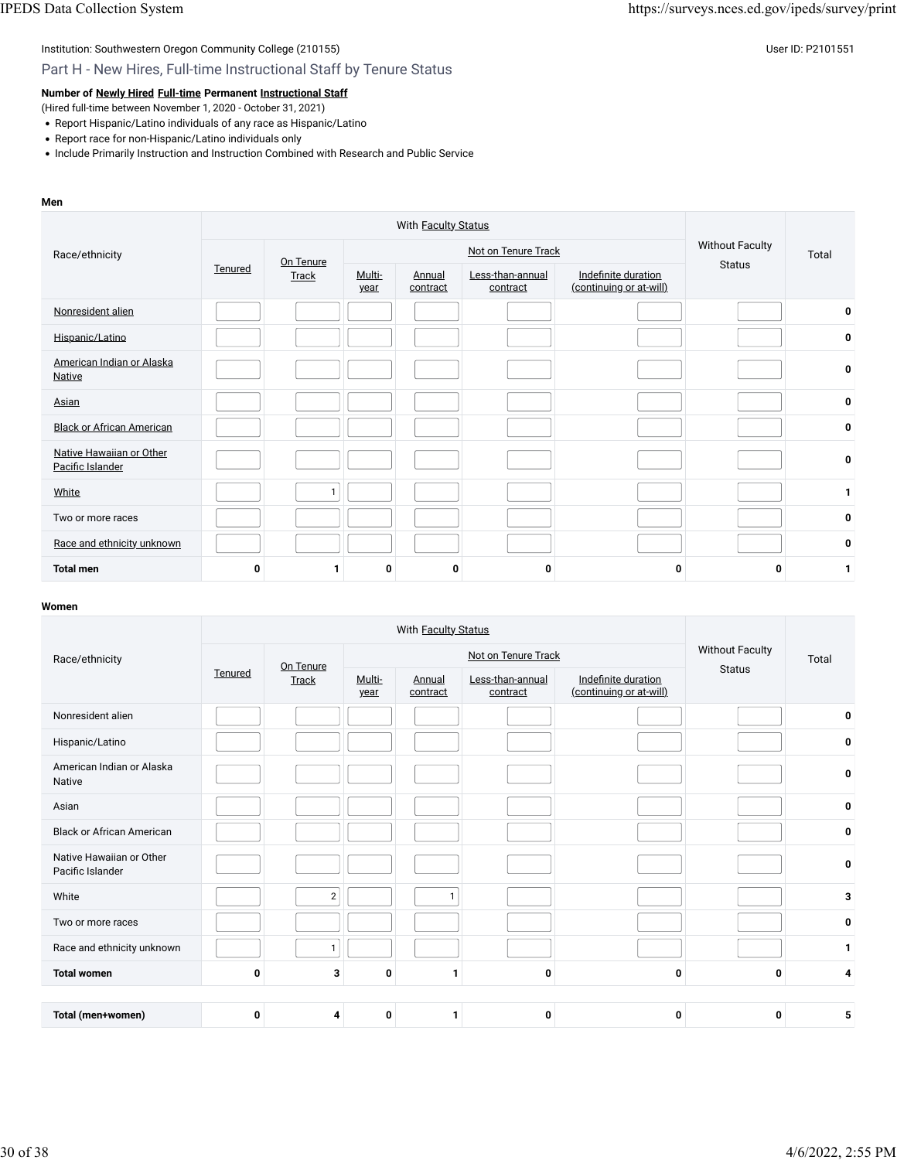Part H - New Hires, Full-time Instructional Staff by Tenure Status

**Number of [Newly Hired](javascript:openglossary(407)) [Full-time](javascript:openglossary(257)) Permanent [Instructional Staff](javascript:openglossary(996))**

(Hired full-time between November 1, 2020 - October 31, 2021)

- Report Hispanic/Latino individuals of any race as Hispanic/Latino
- Report race for non-Hispanic/Latino individuals only
- Include Primarily Instruction and Instruction Combined with Research and Public Service

#### **Men**

| Race/ethnicity                               | Tenured | On Tenure    |                |                           | Not on Tenure Track          |                                                | <b>Without Faculty</b> | Total        |
|----------------------------------------------|---------|--------------|----------------|---------------------------|------------------------------|------------------------------------------------|------------------------|--------------|
|                                              |         | <b>Track</b> | Multi-<br>year | <b>Annual</b><br>contract | Less-than-annual<br>contract | Indefinite duration<br>(continuing or at-will) | <b>Status</b>          |              |
| Nonresident alien                            |         |              |                |                           |                              |                                                |                        | $\mathbf 0$  |
| Hispanic/Latino                              |         |              |                |                           |                              |                                                |                        | 0            |
| American Indian or Alaska<br><b>Native</b>   |         |              |                |                           |                              |                                                |                        | 0            |
| Asian                                        |         |              |                |                           |                              |                                                |                        | 0            |
| <b>Black or African American</b>             |         |              |                |                           |                              |                                                |                        | 0            |
| Native Hawaiian or Other<br>Pacific Islander |         |              |                |                           |                              |                                                |                        | 0            |
| White                                        |         | $\mathbf{1}$ |                |                           |                              |                                                |                        | $\mathbf{1}$ |
| Two or more races                            |         |              |                |                           |                              |                                                |                        | 0            |
| Race and ethnicity unknown                   |         |              |                |                           |                              |                                                |                        | 0            |
| <b>Total men</b>                             | 0       |              | 0              | 0                         | 0                            | 0                                              | 0                      | 1            |

| Race/ethnicity                               |         | On Tenure      |                |                    | Not on Tenure Track          |                                                | <b>Without Faculty</b><br><b>Status</b> | Total        |
|----------------------------------------------|---------|----------------|----------------|--------------------|------------------------------|------------------------------------------------|-----------------------------------------|--------------|
|                                              | Tenured | <b>Track</b>   | Multi-<br>year | Annual<br>contract | Less-than-annual<br>contract | Indefinite duration<br>(continuing or at-will) |                                         |              |
| Nonresident alien                            |         |                |                |                    |                              |                                                |                                         | 0            |
| Hispanic/Latino                              |         |                |                |                    |                              |                                                |                                         | 0            |
| American Indian or Alaska<br>Native          |         |                |                |                    |                              |                                                |                                         | 0            |
| Asian                                        |         |                |                |                    |                              |                                                |                                         | 0            |
| <b>Black or African American</b>             |         |                |                |                    |                              |                                                |                                         | 0            |
| Native Hawaiian or Other<br>Pacific Islander |         |                |                |                    |                              |                                                |                                         | 0            |
| White                                        |         | $\overline{2}$ |                |                    |                              |                                                |                                         | 3            |
| Two or more races                            |         |                |                |                    |                              |                                                |                                         | 0            |
| Race and ethnicity unknown                   |         | 1              |                |                    |                              |                                                |                                         | $\mathbf{1}$ |
| <b>Total women</b>                           | 0       | 3              | 0              | $\mathbf{1}$       | 0                            | 0                                              | 0                                       | 4            |
|                                              |         |                |                |                    |                              |                                                |                                         |              |
| Total (men+women)                            | 0       | 4              | 0              | 1                  | $\mathbf 0$                  | 0                                              | 0                                       | 5            |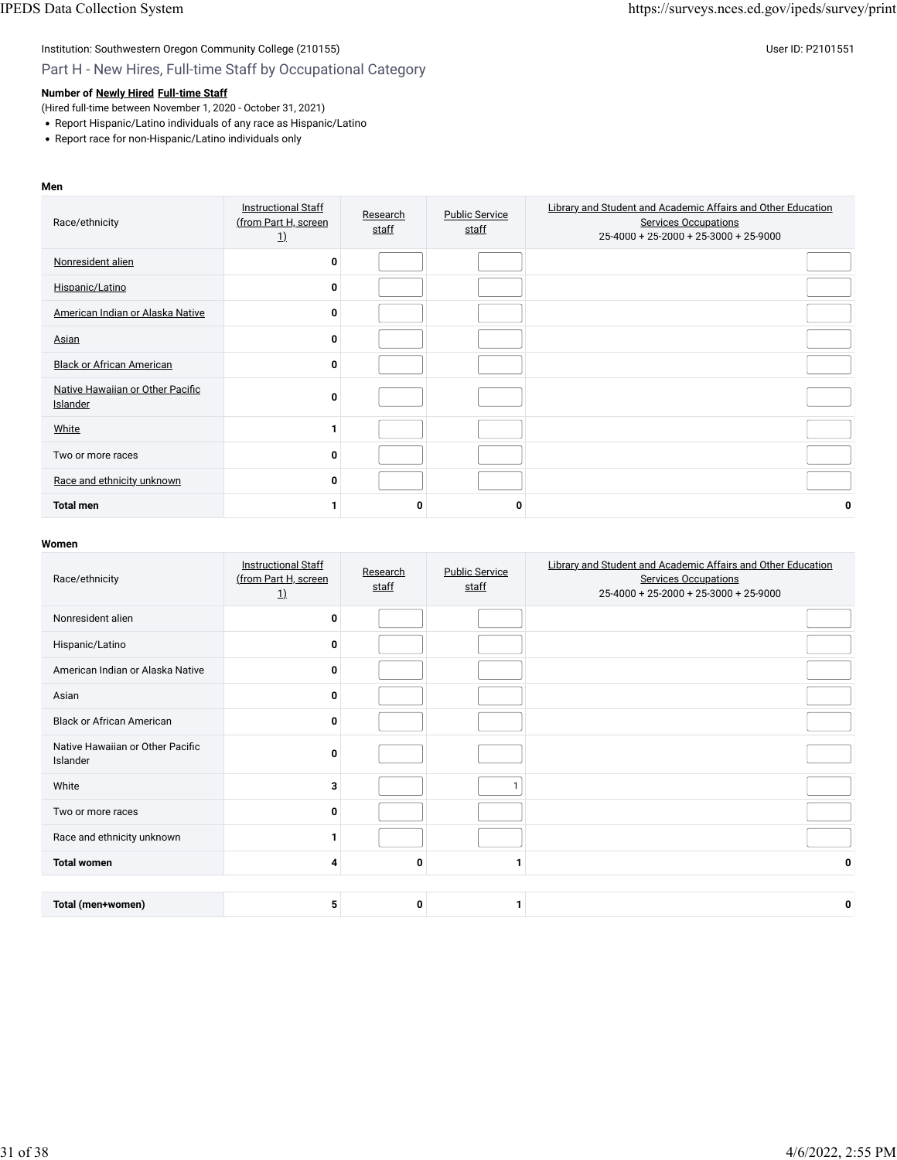## Part H - New Hires, Full-time Staff by Occupational Category

### **Number of [Newly Hired](javascript:openglossary(407)) [Full-time Staff](javascript:openglossary(257))**

(Hired full-time between November 1, 2020 - October 31, 2021)

- Report Hispanic/Latino individuals of any race as Hispanic/Latino
- Report race for non-Hispanic/Latino individuals only

#### **Men**

| Race/ethnicity                               | <b>Instructional Staff</b><br>(from Part H, screen<br><u>1)</u> | Research<br>staff | <b>Public Service</b><br>staff | Library and Student and Academic Affairs and Other Education<br><b>Services Occupations</b><br>25-4000 + 25-2000 + 25-3000 + 25-9000 |
|----------------------------------------------|-----------------------------------------------------------------|-------------------|--------------------------------|--------------------------------------------------------------------------------------------------------------------------------------|
| Nonresident alien                            | 0                                                               |                   |                                |                                                                                                                                      |
| Hispanic/Latino                              | $\Omega$                                                        |                   |                                |                                                                                                                                      |
| American Indian or Alaska Native             | $\Omega$                                                        |                   |                                |                                                                                                                                      |
| Asian                                        | $\bf{0}$                                                        |                   |                                |                                                                                                                                      |
| <b>Black or African American</b>             | $\Omega$                                                        |                   |                                |                                                                                                                                      |
| Native Hawaiian or Other Pacific<br>Islander | $\bf{0}$                                                        |                   |                                |                                                                                                                                      |
| White                                        |                                                                 |                   |                                |                                                                                                                                      |
| Two or more races                            | $\Omega$                                                        |                   |                                |                                                                                                                                      |
| Race and ethnicity unknown                   | 0                                                               |                   |                                |                                                                                                                                      |
| <b>Total men</b>                             |                                                                 | 0                 |                                | 0                                                                                                                                    |

| Race/ethnicity                               | <b>Instructional Staff</b><br>(from Part H, screen<br>$\underline{1}$ | Research<br>staff | <b>Public Service</b><br>staff | Library and Student and Academic Affairs and Other Education<br><b>Services Occupations</b><br>$25-4000+25-2000+25-3000+25-9000$ |
|----------------------------------------------|-----------------------------------------------------------------------|-------------------|--------------------------------|----------------------------------------------------------------------------------------------------------------------------------|
| Nonresident alien                            | 0                                                                     |                   |                                |                                                                                                                                  |
| Hispanic/Latino                              | 0                                                                     |                   |                                |                                                                                                                                  |
| American Indian or Alaska Native             | 0                                                                     |                   |                                |                                                                                                                                  |
| Asian                                        | 0                                                                     |                   |                                |                                                                                                                                  |
| <b>Black or African American</b>             | 0                                                                     |                   |                                |                                                                                                                                  |
| Native Hawaiian or Other Pacific<br>Islander | 0                                                                     |                   |                                |                                                                                                                                  |
| White                                        | 3                                                                     |                   |                                |                                                                                                                                  |
| Two or more races                            | 0                                                                     |                   |                                |                                                                                                                                  |
| Race and ethnicity unknown                   |                                                                       |                   |                                |                                                                                                                                  |
| <b>Total women</b>                           | 4                                                                     | 0                 |                                | 0                                                                                                                                |
|                                              |                                                                       |                   |                                |                                                                                                                                  |
| Total (men+women)                            | 5                                                                     | 0                 |                                | 0                                                                                                                                |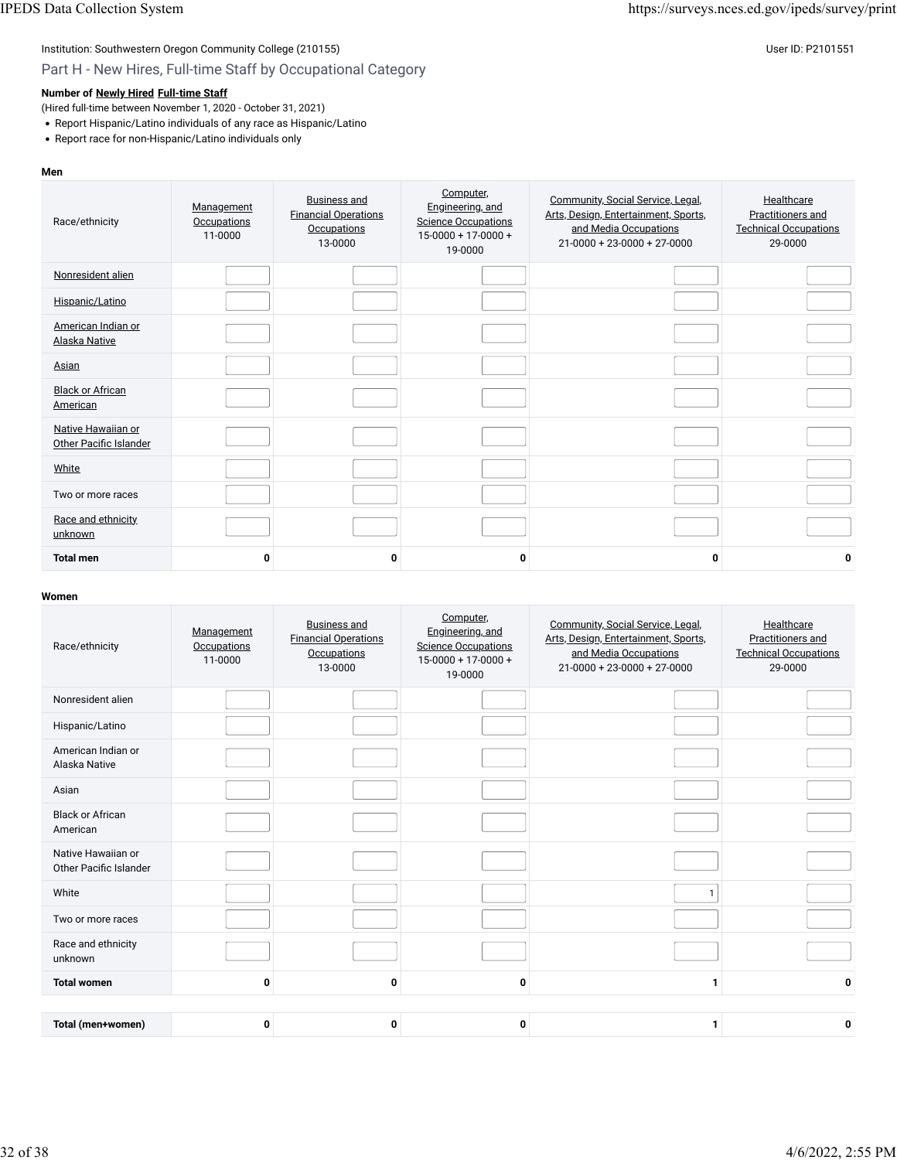### Part H - New Hires, Full-time Staff by Occupational Category

### **Number of [Newly Hired](javascript:openglossary(407)) [Full-time Staff](javascript:openglossary(257))**

(Hired full-time between November 1, 2020 - October 31, 2021)

- Report Hispanic/Latino individuals of any race as Hispanic/Latino
- Report race for non-Hispanic/Latino individuals only

#### **Men**

| Race/ethnicity                               | Management<br>Occupations<br>11-0000 | <b>Business and</b><br><b>Financial Operations</b><br>Occupations<br>13-0000 | Computer,<br>Engineering, and<br><b>Science Occupations</b><br>$15-0000 + 17-0000 +$<br>19-0000 | Community, Social Service, Legal,<br>Arts, Design, Entertainment, Sports,<br>and Media Occupations<br>$21-0000 + 23-0000 + 27-0000$ | Healthcare<br>Practitioners and<br><b>Technical Occupations</b><br>29-0000 |
|----------------------------------------------|--------------------------------------|------------------------------------------------------------------------------|-------------------------------------------------------------------------------------------------|-------------------------------------------------------------------------------------------------------------------------------------|----------------------------------------------------------------------------|
| Nonresident alien                            |                                      |                                                                              |                                                                                                 |                                                                                                                                     |                                                                            |
| Hispanic/Latino                              |                                      |                                                                              |                                                                                                 |                                                                                                                                     |                                                                            |
| American Indian or<br>Alaska Native          |                                      |                                                                              |                                                                                                 |                                                                                                                                     |                                                                            |
| Asian                                        |                                      |                                                                              |                                                                                                 |                                                                                                                                     |                                                                            |
| <b>Black or African</b><br>American          |                                      |                                                                              |                                                                                                 |                                                                                                                                     |                                                                            |
| Native Hawaiian or<br>Other Pacific Islander |                                      |                                                                              |                                                                                                 |                                                                                                                                     |                                                                            |
| White                                        |                                      |                                                                              |                                                                                                 |                                                                                                                                     |                                                                            |
| Two or more races                            |                                      |                                                                              |                                                                                                 |                                                                                                                                     |                                                                            |
| Race and ethnicity<br>unknown                |                                      |                                                                              |                                                                                                 |                                                                                                                                     |                                                                            |
| <b>Total men</b>                             | 0                                    | 0                                                                            | 0                                                                                               | $\mathbf{0}$                                                                                                                        | 0                                                                          |

| Race/ethnicity                                      | Management<br>Occupations<br>11-0000 | <b>Business and</b><br><b>Financial Operations</b><br><b>Occupations</b><br>13-0000 | Computer,<br>Engineering, and<br><b>Science Occupations</b><br>$15-0000 + 17-0000 +$<br>19-0000 | Community, Social Service, Legal,<br>Arts, Design, Entertainment, Sports,<br>and Media Occupations<br>$21 - 0000 + 23 - 0000 + 27 - 0000$ | Healthcare<br>Practitioners and<br><b>Technical Occupations</b><br>29-0000 |
|-----------------------------------------------------|--------------------------------------|-------------------------------------------------------------------------------------|-------------------------------------------------------------------------------------------------|-------------------------------------------------------------------------------------------------------------------------------------------|----------------------------------------------------------------------------|
| Nonresident alien                                   |                                      |                                                                                     |                                                                                                 |                                                                                                                                           |                                                                            |
| Hispanic/Latino                                     |                                      |                                                                                     |                                                                                                 |                                                                                                                                           |                                                                            |
| American Indian or<br>Alaska Native                 |                                      |                                                                                     |                                                                                                 |                                                                                                                                           |                                                                            |
| Asian                                               |                                      |                                                                                     |                                                                                                 |                                                                                                                                           |                                                                            |
| <b>Black or African</b><br>American                 |                                      |                                                                                     |                                                                                                 |                                                                                                                                           |                                                                            |
| Native Hawaiian or<br><b>Other Pacific Islander</b> |                                      |                                                                                     |                                                                                                 |                                                                                                                                           |                                                                            |
| White                                               |                                      |                                                                                     |                                                                                                 |                                                                                                                                           |                                                                            |
| Two or more races                                   |                                      |                                                                                     |                                                                                                 |                                                                                                                                           |                                                                            |
| Race and ethnicity<br>unknown                       |                                      |                                                                                     |                                                                                                 |                                                                                                                                           |                                                                            |
| <b>Total women</b>                                  | 0                                    | 0                                                                                   | 0                                                                                               | 1                                                                                                                                         | 0                                                                          |
|                                                     |                                      |                                                                                     |                                                                                                 |                                                                                                                                           |                                                                            |
| Total (men+women)                                   | 0                                    | 0                                                                                   | 0                                                                                               | 1                                                                                                                                         | 0                                                                          |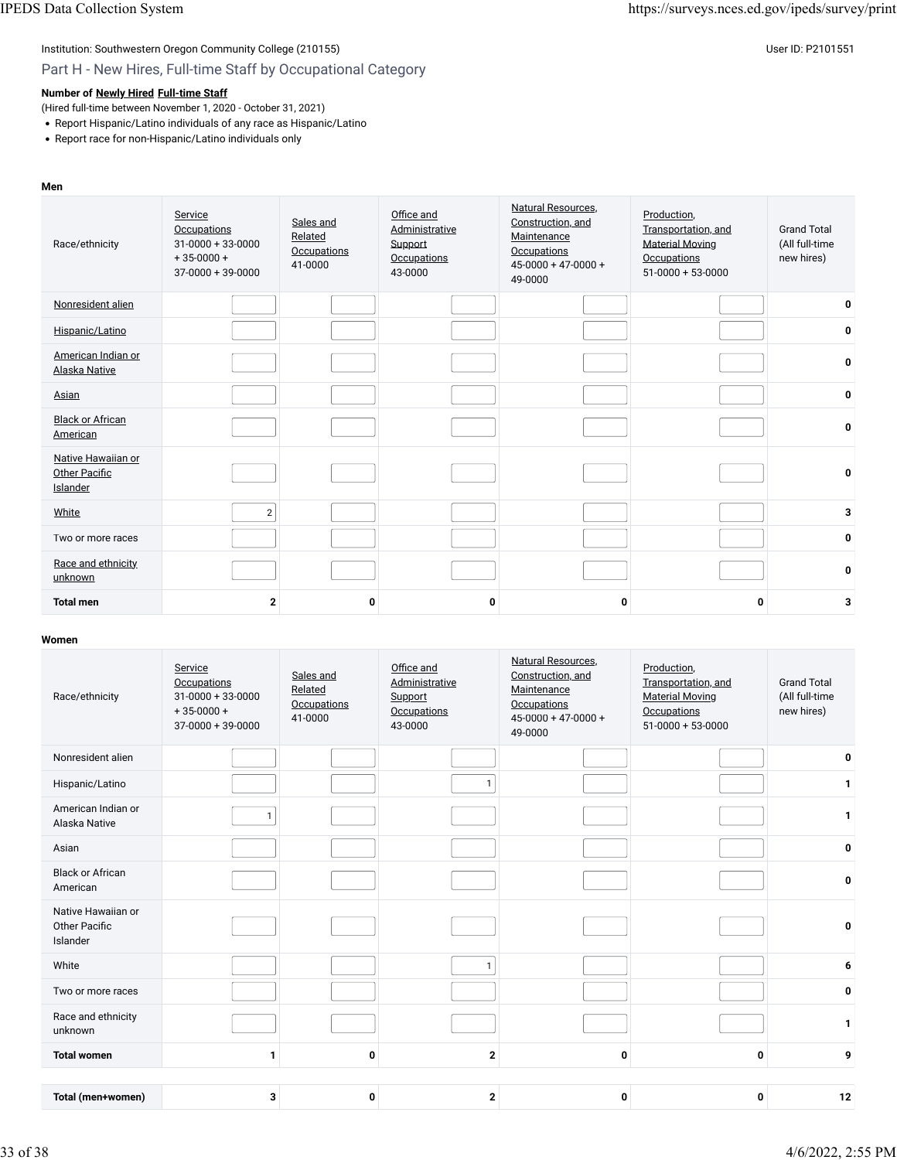# Institution: Southwestern Oregon Community College (210155) Community College (210155)

## Part H - New Hires, Full-time Staff by Occupational Category

### **Number of [Newly Hired](javascript:openglossary(407)) [Full-time Staff](javascript:openglossary(257))**

(Hired full-time between November 1, 2020 - October 31, 2021)

- Report Hispanic/Latino individuals of any race as Hispanic/Latino
- Report race for non-Hispanic/Latino individuals only

#### **Men** Race/ethnicity **[Service](javascript:openglossary(1003)) [Occupations](javascript:openglossary(1003))** 31-0000 + 33-0000  $+35-0000+$ 37-0000 + 39-0000 [Sales and](javascript:openglossary(987)) [Related](javascript:openglossary(987)) **[Occupations](javascript:openglossary(987))** 41-0000 Offi[ce and](javascript:openglossary(988)) [Administrative](javascript:openglossary(988)) [Support](javascript:openglossary(988)) **[Occupations](javascript:openglossary(988))** 43-0000 [Natural Resources,](javascript:openglossary(1001)) [Construction, and](javascript:openglossary(1001)) **[Maintenance](javascript:openglossary(1001)) [Occupations](javascript:openglossary(1001))** 45-0000 + 47-0000 + 49-0000 [Production,](javascript:openglossary(1000)) [Transportation, and](javascript:openglossary(1000)) [Material Moving](javascript:openglossary(1000)) **[Occupations](javascript:openglossary(1000))** 51-0000 + 53-0000 Grand Total (All full-time new hires) [Nonresident alien](javascript:openglossary(419)) **0** [Hispanic/Latino](javascript:openglossary(909)) **0** [American Indian or](javascript:openglossary(907)) [Alaska Native](javascript:openglossary(907)) **<sup>0</sup>** [Asian](javascript:openglossary(908)) **0 [Black or African](javascript:openglossary(906))** <u>[American](javascript:openglossary(906))</u> de la contractività del contractività del contractività del contractività del contractività del contra<br>American [Native Hawaiian or](javascript:openglossary(910)) **[Other Paci](javascript:openglossary(910))fic [Islander](javascript:openglossary(910)) 0** [White](javascript:openglossary(911)) 2 **3** Two or more races **0** [Race and ethnicity](javascript:openglossary(543)) [unknown](javascript:openglossary(543)) **<sup>0</sup> Total men 2 0 0 0 0 3**

| Race/ethnicity                                         | Service<br>Occupations<br>$31 - 0000 + 33 - 0000$<br>$+35-0000+$<br>$37-0000 + 39-0000$ | Sales and<br>Related<br><b>Occupations</b><br>41-0000 | Office and<br>Administrative<br>Support<br>Occupations<br>43-0000 | Natural Resources.<br>Construction, and<br>Maintenance<br><b>Occupations</b><br>$45 - 0000 + 47 - 0000 +$<br>49-0000 | Production,<br>Transportation, and<br><b>Material Moving</b><br>Occupations<br>$51-0000 + 53-0000$ | <b>Grand Total</b><br>(All full-time<br>new hires) |
|--------------------------------------------------------|-----------------------------------------------------------------------------------------|-------------------------------------------------------|-------------------------------------------------------------------|----------------------------------------------------------------------------------------------------------------------|----------------------------------------------------------------------------------------------------|----------------------------------------------------|
| Nonresident alien                                      |                                                                                         |                                                       |                                                                   |                                                                                                                      |                                                                                                    | 0                                                  |
| Hispanic/Latino                                        |                                                                                         |                                                       | $\mathbf{1}$                                                      |                                                                                                                      |                                                                                                    | 1                                                  |
| American Indian or<br>Alaska Native                    | $\mathbf{1}$                                                                            |                                                       |                                                                   |                                                                                                                      |                                                                                                    | $\mathbf 1$                                        |
| Asian                                                  |                                                                                         |                                                       |                                                                   |                                                                                                                      |                                                                                                    | 0                                                  |
| <b>Black or African</b><br>American                    |                                                                                         |                                                       |                                                                   |                                                                                                                      |                                                                                                    | 0                                                  |
| Native Hawaiian or<br><b>Other Pacific</b><br>Islander |                                                                                         |                                                       |                                                                   |                                                                                                                      |                                                                                                    | 0                                                  |
| White                                                  |                                                                                         |                                                       | $\mathbf{1}$                                                      |                                                                                                                      |                                                                                                    | 6                                                  |
| Two or more races                                      |                                                                                         |                                                       |                                                                   |                                                                                                                      |                                                                                                    | 0                                                  |
| Race and ethnicity<br>unknown                          |                                                                                         |                                                       |                                                                   |                                                                                                                      |                                                                                                    | $\mathbf{1}$                                       |
| <b>Total women</b>                                     | 1                                                                                       | 0                                                     | $\mathbf{2}$                                                      | 0                                                                                                                    | 0                                                                                                  | 9                                                  |
| Total (men+women)                                      | 3                                                                                       | 0                                                     | $\mathbf{2}$                                                      | 0                                                                                                                    | 0                                                                                                  | 12                                                 |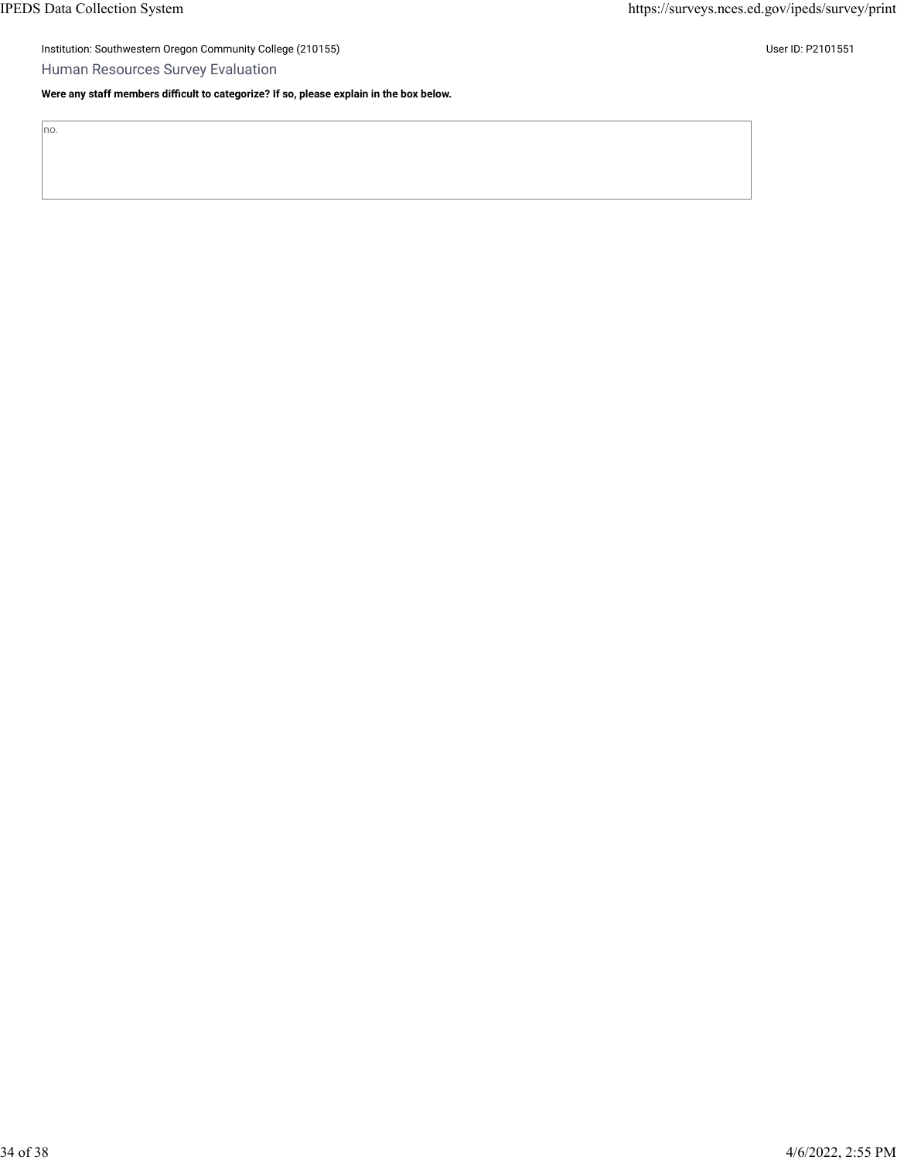no.

Institution: Southwestern Oregon Community College (210155) Contract the Contract of Contract of Contract of Co

Human Resources Survey Evaluation

**Were any staff members difficult to categorize? If so, please explain in the box below.**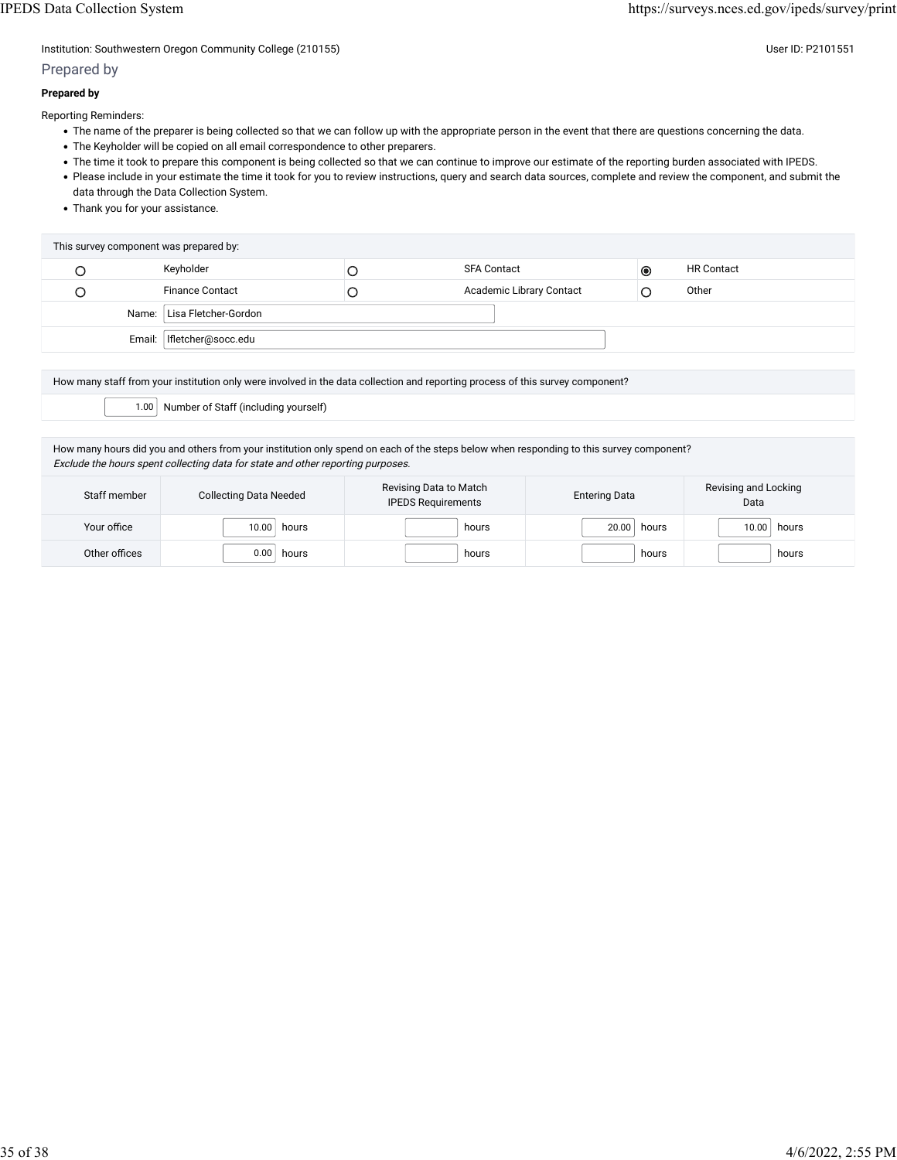Institution: Southwestern Oregon Community College (210155) Community College (210155)

### Prepared by

#### **Prepared by**

Reporting Reminders:

- The name of the preparer is being collected so that we can follow up with the appropriate person in the event that there are questions concerning the data.
- The Keyholder will be copied on all email correspondence to other preparers.
- The time it took to prepare this component is being collected so that we can continue to improve our estimate of the reporting burden associated with IPEDS.
- Please include in your estimate the time it took for you to review instructions, query and search data sources, complete and review the component, and submit the data through the Data Collection System.
- Thank you for your assistance.

| This survey component was prepared by: |                             |   |                          |           |                   |  |  |  |
|----------------------------------------|-----------------------------|---|--------------------------|-----------|-------------------|--|--|--|
|                                        | Keyholder                   |   | <b>SFA Contact</b>       | $\bullet$ | <b>HR Contact</b> |  |  |  |
|                                        | <b>Finance Contact</b>      | C | Academic Library Contact |           | Other             |  |  |  |
|                                        | Name: Lisa Fletcher-Gordon  |   |                          |           |                   |  |  |  |
|                                        | Email:   Ifletcher@socc.edu |   |                          |           |                   |  |  |  |

How many staff from your institution only were involved in the data collection and reporting process of this survey component?

1.00 Number of Staff (including yourself)

How many hours did you and others from your institution only spend on each of the steps below when responding to this survey component? Exclude the hours spent collecting data for state and other reporting purposes.

| Staff member  | <b>Collecting Data Needed</b> | Revising Data to Match<br><b>IPEDS Requirements</b> | <b>Entering Data</b> | Revising and Locking<br>Data |  |
|---------------|-------------------------------|-----------------------------------------------------|----------------------|------------------------------|--|
| Your office   | 10.00<br>hours                | hours                                               | 20.00<br>hours       | $10.00$ hours                |  |
| Other offices | 0.00<br>hours                 | hours                                               | hours                | hours                        |  |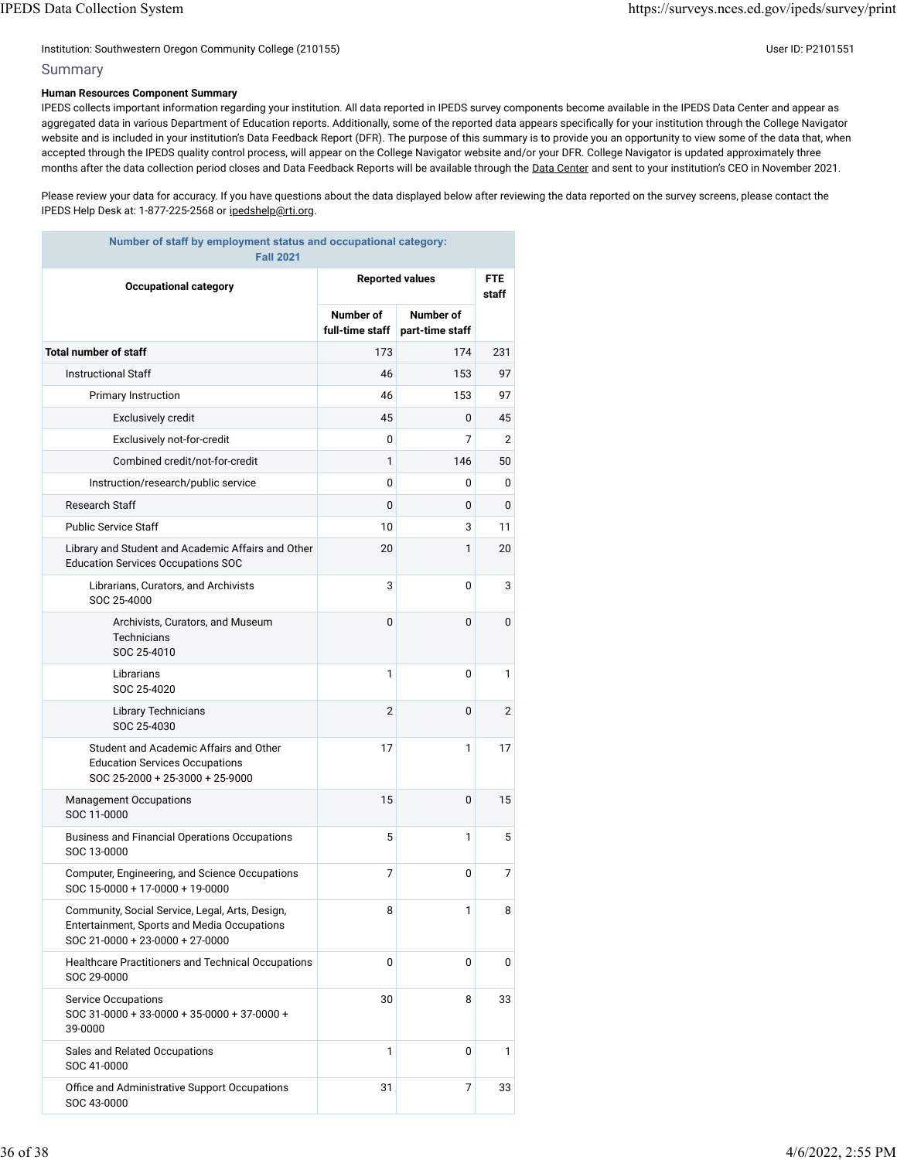#### Institution: Southwestern Oregon Community College (210155) User ID: P2101551

#### Summary

#### **Human Resources Component Summary**

IPEDS collects important information regarding your institution. All data reported in IPEDS survey components become available in the IPEDS Data Center and appear as aggregated data in various Department of Education reports. Additionally, some of the reported data appears specifically for your institution through the College Navigator website and is included in your institution's Data Feedback Report (DFR). The purpose of this summary is to provide you an opportunity to view some of the data that, when accepted through the IPEDS quality control process, will appear on the College Navigator website and/or your DFR. College Navigator is updated approximately three months after the data collection period closes and Data Feedback Reports will be available through the [Data Center](https://nces.ed.gov/ipeds/use-the-data) and sent to your institution's CEO in November 2021.

Please review your data for accuracy. If you have questions about the data displayed below after reviewing the data reported on the survey screens, please contact the IPEDS Help Desk at: 1-877-225-2568 or [ipedshelp@rti.org.](mailto:ipedshelp@rti.org)

| Number of staff by employment status and occupational category:<br><b>Fall 2021</b>                                               |                              |                              |                |  |  |  |  |
|-----------------------------------------------------------------------------------------------------------------------------------|------------------------------|------------------------------|----------------|--|--|--|--|
| <b>Occupational category</b>                                                                                                      |                              | <b>Reported values</b>       |                |  |  |  |  |
|                                                                                                                                   | Number of<br>full-time staff | Number of<br>part-time staff |                |  |  |  |  |
| <b>Total number of staff</b>                                                                                                      | 173                          | 174                          | 231            |  |  |  |  |
| <b>Instructional Staff</b>                                                                                                        | 46                           | 153                          | 97             |  |  |  |  |
| Primary Instruction                                                                                                               | 46                           | 153                          | 97             |  |  |  |  |
| Exclusively credit                                                                                                                | 45                           | 0                            | 45             |  |  |  |  |
| Exclusively not-for-credit                                                                                                        | 0                            | 7                            | 2              |  |  |  |  |
| Combined credit/not-for-credit                                                                                                    | 1                            | 146                          | 50             |  |  |  |  |
| Instruction/research/public service                                                                                               | 0                            | 0                            | 0              |  |  |  |  |
| Research Staff                                                                                                                    | 0                            | 0                            | 0              |  |  |  |  |
| <b>Public Service Staff</b>                                                                                                       | 10                           | 3                            | 11             |  |  |  |  |
| Library and Student and Academic Affairs and Other<br><b>Education Services Occupations SOC</b>                                   | 20                           | 1                            | 20             |  |  |  |  |
| Librarians, Curators, and Archivists<br>SOC 25-4000                                                                               | 3                            | 0                            | 3              |  |  |  |  |
| Archivists, Curators, and Museum<br><b>Technicians</b><br>SOC 25-4010                                                             | 0                            | 0                            | 0              |  |  |  |  |
| Librarians<br>SOC 25-4020                                                                                                         | 1                            | 0                            | 1              |  |  |  |  |
| Library Technicians<br>SOC 25-4030                                                                                                | $\overline{2}$               | 0                            | $\overline{2}$ |  |  |  |  |
| Student and Academic Affairs and Other<br><b>Education Services Occupations</b><br>SOC 25-2000 + 25-3000 + 25-9000                | 17                           | 1                            | 17             |  |  |  |  |
| <b>Management Occupations</b><br>SOC 11-0000                                                                                      | 15                           | 0                            | 15             |  |  |  |  |
| <b>Business and Financial Operations Occupations</b><br>SOC 13-0000                                                               | 5                            | 1                            | 5              |  |  |  |  |
| Computer, Engineering, and Science Occupations<br>SOC 15-0000 + 17-0000 + 19-0000                                                 | 7                            | 0                            | 7              |  |  |  |  |
| Community, Social Service, Legal, Arts, Design,<br>Entertainment, Sports and Media Occupations<br>SOC 21-0000 + 23-0000 + 27-0000 | 8                            | 1                            | 8              |  |  |  |  |
| Healthcare Practitioners and Technical Occupations<br>SOC 29-0000                                                                 | 0                            | 0                            | 0              |  |  |  |  |
| <b>Service Occupations</b><br>SOC 31-0000 + 33-0000 + 35-0000 + 37-0000 +<br>39-0000                                              | 30                           | 8                            | 33             |  |  |  |  |
| Sales and Related Occupations<br>SOC 41-0000                                                                                      | 1                            | 0                            | 1              |  |  |  |  |
| Office and Administrative Support Occupations<br>SOC 43-0000                                                                      | 31                           | 7                            | 33             |  |  |  |  |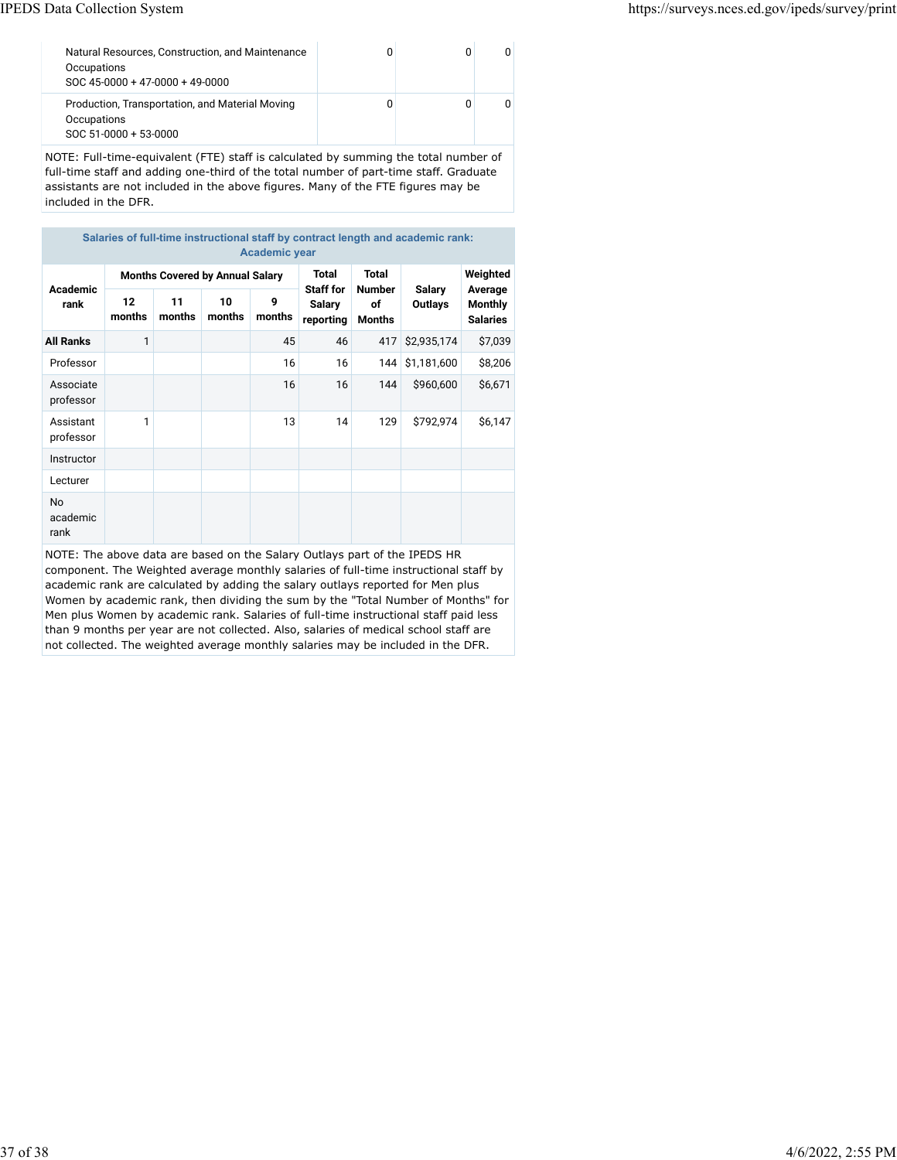| Natural Resources, Construction, and Maintenance<br>Occupations<br>SOC 45-0000 + 47-0000 + 49-0000 |  |  |
|----------------------------------------------------------------------------------------------------|--|--|
| Production, Transportation, and Material Moving<br>Occupations<br>$SOC 51-0000 + 53-0000$          |  |  |

NOTE: Full-time-equivalent (FTE) staff is calculated by summing the total number of full-time staff and adding one-third of the total number of part-time staff. Graduate assistants are not included in the above figures. Many of the FTE figures may be included in the DFR.

| Salaries of full-time instructional staff by contract length and academic rank:<br><b>Academic year</b> |                                        |              |              |             |                                         |                        |                                 |                                              |
|---------------------------------------------------------------------------------------------------------|----------------------------------------|--------------|--------------|-------------|-----------------------------------------|------------------------|---------------------------------|----------------------------------------------|
| <b>Academic</b><br>rank                                                                                 | <b>Months Covered by Annual Salary</b> |              |              |             | <b>Total</b>                            | Total<br><b>Number</b> |                                 | Weighted                                     |
|                                                                                                         | 12<br>months                           | 11<br>months | 10<br>months | 9<br>months | <b>Staff for</b><br>Salary<br>reporting | of<br>Months           | <b>Salary</b><br><b>Outlays</b> | Average<br><b>Monthly</b><br><b>Salaries</b> |
| <b>All Ranks</b>                                                                                        | 1                                      |              |              | 45          | 46                                      | 417                    | \$2,935,174                     | \$7,039                                      |
| Professor                                                                                               |                                        |              |              | 16          | 16                                      | 144                    | \$1,181,600                     | \$8,206                                      |
| Associate<br>professor                                                                                  |                                        |              |              | 16          | 16                                      | 144                    | \$960,600                       | \$6,671                                      |
| Assistant<br>professor                                                                                  | 1                                      |              |              | 13          | 14                                      | 129                    | \$792,974                       | \$6,147                                      |
| Instructor                                                                                              |                                        |              |              |             |                                         |                        |                                 |                                              |
| Lecturer                                                                                                |                                        |              |              |             |                                         |                        |                                 |                                              |
| No<br>academic<br>rank                                                                                  |                                        |              |              |             |                                         |                        |                                 |                                              |

NOTE: The above data are based on the Salary Outlays part of the IPEDS HR component. The Weighted average monthly salaries of full-time instructional staff by academic rank are calculated by adding the salary outlays reported for Men plus Women by academic rank, then dividing the sum by the "Total Number of Months" for Men plus Women by academic rank. Salaries of full-time instructional staff paid less than 9 months per year are not collected. Also, salaries of medical school staff are not collected. The weighted average monthly salaries may be included in the DFR.